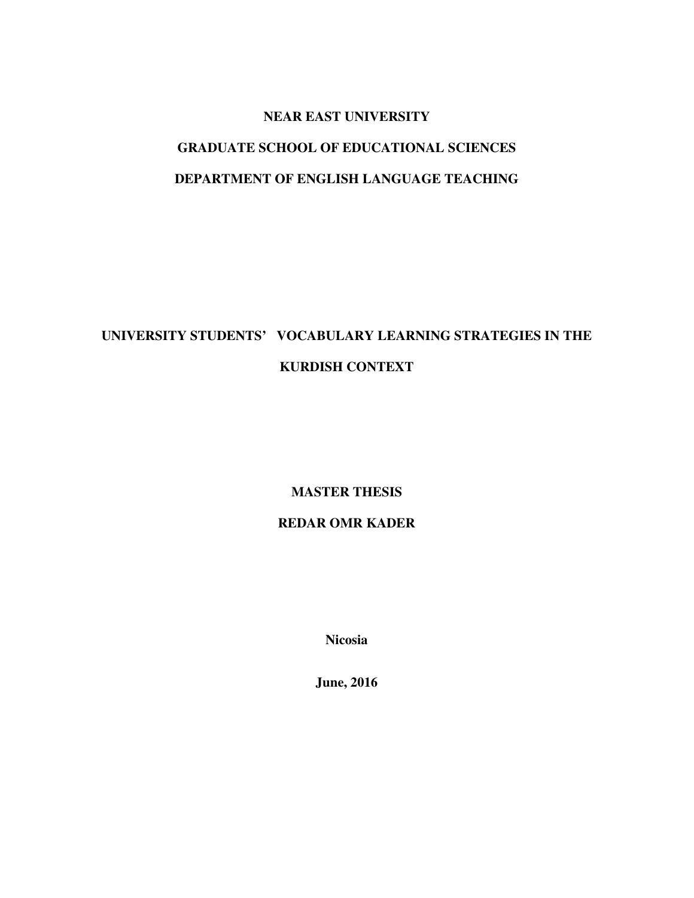## **NEAR EAST UNIVERSITY**

# **GRADUATE SCHOOL OF EDUCATIONAL SCIENCES DEPARTMENT OF ENGLISH LANGUAGE TEACHING**

# **UNIVERSITY STUDENTS' VOCABULARY LEARNING STRATEGIES IN THE KURDISH CONTEXT**

# **MASTER THESIS**

# **REDAR OMR KADER**

**Nicosia** 

**June, 2016**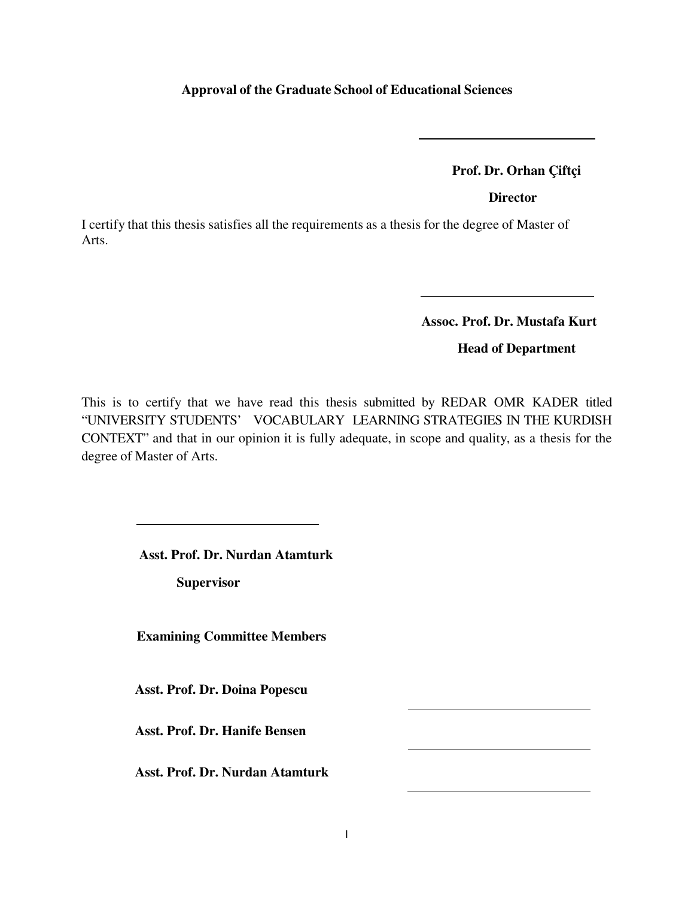### **Approval of the Graduate School of Educational Sciences**

 **Prof. Dr. Orhan Çiftçi** 

**Director**

I certify that this thesis satisfies all the requirements as a thesis for the degree of Master of Arts.

 **Assoc. Prof. Dr. Mustafa Kurt** 

**Head of Department**

This is to certify that we have read this thesis submitted by REDAR OMR KADER titled "UNIVERSITY STUDENTS' VOCABULARY LEARNING STRATEGIES IN THE KURDISH CONTEXT" and that in our opinion it is fully adequate, in scope and quality, as a thesis for the degree of Master of Arts.

 **Asst. Prof. Dr. Nurdan Atamturk** 

 **Supervisor** 

 **Examining Committee Members** 

**Asst. Prof. Dr. Doina Popescu** 

**Asst. Prof. Dr. Hanife Bensen** 

**Asst. Prof. Dr. Nurdan Atamturk**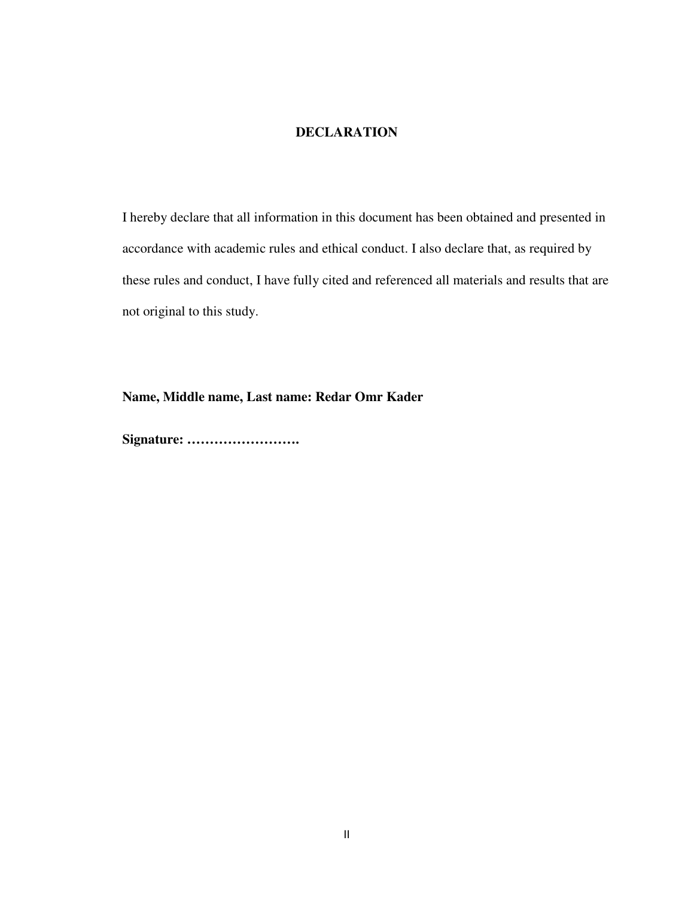## **DECLARATION**

I hereby declare that all information in this document has been obtained and presented in accordance with academic rules and ethical conduct. I also declare that, as required by these rules and conduct, I have fully cited and referenced all materials and results that are not original to this study.

**Name, Middle name, Last name: Redar Omr Kader** 

**Signature: …………………….**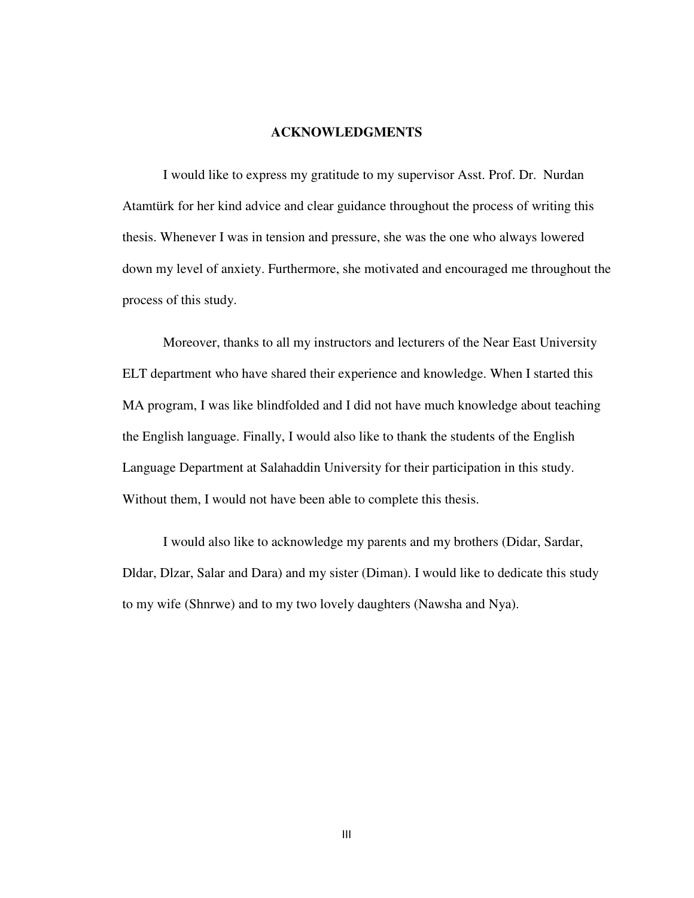#### **ACKNOWLEDGMENTS**

I would like to express my gratitude to my supervisor Asst. Prof. Dr. Nurdan Atamtürk for her kind advice and clear guidance throughout the process of writing this thesis. Whenever I was in tension and pressure, she was the one who always lowered down my level of anxiety. Furthermore, she motivated and encouraged me throughout the process of this study.

Moreover, thanks to all my instructors and lecturers of the Near East University ELT department who have shared their experience and knowledge. When I started this MA program, I was like blindfolded and I did not have much knowledge about teaching the English language. Finally, I would also like to thank the students of the English Language Department at Salahaddin University for their participation in this study. Without them, I would not have been able to complete this thesis.

I would also like to acknowledge my parents and my brothers (Didar, Sardar, Dldar, Dlzar, Salar and Dara) and my sister (Diman). I would like to dedicate this study to my wife (Shnrwe) and to my two lovely daughters (Nawsha and Nya).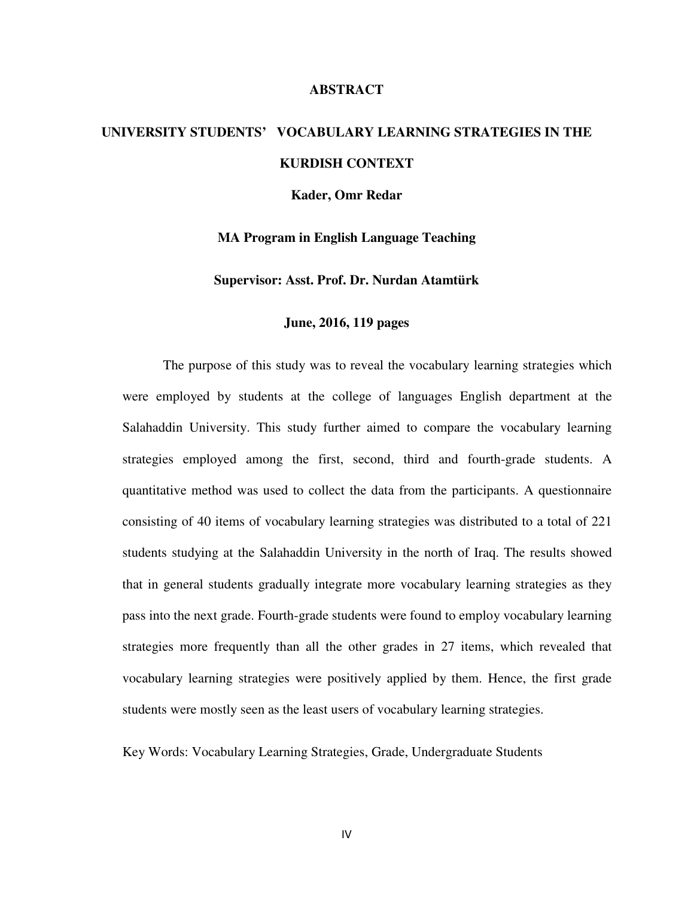#### **ABSTRACT**

# **UNIVERSITY STUDENTS' VOCABULARY LEARNING STRATEGIES IN THE KURDISH CONTEXT**

**Kader, Omr Redar** 

**MA Program in English Language Teaching** 

**Supervisor: Asst. Prof. Dr. Nurdan Atamtürk** 

#### **June, 2016, 119 pages**

The purpose of this study was to reveal the vocabulary learning strategies which were employed by students at the college of languages English department at the Salahaddin University. This study further aimed to compare the vocabulary learning strategies employed among the first, second, third and fourth-grade students. A quantitative method was used to collect the data from the participants. A questionnaire consisting of 40 items of vocabulary learning strategies was distributed to a total of 221 students studying at the Salahaddin University in the north of Iraq. The results showed that in general students gradually integrate more vocabulary learning strategies as they pass into the next grade. Fourth-grade students were found to employ vocabulary learning strategies more frequently than all the other grades in 27 items, which revealed that vocabulary learning strategies were positively applied by them. Hence, the first grade students were mostly seen as the least users of vocabulary learning strategies.

Key Words: Vocabulary Learning Strategies, Grade, Undergraduate Students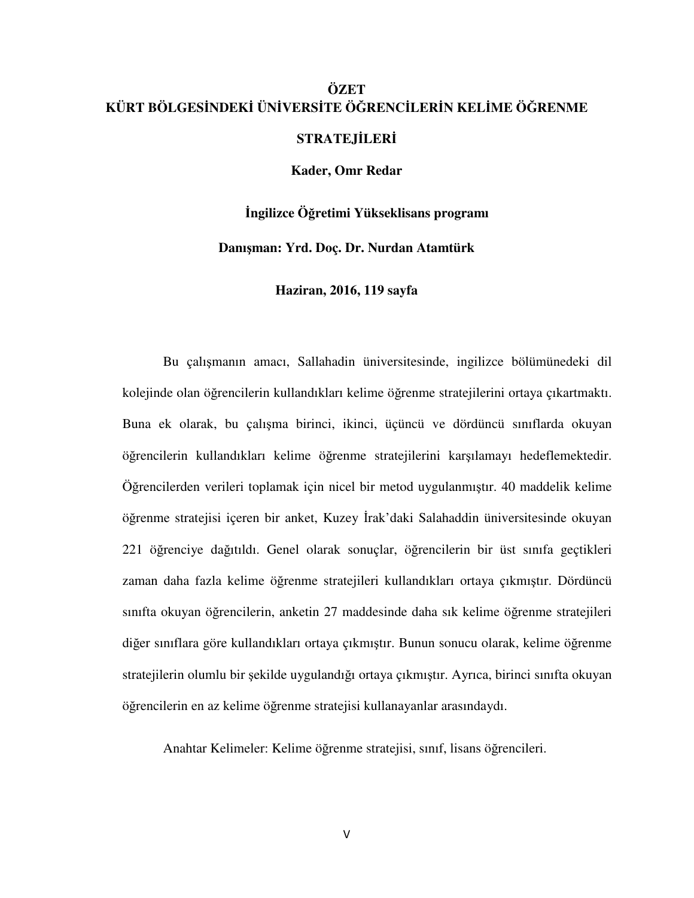# **ÖZET KÜRT BÖLGESİNDEKİ ÜNİVERSİTE ÖĞRENCİLERİN KELİME ÖĞRENME**

**STRATEJİLERİ**

**Kader, Omr Redar** 

**İngilizce Öğretimi Yükseklisans programı** 

**Danışman: Yrd. Doç. Dr. Nurdan Atamtürk** 

**Haziran, 2016, 119 sayfa** 

Bu çalışmanın amacı, Sallahadin üniversitesinde, ingilizce bölümünedeki dil kolejinde olan öğrencilerin kullandıkları kelime öğrenme stratejilerini ortaya çıkartmaktı. Buna ek olarak, bu çalışma birinci, ikinci, üçüncü ve dördüncü sınıflarda okuyan öğrencilerin kullandıkları kelime öğrenme stratejilerini karşılamayı hedeflemektedir. Öğrencilerden verileri toplamak için nicel bir metod uygulanmıştır. 40 maddelik kelime öğrenme stratejisi içeren bir anket, Kuzey İrak'daki Salahaddin üniversitesinde okuyan 221 öğrenciye dağıtıldı. Genel olarak sonuçlar, öğrencilerin bir üst sınıfa geçtikleri zaman daha fazla kelime öğrenme stratejileri kullandıkları ortaya çıkmıştır. Dördüncü sınıfta okuyan öğrencilerin, anketin 27 maddesinde daha sık kelime öğrenme stratejileri diğer sınıflara göre kullandıkları ortaya çıkmıştır. Bunun sonucu olarak, kelime öğrenme stratejilerin olumlu bir şekilde uygulandığı ortaya çıkmıştır. Ayrıca, birinci sınıfta okuyan öğrencilerin en az kelime öğrenme stratejisi kullanayanlar arasındaydı.

Anahtar Kelimeler: Kelime öğrenme stratejisi, sınıf, lisans öğrencileri.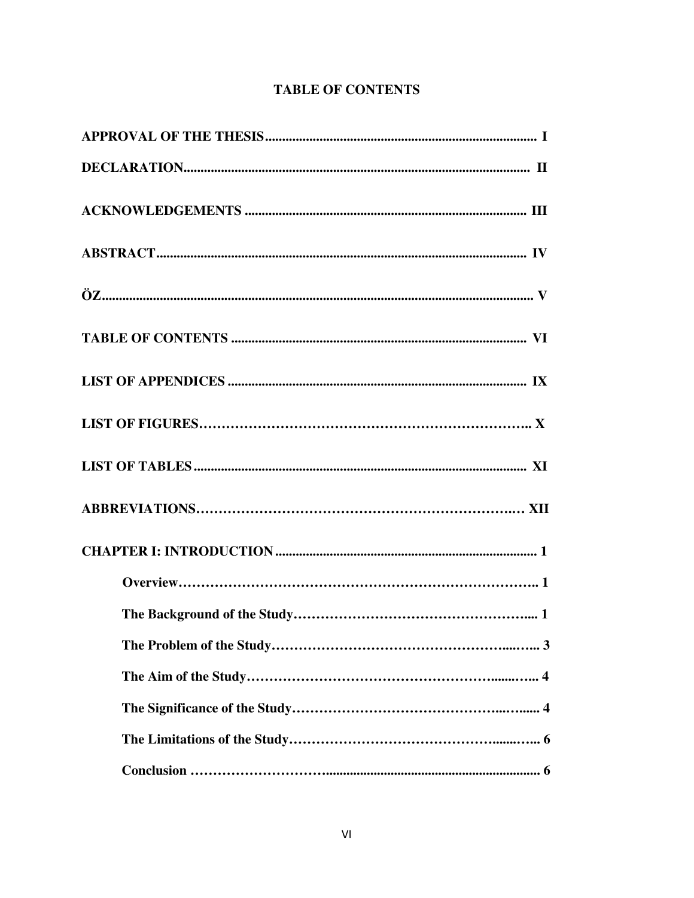|  | <b>TABLE OF CONTENTS</b> |
|--|--------------------------|
|--|--------------------------|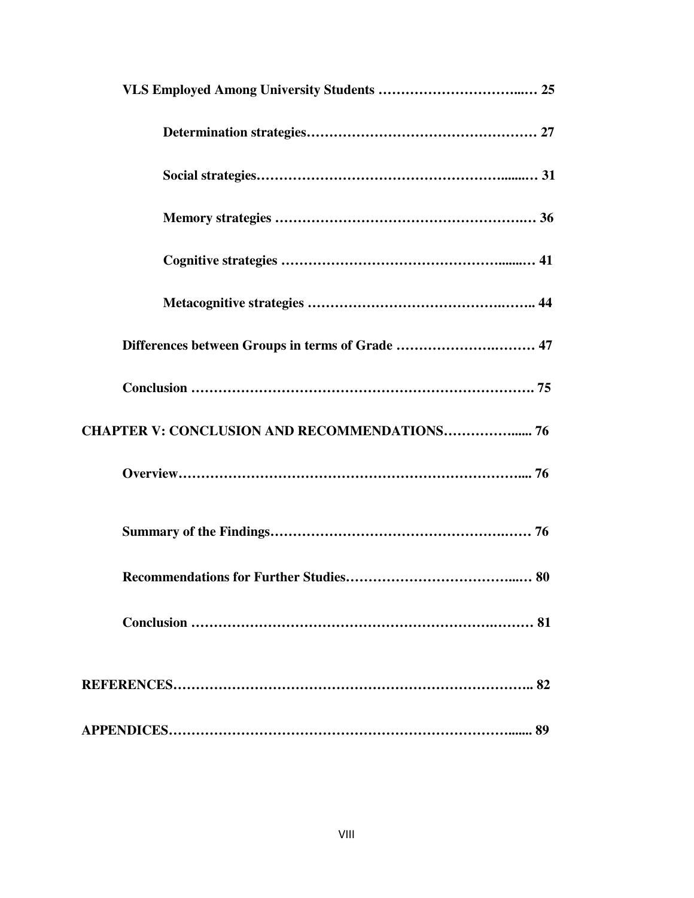| Differences between Groups in terms of Grade  47    |
|-----------------------------------------------------|
|                                                     |
| <b>CHAPTER V: CONCLUSION AND RECOMMENDATIONS 76</b> |
|                                                     |
|                                                     |
|                                                     |
|                                                     |
|                                                     |
|                                                     |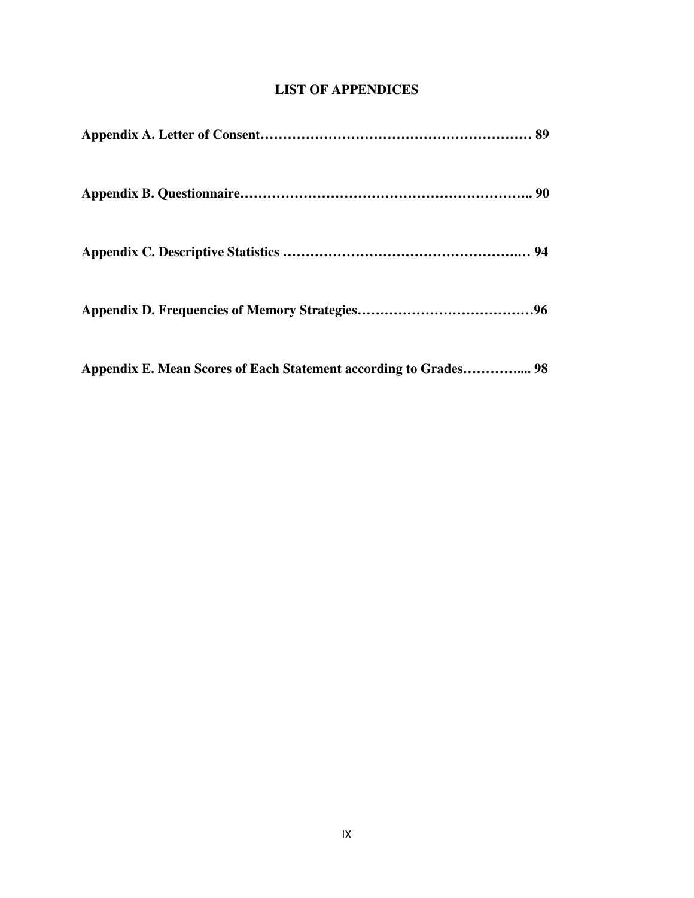# **LIST OF APPENDICES**

**Appendix E. Mean Scores of Each Statement according to Grades………….... 98**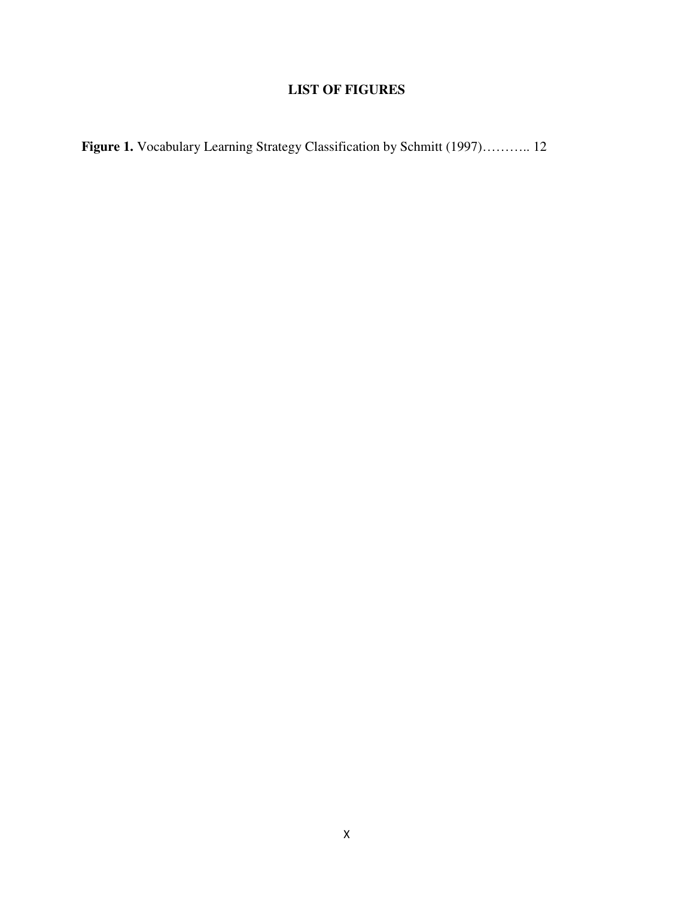# **LIST OF FIGURES**

**Figure 1.** Vocabulary Learning Strategy Classification by Schmitt (1997)……….. 12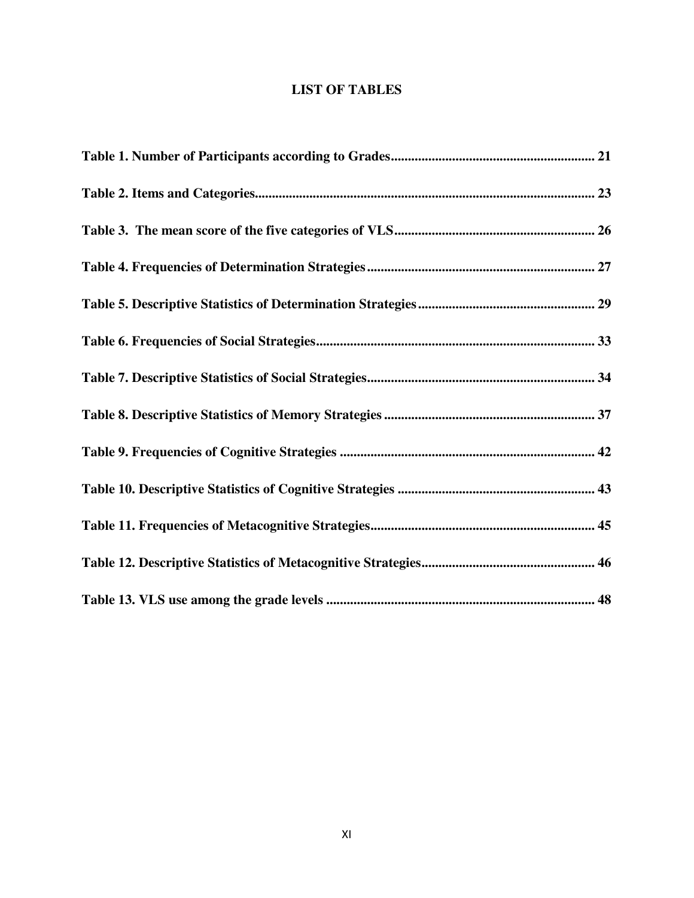# **LIST OF TABLES**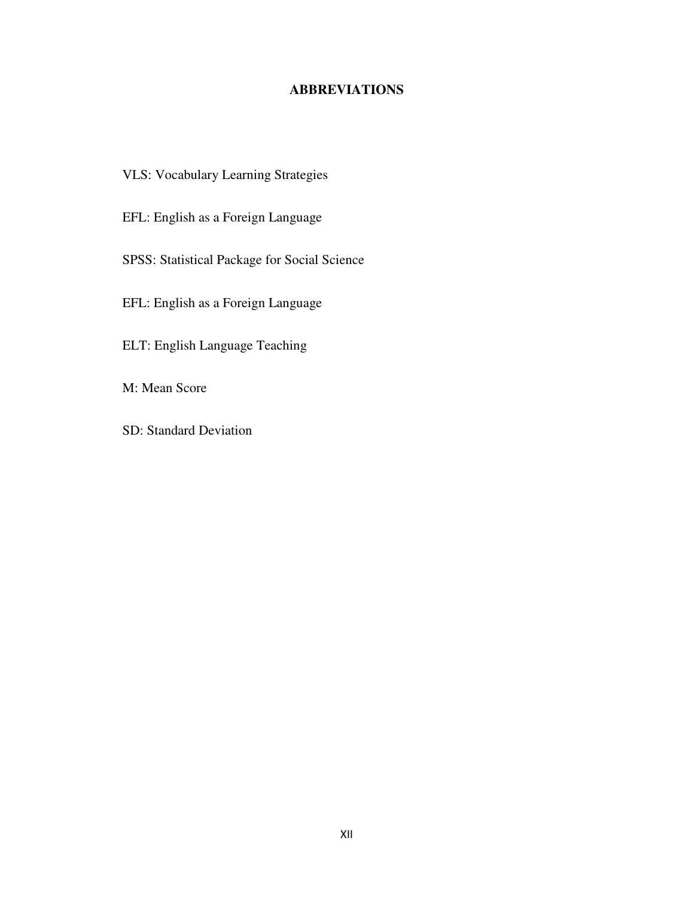# **ABBREVIATIONS**

- VLS: Vocabulary Learning Strategies
- EFL: English as a Foreign Language
- SPSS: Statistical Package for Social Science
- EFL: English as a Foreign Language
- ELT: English Language Teaching
- M: Mean Score
- SD: Standard Deviation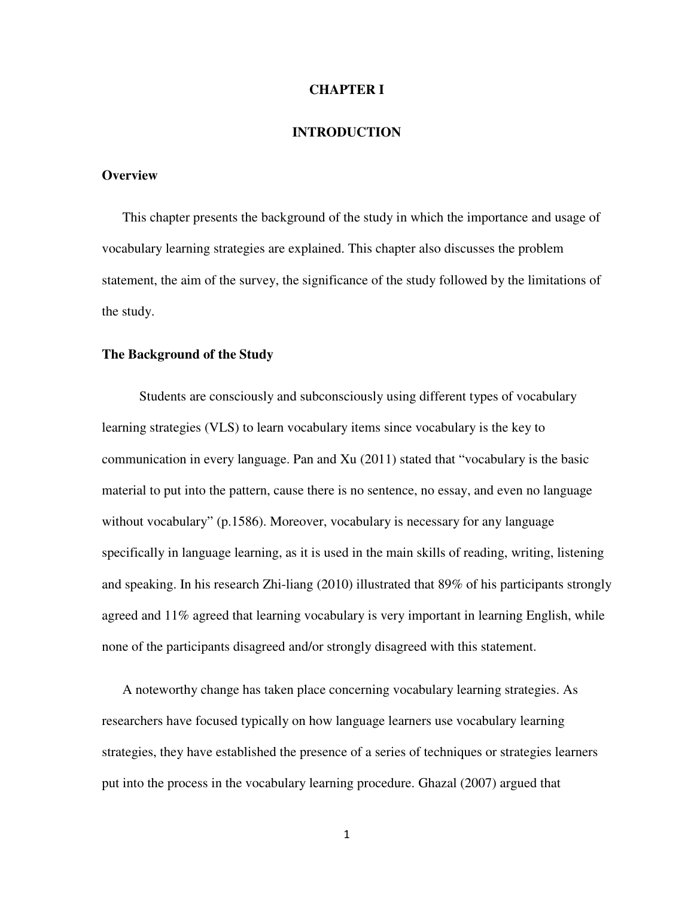#### **CHAPTER I**

#### **INTRODUCTION**

#### **Overview**

This chapter presents the background of the study in which the importance and usage of vocabulary learning strategies are explained. This chapter also discusses the problem statement, the aim of the survey, the significance of the study followed by the limitations of the study.

#### **The Background of the Study**

 Students are consciously and subconsciously using different types of vocabulary learning strategies (VLS) to learn vocabulary items since vocabulary is the key to communication in every language. Pan and Xu (2011) stated that "vocabulary is the basic material to put into the pattern, cause there is no sentence, no essay, and even no language without vocabulary" (p.1586). Moreover, vocabulary is necessary for any language specifically in language learning, as it is used in the main skills of reading, writing, listening and speaking. In his research Zhi-liang (2010) illustrated that 89% of his participants strongly agreed and 11% agreed that learning vocabulary is very important in learning English, while none of the participants disagreed and/or strongly disagreed with this statement.

A noteworthy change has taken place concerning vocabulary learning strategies. As researchers have focused typically on how language learners use vocabulary learning strategies, they have established the presence of a series of techniques or strategies learners put into the process in the vocabulary learning procedure. Ghazal (2007) argued that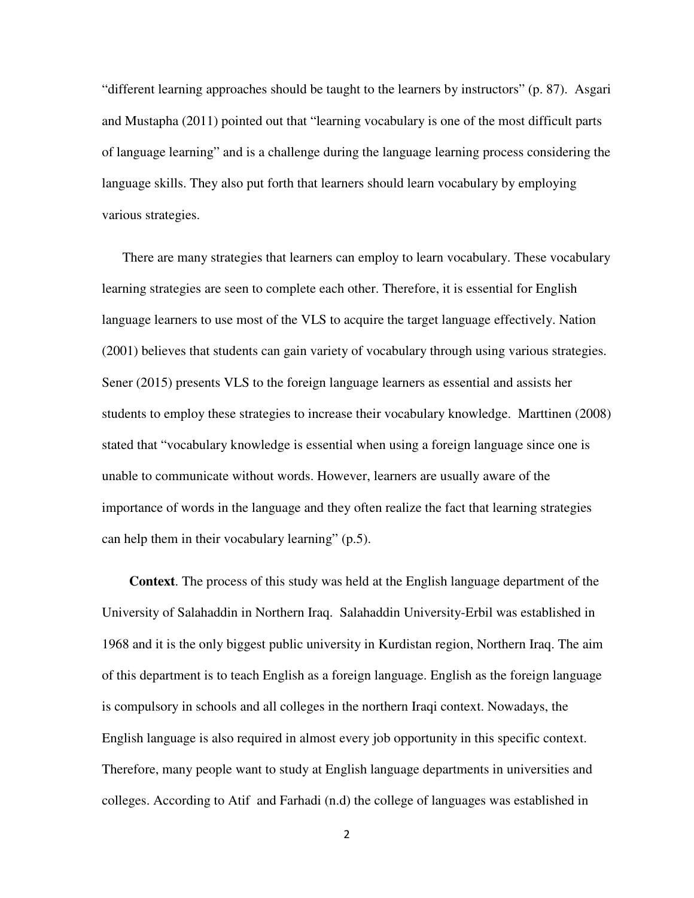"different learning approaches should be taught to the learners by instructors" (p. 87). Asgari and Mustapha (2011) pointed out that "learning vocabulary is one of the most difficult parts of language learning" and is a challenge during the language learning process considering the language skills. They also put forth that learners should learn vocabulary by employing various strategies.

There are many strategies that learners can employ to learn vocabulary. These vocabulary learning strategies are seen to complete each other. Therefore, it is essential for English language learners to use most of the VLS to acquire the target language effectively. Nation (2001) believes that students can gain variety of vocabulary through using various strategies. Sener (2015) presents VLS to the foreign language learners as essential and assists her students to employ these strategies to increase their vocabulary knowledge. Marttinen (2008) stated that "vocabulary knowledge is essential when using a foreign language since one is unable to communicate without words. However, learners are usually aware of the importance of words in the language and they often realize the fact that learning strategies can help them in their vocabulary learning" (p.5).

 **Context**. The process of this study was held at the English language department of the University of Salahaddin in Northern Iraq. Salahaddin University-Erbil was established in 1968 and it is the only biggest public university in Kurdistan region, Northern Iraq. The aim of this department is to teach English as a foreign language. English as the foreign language is compulsory in schools and all colleges in the northern Iraqi context. Nowadays, the English language is also required in almost every job opportunity in this specific context. Therefore, many people want to study at English language departments in universities and colleges. According to Atif and Farhadi (n.d) the college of languages was established in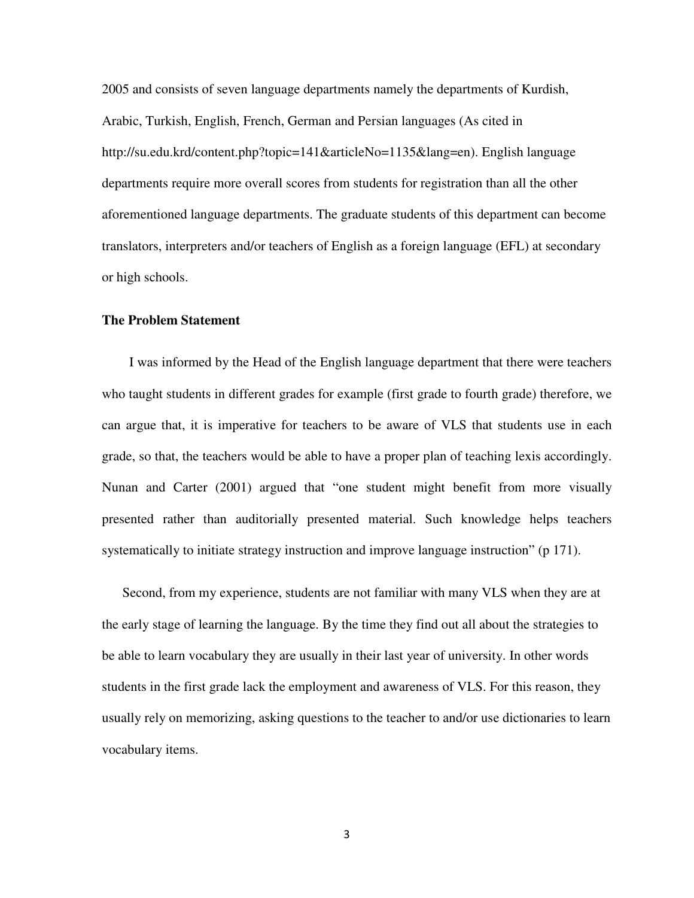2005 and consists of seven language departments namely the departments of Kurdish, Arabic, Turkish, English, French, German and Persian languages (As cited in http://su.edu.krd/content.php?topic=141&articleNo=1135&lang=en). English language departments require more overall scores from students for registration than all the other aforementioned language departments. The graduate students of this department can become translators, interpreters and/or teachers of English as a foreign language (EFL) at secondary or high schools.

#### **The Problem Statement**

 I was informed by the Head of the English language department that there were teachers who taught students in different grades for example (first grade to fourth grade) therefore, we can argue that, it is imperative for teachers to be aware of VLS that students use in each grade, so that, the teachers would be able to have a proper plan of teaching lexis accordingly. Nunan and Carter (2001) argued that "one student might benefit from more visually presented rather than auditorially presented material. Such knowledge helps teachers systematically to initiate strategy instruction and improve language instruction" (p 171).

Second, from my experience, students are not familiar with many VLS when they are at the early stage of learning the language. By the time they find out all about the strategies to be able to learn vocabulary they are usually in their last year of university. In other words students in the first grade lack the employment and awareness of VLS. For this reason, they usually rely on memorizing, asking questions to the teacher to and/or use dictionaries to learn vocabulary items.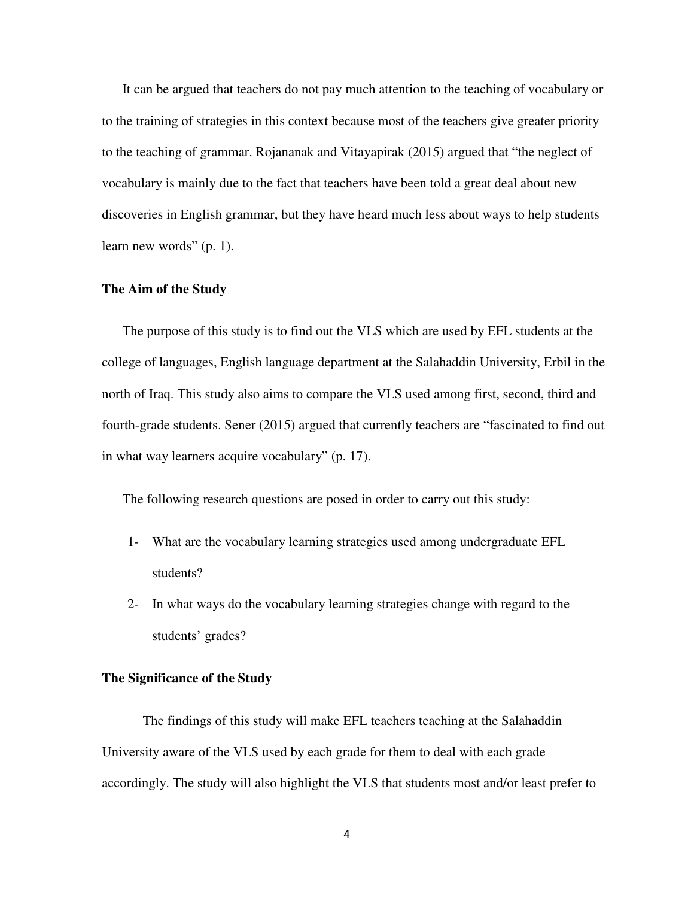It can be argued that teachers do not pay much attention to the teaching of vocabulary or to the training of strategies in this context because most of the teachers give greater priority to the teaching of grammar. Rojananak and Vitayapirak (2015) argued that "the neglect of vocabulary is mainly due to the fact that teachers have been told a great deal about new discoveries in English grammar, but they have heard much less about ways to help students learn new words" (p. 1).

#### **The Aim of the Study**

The purpose of this study is to find out the VLS which are used by EFL students at the college of languages, English language department at the Salahaddin University, Erbil in the north of Iraq. This study also aims to compare the VLS used among first, second, third and fourth-grade students. Sener (2015) argued that currently teachers are "fascinated to find out in what way learners acquire vocabulary" (p. 17).

The following research questions are posed in order to carry out this study:

- 1- What are the vocabulary learning strategies used among undergraduate EFL students?
- 2- In what ways do the vocabulary learning strategies change with regard to the students' grades?

#### **The Significance of the Study**

The findings of this study will make EFL teachers teaching at the Salahaddin University aware of the VLS used by each grade for them to deal with each grade accordingly. The study will also highlight the VLS that students most and/or least prefer to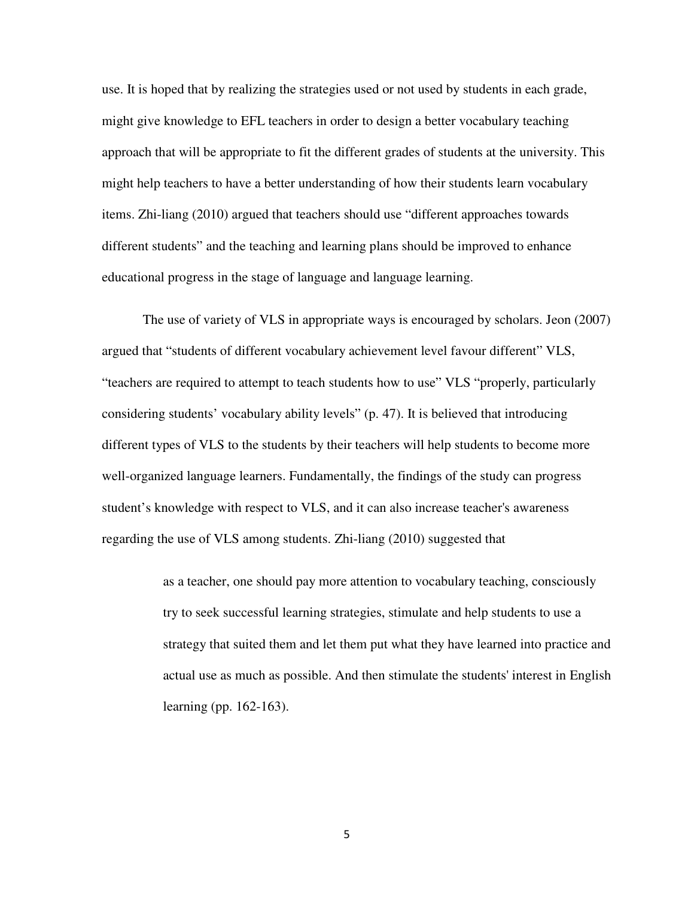use. It is hoped that by realizing the strategies used or not used by students in each grade, might give knowledge to EFL teachers in order to design a better vocabulary teaching approach that will be appropriate to fit the different grades of students at the university. This might help teachers to have a better understanding of how their students learn vocabulary items. Zhi-liang (2010) argued that teachers should use "different approaches towards different students" and the teaching and learning plans should be improved to enhance educational progress in the stage of language and language learning.

The use of variety of VLS in appropriate ways is encouraged by scholars. Jeon (2007) argued that "students of different vocabulary achievement level favour different" VLS, "teachers are required to attempt to teach students how to use" VLS "properly, particularly considering students' vocabulary ability levels" (p. 47). It is believed that introducing different types of VLS to the students by their teachers will help students to become more well-organized language learners. Fundamentally, the findings of the study can progress student's knowledge with respect to VLS, and it can also increase teacher's awareness regarding the use of VLS among students. Zhi-liang (2010) suggested that

> as a teacher, one should pay more attention to vocabulary teaching, consciously try to seek successful learning strategies, stimulate and help students to use a strategy that suited them and let them put what they have learned into practice and actual use as much as possible. And then stimulate the students' interest in English learning (pp. 162-163).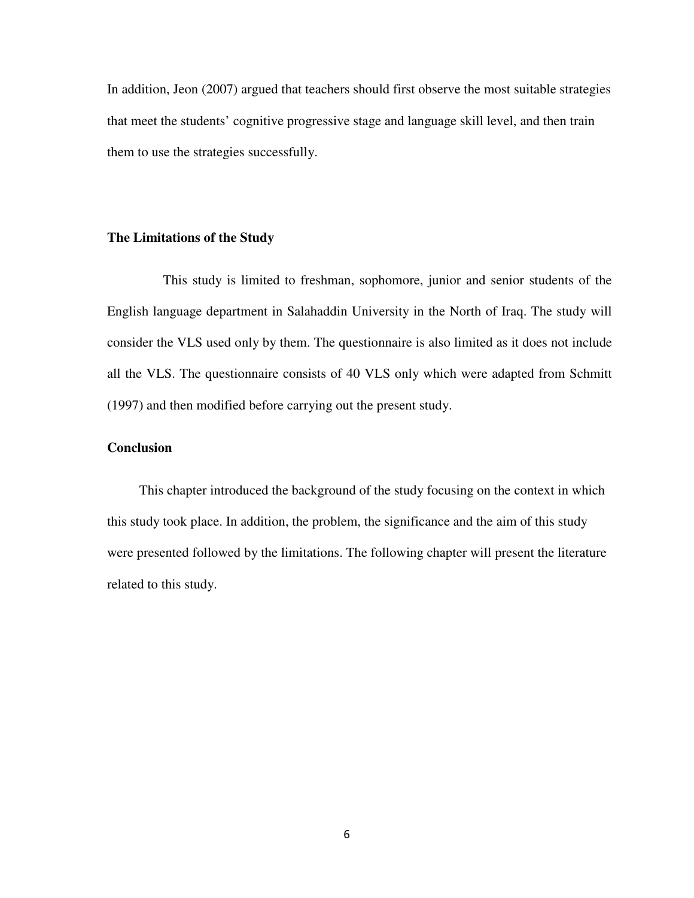In addition, Jeon (2007) argued that teachers should first observe the most suitable strategies that meet the students' cognitive progressive stage and language skill level, and then train them to use the strategies successfully.

#### **The Limitations of the Study**

This study is limited to freshman, sophomore, junior and senior students of the English language department in Salahaddin University in the North of Iraq. The study will consider the VLS used only by them. The questionnaire is also limited as it does not include all the VLS. The questionnaire consists of 40 VLS only which were adapted from Schmitt (1997) and then modified before carrying out the present study.

#### **Conclusion**

 This chapter introduced the background of the study focusing on the context in which this study took place. In addition, the problem, the significance and the aim of this study were presented followed by the limitations. The following chapter will present the literature related to this study.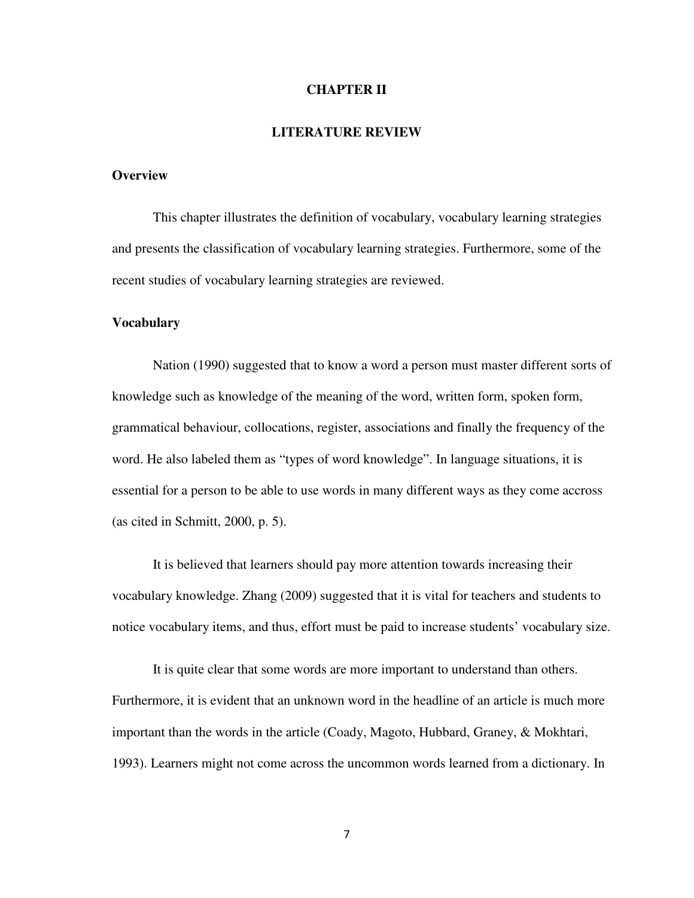#### **CHAPTER II**

#### **LITERATURE REVIEW**

#### **Overview**

This chapter illustrates the definition of vocabulary, vocabulary learning strategies and presents the classification of vocabulary learning strategies. Furthermore, some of the recent studies of vocabulary learning strategies are reviewed.

#### **Vocabulary**

Nation (1990) suggested that to know a word a person must master different sorts of knowledge such as knowledge of the meaning of the word, written form, spoken form, grammatical behaviour, collocations, register, associations and finally the frequency of the word. He also labeled them as "types of word knowledge". In language situations, it is essential for a person to be able to use words in many different ways as they come accross (as cited in Schmitt, 2000, p. 5).

It is believed that learners should pay more attention towards increasing their vocabulary knowledge. Zhang (2009) suggested that it is vital for teachers and students to notice vocabulary items, and thus, effort must be paid to increase students' vocabulary size.

It is quite clear that some words are more important to understand than others. Furthermore, it is evident that an unknown word in the headline of an article is much more important than the words in the article (Coady, Magoto, Hubbard, Graney, & Mokhtari, 1993). Learners might not come across the uncommon words learned from a dictionary. In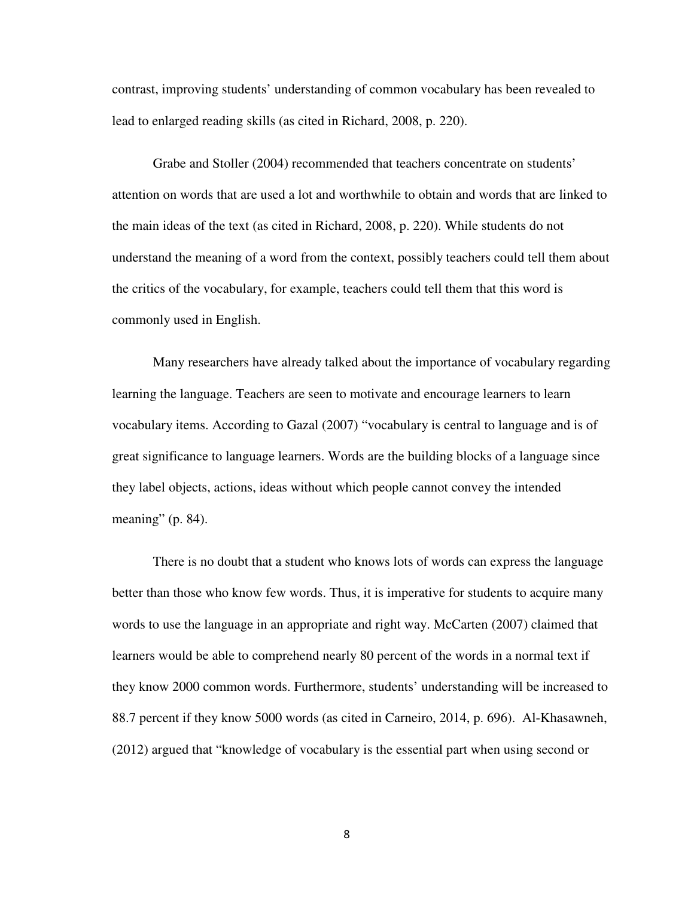contrast, improving students' understanding of common vocabulary has been revealed to lead to enlarged reading skills (as cited in Richard, 2008, p. 220).

Grabe and Stoller (2004) recommended that teachers concentrate on students' attention on words that are used a lot and worthwhile to obtain and words that are linked to the main ideas of the text (as cited in Richard, 2008, p. 220). While students do not understand the meaning of a word from the context, possibly teachers could tell them about the critics of the vocabulary, for example, teachers could tell them that this word is commonly used in English.

Many researchers have already talked about the importance of vocabulary regarding learning the language. Teachers are seen to motivate and encourage learners to learn vocabulary items. According to Gazal (2007) "vocabulary is central to language and is of great significance to language learners. Words are the building blocks of a language since they label objects, actions, ideas without which people cannot convey the intended meaning" (p. 84).

There is no doubt that a student who knows lots of words can express the language better than those who know few words. Thus, it is imperative for students to acquire many words to use the language in an appropriate and right way. McCarten (2007) claimed that learners would be able to comprehend nearly 80 percent of the words in a normal text if they know 2000 common words. Furthermore, students' understanding will be increased to 88.7 percent if they know 5000 words (as cited in Carneiro, 2014, p. 696). Al-Khasawneh, (2012) argued that "knowledge of vocabulary is the essential part when using second or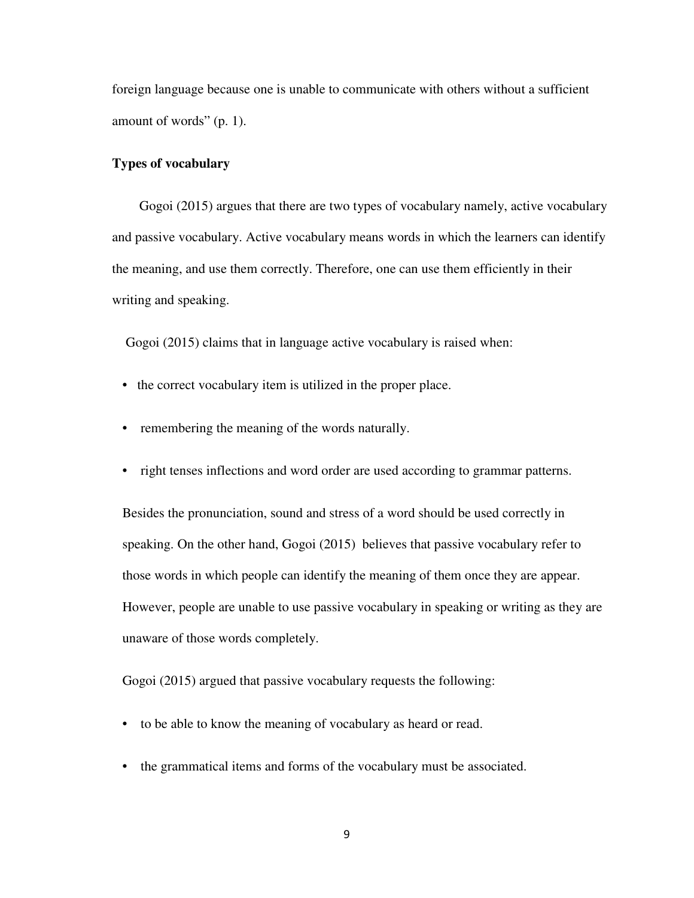foreign language because one is unable to communicate with others without a sufficient amount of words" (p. 1).

#### **Types of vocabulary**

Gogoi (2015) argues that there are two types of vocabulary namely, active vocabulary and passive vocabulary. Active vocabulary means words in which the learners can identify the meaning, and use them correctly. Therefore, one can use them efficiently in their writing and speaking.

Gogoi (2015) claims that in language active vocabulary is raised when:

- the correct vocabulary item is utilized in the proper place.
- remembering the meaning of the words naturally.
- right tenses inflections and word order are used according to grammar patterns.

Besides the pronunciation, sound and stress of a word should be used correctly in speaking. On the other hand, Gogoi (2015) believes that passive vocabulary refer to those words in which people can identify the meaning of them once they are appear. However, people are unable to use passive vocabulary in speaking or writing as they are unaware of those words completely.

Gogoi (2015) argued that passive vocabulary requests the following:

- to be able to know the meaning of vocabulary as heard or read.
- the grammatical items and forms of the vocabulary must be associated.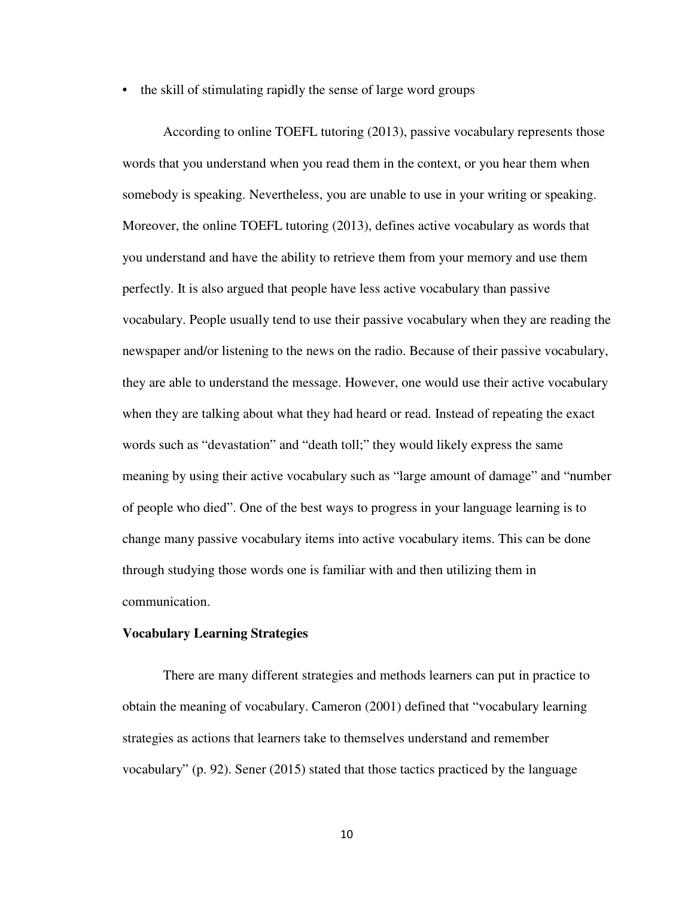• the skill of stimulating rapidly the sense of large word groups

According to online TOEFL tutoring (2013), passive vocabulary represents those words that you understand when you read them in the context, or you hear them when somebody is speaking. Nevertheless, you are unable to use in your writing or speaking. Moreover, the online TOEFL tutoring (2013), defines active vocabulary as words that you understand and have the ability to retrieve them from your memory and use them perfectly. It is also argued that people have less active vocabulary than passive vocabulary. People usually tend to use their passive vocabulary when they are reading the newspaper and/or listening to the news on the radio. Because of their passive vocabulary, they are able to understand the message. However, one would use their active vocabulary when they are talking about what they had heard or read. Instead of repeating the exact words such as "devastation" and "death toll;" they would likely express the same meaning by using their active vocabulary such as "large amount of damage" and "number of people who died". One of the best ways to progress in your language learning is to change many passive vocabulary items into active vocabulary items. This can be done through studying those words one is familiar with and then utilizing them in communication.

#### **Vocabulary Learning Strategies**

There are many different strategies and methods learners can put in practice to obtain the meaning of vocabulary. Cameron (2001) defined that "vocabulary learning strategies as actions that learners take to themselves understand and remember vocabulary" (p. 92). Sener (2015) stated that those tactics practiced by the language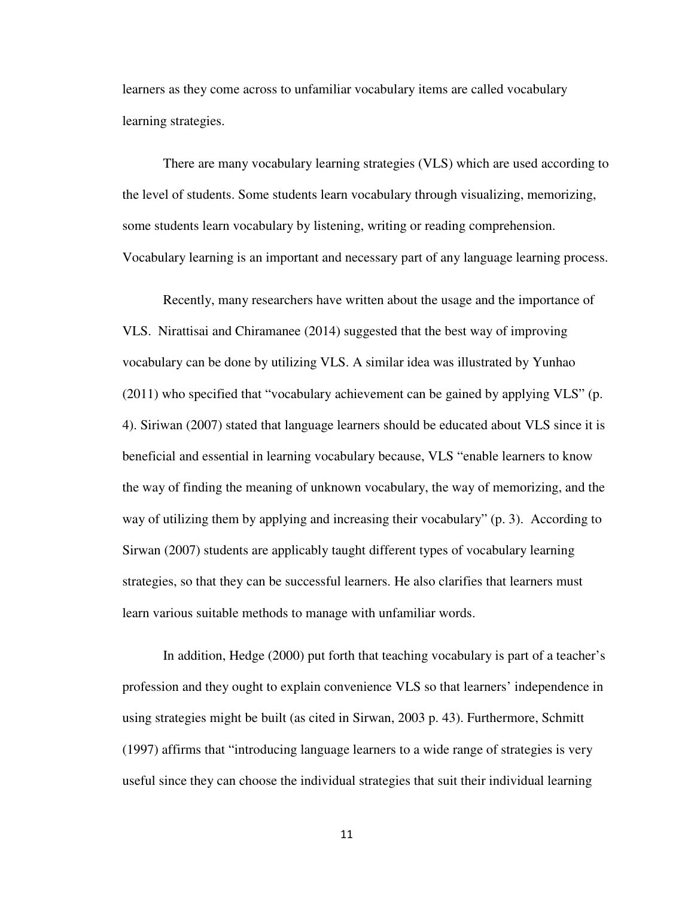learners as they come across to unfamiliar vocabulary items are called vocabulary learning strategies.

There are many vocabulary learning strategies (VLS) which are used according to the level of students. Some students learn vocabulary through visualizing, memorizing, some students learn vocabulary by listening, writing or reading comprehension. Vocabulary learning is an important and necessary part of any language learning process.

Recently, many researchers have written about the usage and the importance of VLS. Nirattisai and Chiramanee (2014) suggested that the best way of improving vocabulary can be done by utilizing VLS. A similar idea was illustrated by Yunhao (2011) who specified that "vocabulary achievement can be gained by applying VLS" (p. 4). Siriwan (2007) stated that language learners should be educated about VLS since it is beneficial and essential in learning vocabulary because, VLS "enable learners to know the way of finding the meaning of unknown vocabulary, the way of memorizing, and the way of utilizing them by applying and increasing their vocabulary" (p. 3). According to Sirwan (2007) students are applicably taught different types of vocabulary learning strategies, so that they can be successful learners. He also clarifies that learners must learn various suitable methods to manage with unfamiliar words.

In addition, Hedge (2000) put forth that teaching vocabulary is part of a teacher's profession and they ought to explain convenience VLS so that learners' independence in using strategies might be built (as cited in Sirwan, 2003 p. 43). Furthermore, Schmitt (1997) affirms that "introducing language learners to a wide range of strategies is very useful since they can choose the individual strategies that suit their individual learning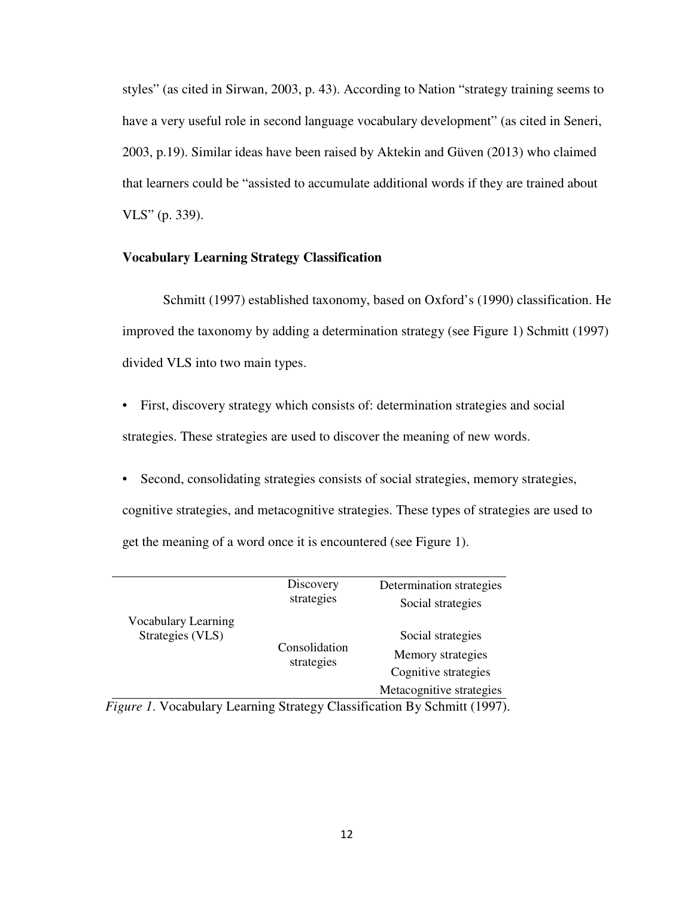styles" (as cited in Sirwan, 2003, p. 43). According to Nation "strategy training seems to have a very useful role in second language vocabulary development" (as cited in Seneri, 2003, p.19). Similar ideas have been raised by Aktekin and Güven (2013) who claimed that learners could be "assisted to accumulate additional words if they are trained about VLS" (p. 339).

#### **Vocabulary Learning Strategy Classification**

Schmitt (1997) established taxonomy, based on Oxford's (1990) classification. He improved the taxonomy by adding a determination strategy (see Figure 1) Schmitt (1997) divided VLS into two main types.

- First, discovery strategy which consists of: determination strategies and social strategies. These strategies are used to discover the meaning of new words.
- Second, consolidating strategies consists of social strategies, memory strategies, cognitive strategies, and metacognitive strategies. These types of strategies are used to get the meaning of a word once it is encountered (see Figure 1).

|                                                                               | Discovery<br>strategies     | Determination strategies |
|-------------------------------------------------------------------------------|-----------------------------|--------------------------|
|                                                                               |                             | Social strategies        |
| Vocabulary Learning                                                           |                             |                          |
| Strategies (VLS)                                                              | Consolidation<br>strategies | Social strategies        |
|                                                                               |                             | Memory strategies        |
|                                                                               |                             | Cognitive strategies     |
|                                                                               |                             | Metacognitive strategies |
| <i>liques 1</i> Mocabulary Learning Strategy Classification By Schmitt (1997) |                             |                          |

 *Figure 1*. Vocabulary Learning Strategy Classification By Schmitt (1997).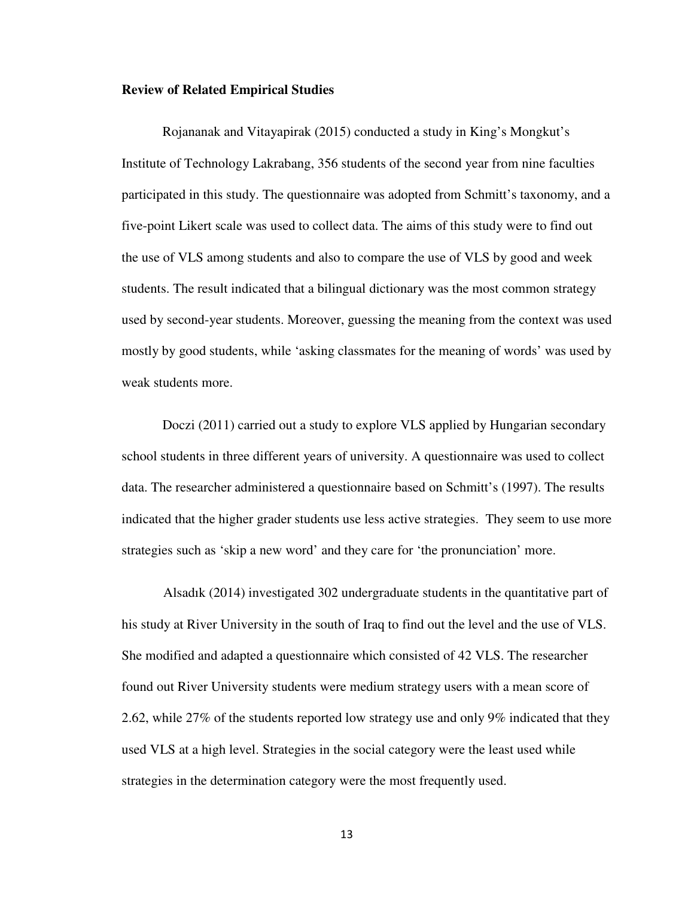#### **Review of Related Empirical Studies**

Rojananak and Vitayapirak (2015) conducted a study in King's Mongkut's Institute of Technology Lakrabang, 356 students of the second year from nine faculties participated in this study. The questionnaire was adopted from Schmitt's taxonomy, and a five-point Likert scale was used to collect data. The aims of this study were to find out the use of VLS among students and also to compare the use of VLS by good and week students. The result indicated that a bilingual dictionary was the most common strategy used by second-year students. Moreover, guessing the meaning from the context was used mostly by good students, while 'asking classmates for the meaning of words' was used by weak students more.

Doczi (2011) carried out a study to explore VLS applied by Hungarian secondary school students in three different years of university. A questionnaire was used to collect data. The researcher administered a questionnaire based on Schmitt's (1997). The results indicated that the higher grader students use less active strategies. They seem to use more strategies such as 'skip a new word' and they care for 'the pronunciation' more.

Alsadık (2014) investigated 302 undergraduate students in the quantitative part of his study at River University in the south of Iraq to find out the level and the use of VLS. She modified and adapted a questionnaire which consisted of 42 VLS. The researcher found out River University students were medium strategy users with a mean score of 2.62, while 27% of the students reported low strategy use and only 9% indicated that they used VLS at a high level. Strategies in the social category were the least used while strategies in the determination category were the most frequently used.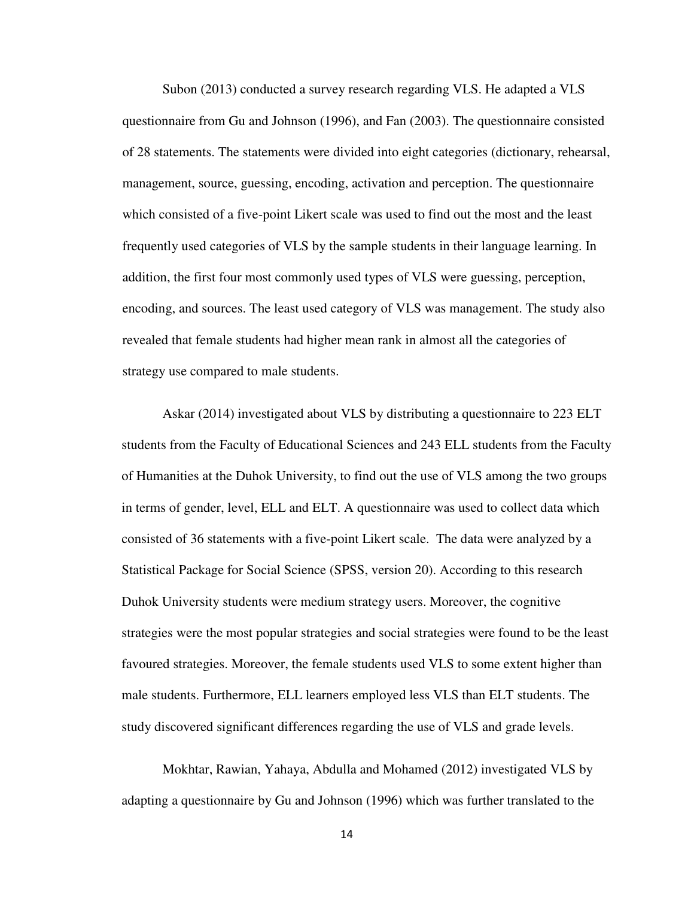Subon (2013) conducted a survey research regarding VLS. He adapted a VLS questionnaire from Gu and Johnson (1996), and Fan (2003). The questionnaire consisted of 28 statements. The statements were divided into eight categories (dictionary, rehearsal, management, source, guessing, encoding, activation and perception. The questionnaire which consisted of a five-point Likert scale was used to find out the most and the least frequently used categories of VLS by the sample students in their language learning. In addition, the first four most commonly used types of VLS were guessing, perception, encoding, and sources. The least used category of VLS was management. The study also revealed that female students had higher mean rank in almost all the categories of strategy use compared to male students.

Askar (2014) investigated about VLS by distributing a questionnaire to 223 ELT students from the Faculty of Educational Sciences and 243 ELL students from the Faculty of Humanities at the Duhok University, to find out the use of VLS among the two groups in terms of gender, level, ELL and ELT. A questionnaire was used to collect data which consisted of 36 statements with a five-point Likert scale. The data were analyzed by a Statistical Package for Social Science (SPSS, version 20). According to this research Duhok University students were medium strategy users. Moreover, the cognitive strategies were the most popular strategies and social strategies were found to be the least favoured strategies. Moreover, the female students used VLS to some extent higher than male students. Furthermore, ELL learners employed less VLS than ELT students. The study discovered significant differences regarding the use of VLS and grade levels.

Mokhtar, Rawian, Yahaya, Abdulla and Mohamed (2012) investigated VLS by adapting a questionnaire by Gu and Johnson (1996) which was further translated to the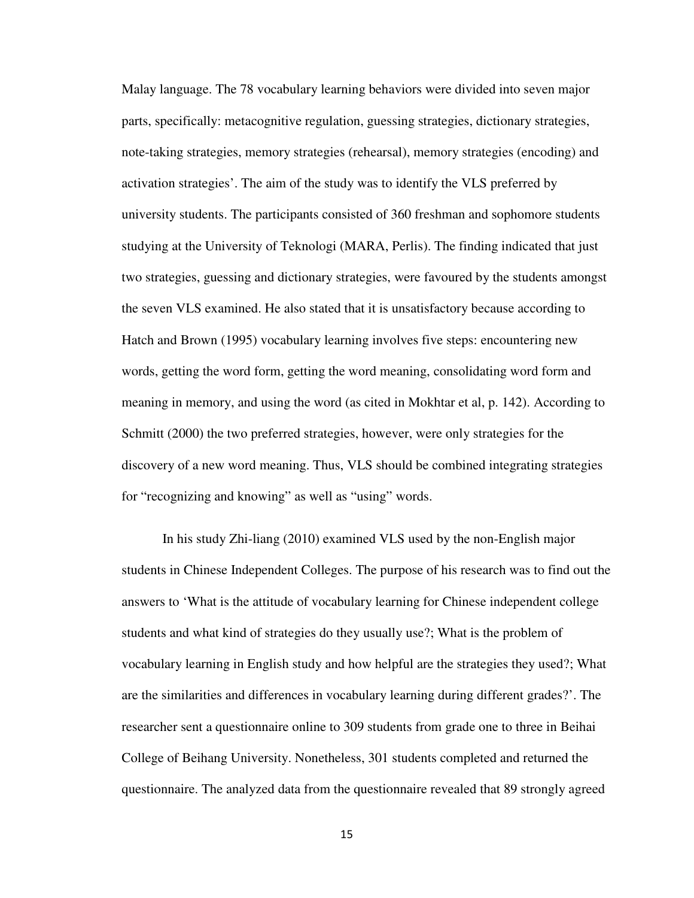Malay language. The 78 vocabulary learning behaviors were divided into seven major parts, specifically: metacognitive regulation, guessing strategies, dictionary strategies, note-taking strategies, memory strategies (rehearsal), memory strategies (encoding) and activation strategies'. The aim of the study was to identify the VLS preferred by university students. The participants consisted of 360 freshman and sophomore students studying at the University of Teknologi (MARA, Perlis). The finding indicated that just two strategies, guessing and dictionary strategies, were favoured by the students amongst the seven VLS examined. He also stated that it is unsatisfactory because according to Hatch and Brown (1995) vocabulary learning involves five steps: encountering new words, getting the word form, getting the word meaning, consolidating word form and meaning in memory, and using the word (as cited in Mokhtar et al, p. 142). According to Schmitt (2000) the two preferred strategies, however, were only strategies for the discovery of a new word meaning. Thus, VLS should be combined integrating strategies for "recognizing and knowing" as well as "using" words.

In his study Zhi-liang (2010) examined VLS used by the non-English major students in Chinese Independent Colleges. The purpose of his research was to find out the answers to 'What is the attitude of vocabulary learning for Chinese independent college students and what kind of strategies do they usually use?; What is the problem of vocabulary learning in English study and how helpful are the strategies they used?; What are the similarities and differences in vocabulary learning during different grades?'. The researcher sent a questionnaire online to 309 students from grade one to three in Beihai College of Beihang University. Nonetheless, 301 students completed and returned the questionnaire. The analyzed data from the questionnaire revealed that 89 strongly agreed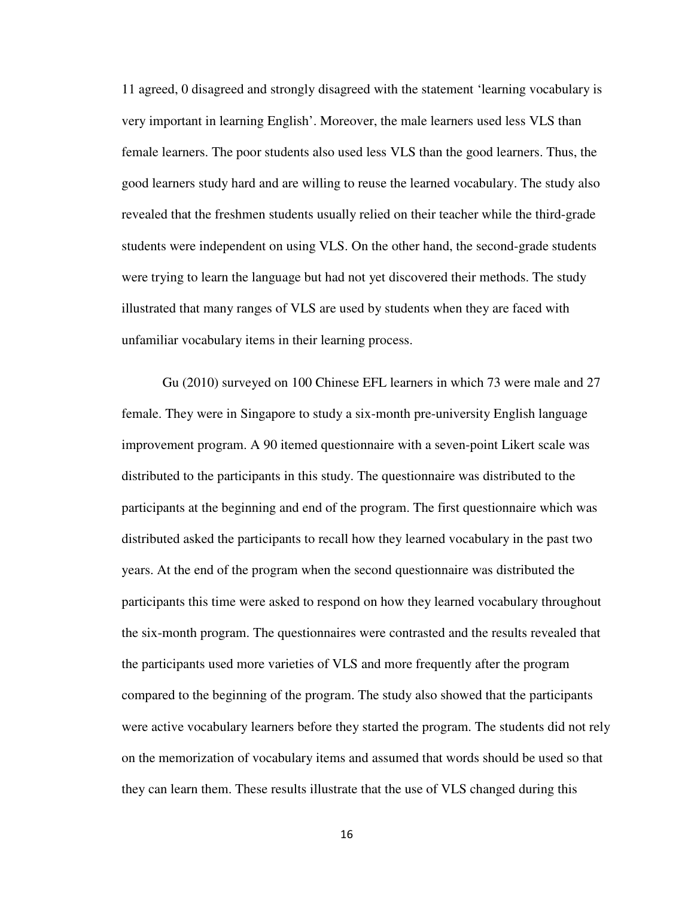11 agreed, 0 disagreed and strongly disagreed with the statement 'learning vocabulary is very important in learning English'. Moreover, the male learners used less VLS than female learners. The poor students also used less VLS than the good learners. Thus, the good learners study hard and are willing to reuse the learned vocabulary. The study also revealed that the freshmen students usually relied on their teacher while the third-grade students were independent on using VLS. On the other hand, the second-grade students were trying to learn the language but had not yet discovered their methods. The study illustrated that many ranges of VLS are used by students when they are faced with unfamiliar vocabulary items in their learning process.

Gu (2010) surveyed on 100 Chinese EFL learners in which 73 were male and 27 female. They were in Singapore to study a six-month pre-university English language improvement program. A 90 itemed questionnaire with a seven-point Likert scale was distributed to the participants in this study. The questionnaire was distributed to the participants at the beginning and end of the program. The first questionnaire which was distributed asked the participants to recall how they learned vocabulary in the past two years. At the end of the program when the second questionnaire was distributed the participants this time were asked to respond on how they learned vocabulary throughout the six-month program. The questionnaires were contrasted and the results revealed that the participants used more varieties of VLS and more frequently after the program compared to the beginning of the program. The study also showed that the participants were active vocabulary learners before they started the program. The students did not rely on the memorization of vocabulary items and assumed that words should be used so that they can learn them. These results illustrate that the use of VLS changed during this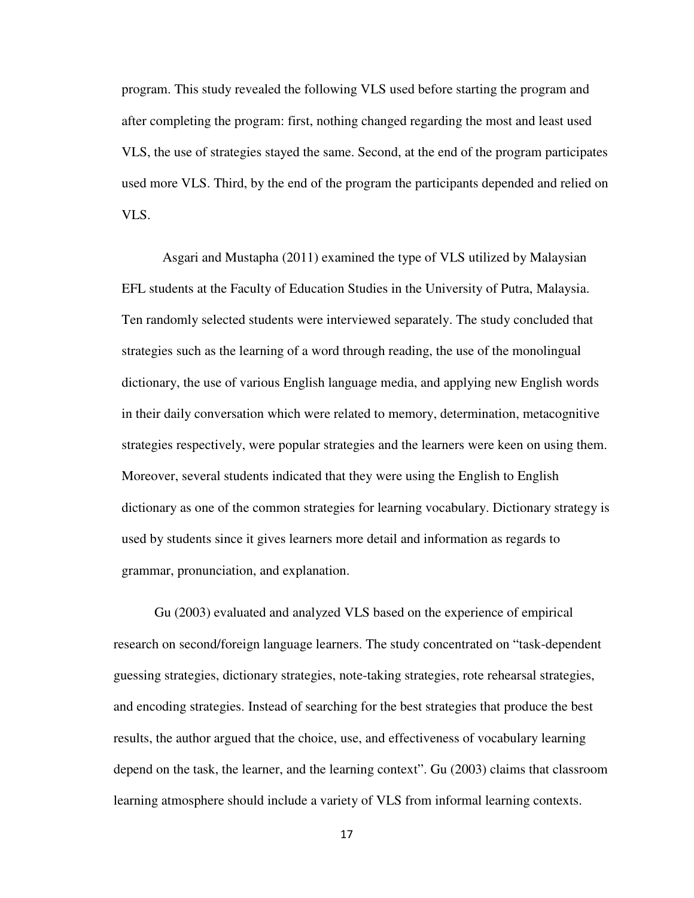program. This study revealed the following VLS used before starting the program and after completing the program: first, nothing changed regarding the most and least used VLS, the use of strategies stayed the same. Second, at the end of the program participates used more VLS. Third, by the end of the program the participants depended and relied on VLS.

Asgari and Mustapha (2011) examined the type of VLS utilized by Malaysian EFL students at the Faculty of Education Studies in the University of Putra, Malaysia. Ten randomly selected students were interviewed separately. The study concluded that strategies such as the learning of a word through reading, the use of the monolingual dictionary, the use of various English language media, and applying new English words in their daily conversation which were related to memory, determination, metacognitive strategies respectively, were popular strategies and the learners were keen on using them. Moreover, several students indicated that they were using the English to English dictionary as one of the common strategies for learning vocabulary. Dictionary strategy is used by students since it gives learners more detail and information as regards to grammar, pronunciation, and explanation.

Gu (2003) evaluated and analyzed VLS based on the experience of empirical research on second/foreign language learners. The study concentrated on "task-dependent guessing strategies, dictionary strategies, note-taking strategies, rote rehearsal strategies, and encoding strategies. Instead of searching for the best strategies that produce the best results, the author argued that the choice, use, and effectiveness of vocabulary learning depend on the task, the learner, and the learning context". Gu (2003) claims that classroom learning atmosphere should include a variety of VLS from informal learning contexts.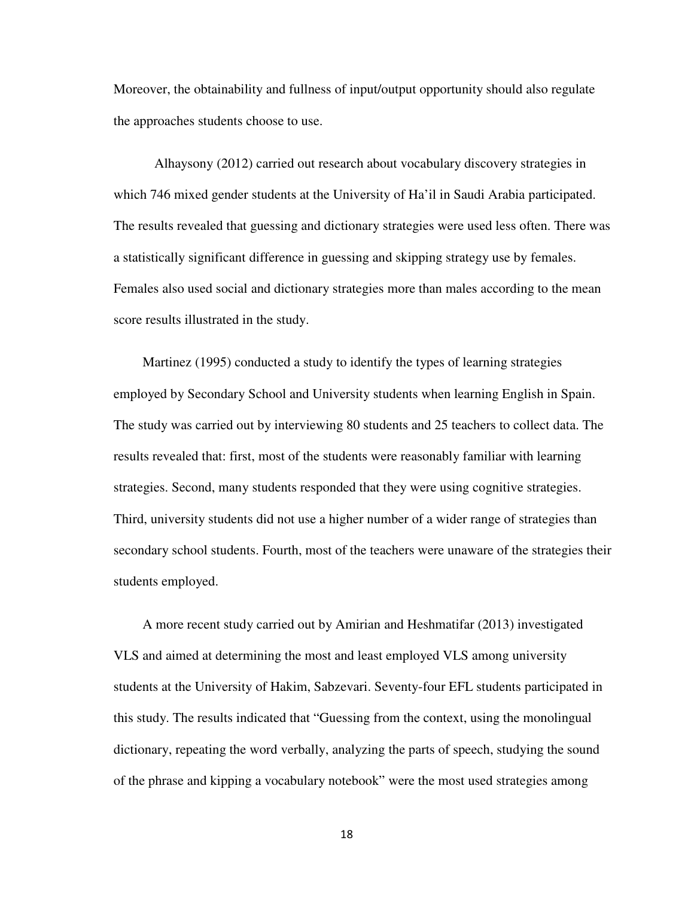Moreover, the obtainability and fullness of input/output opportunity should also regulate the approaches students choose to use.

Alhaysony (2012) carried out research about vocabulary discovery strategies in which 746 mixed gender students at the University of Ha'il in Saudi Arabia participated. The results revealed that guessing and dictionary strategies were used less often. There was a statistically significant difference in guessing and skipping strategy use by females. Females also used social and dictionary strategies more than males according to the mean score results illustrated in the study.

Martinez (1995) conducted a study to identify the types of learning strategies employed by Secondary School and University students when learning English in Spain. The study was carried out by interviewing 80 students and 25 teachers to collect data. The results revealed that: first, most of the students were reasonably familiar with learning strategies. Second, many students responded that they were using cognitive strategies. Third, university students did not use a higher number of a wider range of strategies than secondary school students. Fourth, most of the teachers were unaware of the strategies their students employed.

A more recent study carried out by Amirian and Heshmatifar (2013) investigated VLS and aimed at determining the most and least employed VLS among university students at the University of Hakim, Sabzevari. Seventy-four EFL students participated in this study. The results indicated that "Guessing from the context, using the monolingual dictionary, repeating the word verbally, analyzing the parts of speech, studying the sound of the phrase and kipping a vocabulary notebook" were the most used strategies among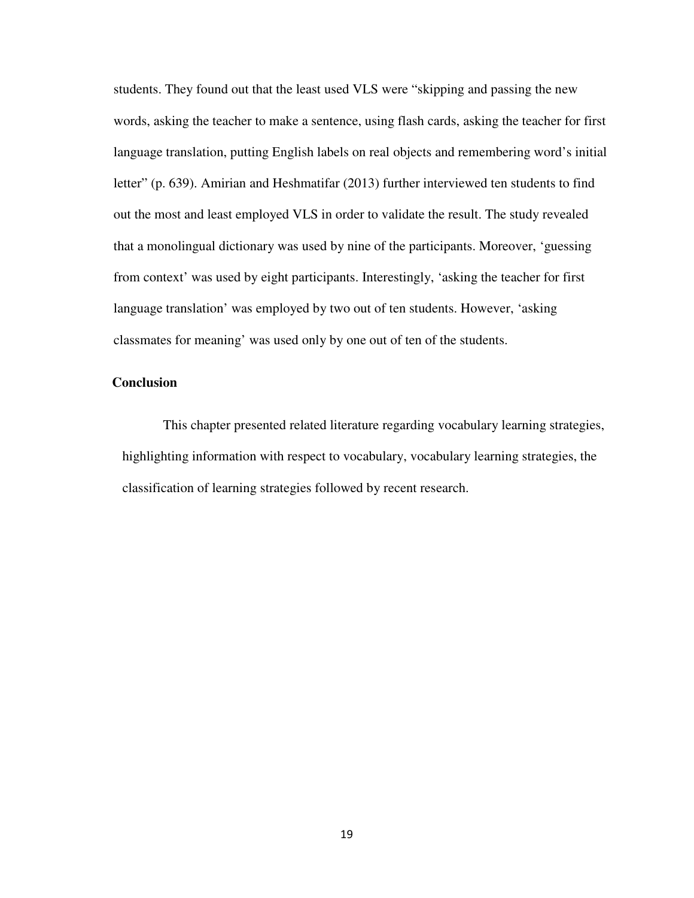students. They found out that the least used VLS were "skipping and passing the new words, asking the teacher to make a sentence, using flash cards, asking the teacher for first language translation, putting English labels on real objects and remembering word's initial letter" (p. 639). Amirian and Heshmatifar (2013) further interviewed ten students to find out the most and least employed VLS in order to validate the result. The study revealed that a monolingual dictionary was used by nine of the participants. Moreover, 'guessing from context' was used by eight participants. Interestingly, 'asking the teacher for first language translation' was employed by two out of ten students. However, 'asking classmates for meaning' was used only by one out of ten of the students.

#### **Conclusion**

This chapter presented related literature regarding vocabulary learning strategies, highlighting information with respect to vocabulary, vocabulary learning strategies, the classification of learning strategies followed by recent research.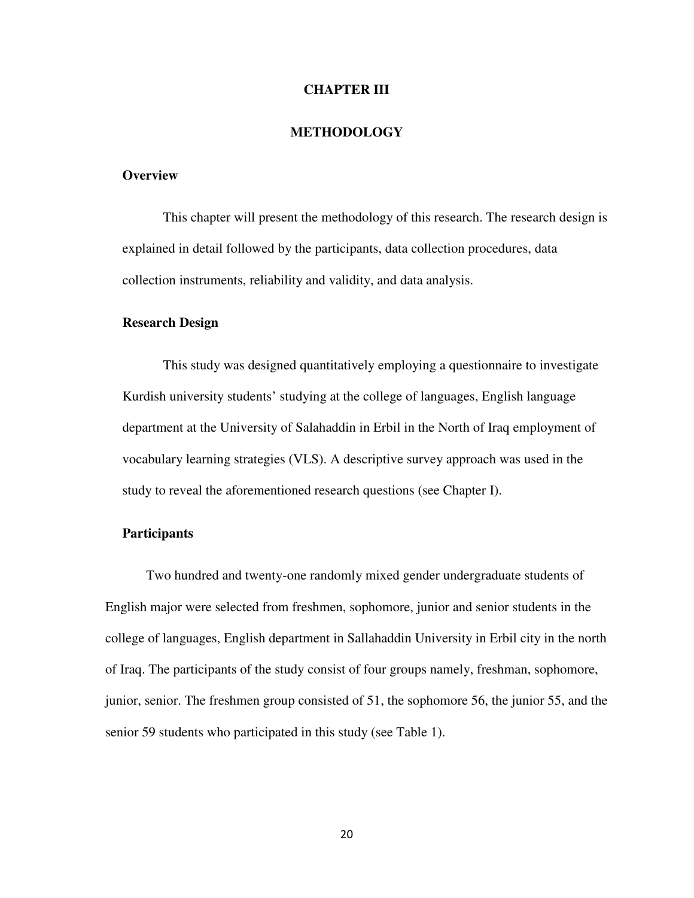#### **CHAPTER III**

#### **METHODOLOGY**

#### **Overview**

This chapter will present the methodology of this research. The research design is explained in detail followed by the participants, data collection procedures, data collection instruments, reliability and validity, and data analysis.

#### **Research Design**

This study was designed quantitatively employing a questionnaire to investigate Kurdish university students' studying at the college of languages, English language department at the University of Salahaddin in Erbil in the North of Iraq employment of vocabulary learning strategies (VLS). A descriptive survey approach was used in the study to reveal the aforementioned research questions (see Chapter I).

#### **Participants**

Two hundred and twenty-one randomly mixed gender undergraduate students of English major were selected from freshmen, sophomore, junior and senior students in the college of languages, English department in Sallahaddin University in Erbil city in the north of Iraq. The participants of the study consist of four groups namely, freshman, sophomore, junior, senior. The freshmen group consisted of 51, the sophomore 56, the junior 55, and the senior 59 students who participated in this study (see Table 1).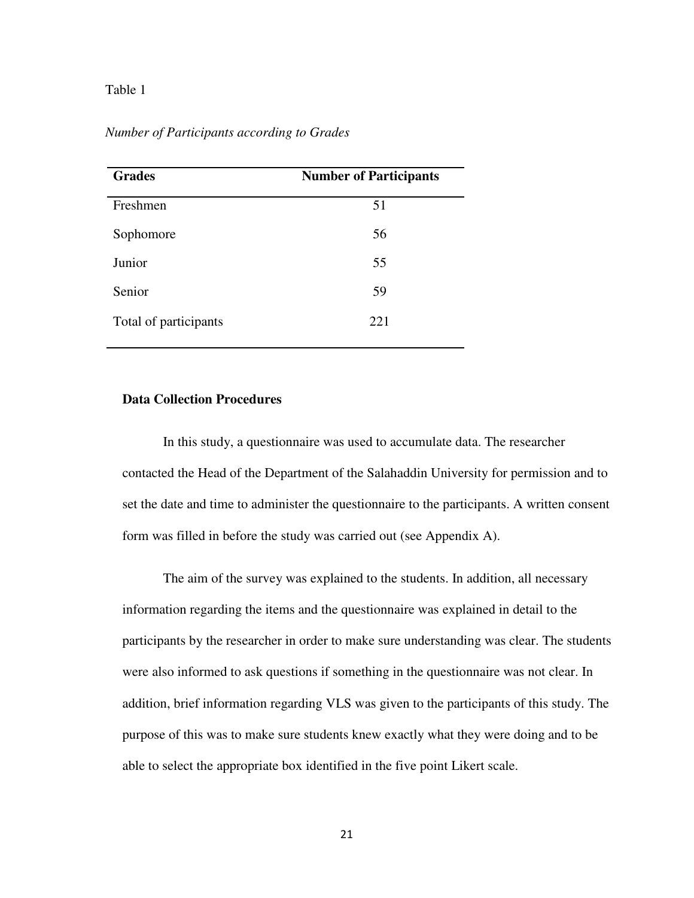#### Table 1

| <b>Grades</b>         | <b>Number of Participants</b> |
|-----------------------|-------------------------------|
| Freshmen              | 51                            |
| Sophomore             | 56                            |
| Junior                | 55                            |
| Senior                | 59                            |
| Total of participants | 221                           |

*Number of Participants according to Grades* 

#### **Data Collection Procedures**

In this study, a questionnaire was used to accumulate data. The researcher contacted the Head of the Department of the Salahaddin University for permission and to set the date and time to administer the questionnaire to the participants. A written consent form was filled in before the study was carried out (see Appendix A).

The aim of the survey was explained to the students. In addition, all necessary information regarding the items and the questionnaire was explained in detail to the participants by the researcher in order to make sure understanding was clear. The students were also informed to ask questions if something in the questionnaire was not clear. In addition, brief information regarding VLS was given to the participants of this study. The purpose of this was to make sure students knew exactly what they were doing and to be able to select the appropriate box identified in the five point Likert scale.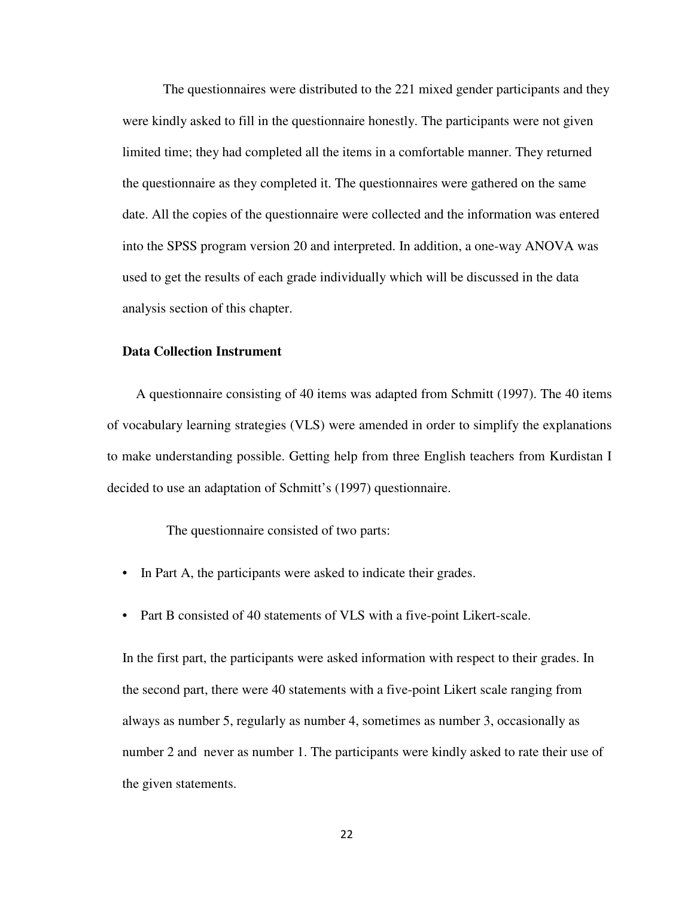The questionnaires were distributed to the 221 mixed gender participants and they were kindly asked to fill in the questionnaire honestly. The participants were not given limited time; they had completed all the items in a comfortable manner. They returned the questionnaire as they completed it. The questionnaires were gathered on the same date. All the copies of the questionnaire were collected and the information was entered into the SPSS program version 20 and interpreted. In addition, a one-way ANOVA was used to get the results of each grade individually which will be discussed in the data analysis section of this chapter.

#### **Data Collection Instrument**

A questionnaire consisting of 40 items was adapted from Schmitt (1997). The 40 items of vocabulary learning strategies (VLS) were amended in order to simplify the explanations to make understanding possible. Getting help from three English teachers from Kurdistan I decided to use an adaptation of Schmitt's (1997) questionnaire.

The questionnaire consisted of two parts:

- In Part A, the participants were asked to indicate their grades.
- Part B consisted of 40 statements of VLS with a five-point Likert-scale.

In the first part, the participants were asked information with respect to their grades. In the second part, there were 40 statements with a five-point Likert scale ranging from always as number 5, regularly as number 4, sometimes as number 3, occasionally as number 2 and never as number 1. The participants were kindly asked to rate their use of the given statements.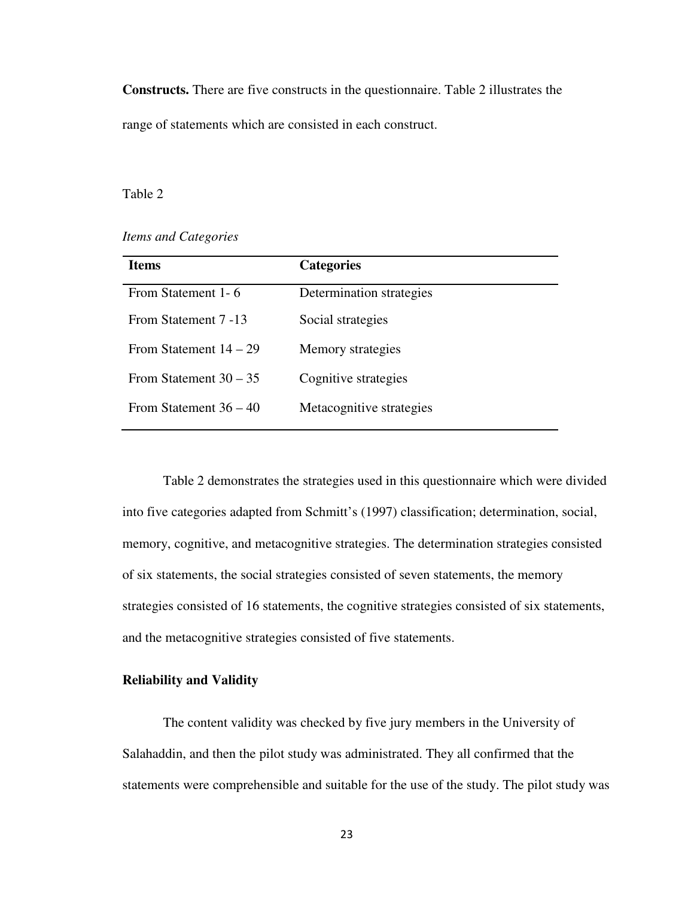**Constructs.** There are five constructs in the questionnaire. Table 2 illustrates the range of statements which are consisted in each construct.

Table 2

*Items and Categories* 

| <b>Items</b>             | <b>Categories</b>        |
|--------------------------|--------------------------|
| From Statement 1-6       | Determination strategies |
| From Statement 7 -13     | Social strategies        |
| From Statement $14 - 29$ | Memory strategies        |
| From Statement $30 - 35$ | Cognitive strategies     |
| From Statement $36 - 40$ | Metacognitive strategies |
|                          |                          |

Table 2 demonstrates the strategies used in this questionnaire which were divided into five categories adapted from Schmitt's (1997) classification; determination, social, memory, cognitive, and metacognitive strategies. The determination strategies consisted of six statements, the social strategies consisted of seven statements, the memory strategies consisted of 16 statements, the cognitive strategies consisted of six statements, and the metacognitive strategies consisted of five statements.

#### **Reliability and Validity**

The content validity was checked by five jury members in the University of Salahaddin, and then the pilot study was administrated. They all confirmed that the statements were comprehensible and suitable for the use of the study. The pilot study was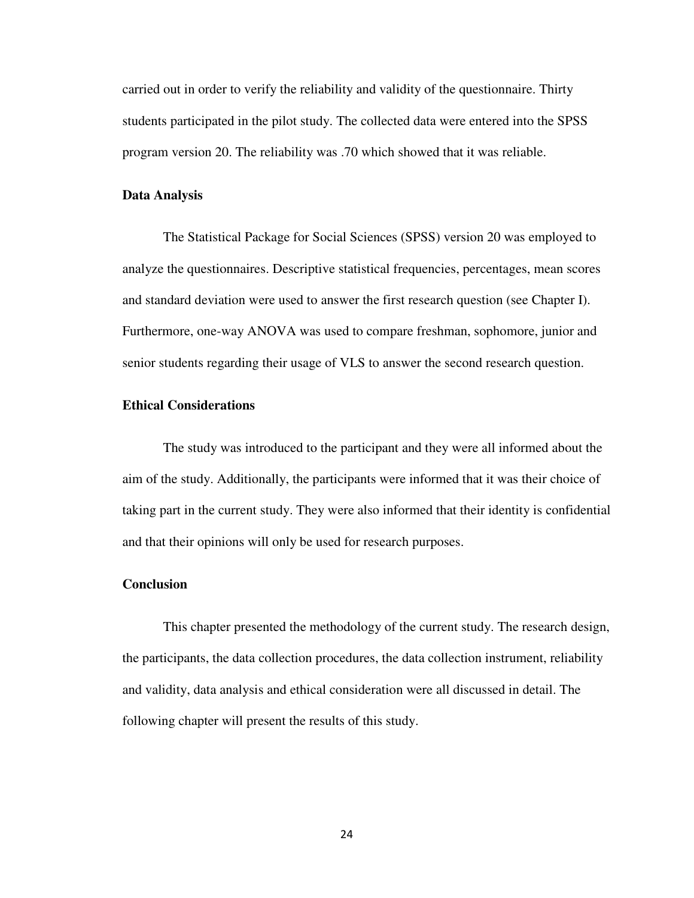carried out in order to verify the reliability and validity of the questionnaire. Thirty students participated in the pilot study. The collected data were entered into the SPSS program version 20. The reliability was .70 which showed that it was reliable.

#### **Data Analysis**

The Statistical Package for Social Sciences (SPSS) version 20 was employed to analyze the questionnaires. Descriptive statistical frequencies, percentages, mean scores and standard deviation were used to answer the first research question (see Chapter I). Furthermore, one-way ANOVA was used to compare freshman, sophomore, junior and senior students regarding their usage of VLS to answer the second research question.

# **Ethical Considerations**

The study was introduced to the participant and they were all informed about the aim of the study. Additionally, the participants were informed that it was their choice of taking part in the current study. They were also informed that their identity is confidential and that their opinions will only be used for research purposes.

#### **Conclusion**

This chapter presented the methodology of the current study. The research design, the participants, the data collection procedures, the data collection instrument, reliability and validity, data analysis and ethical consideration were all discussed in detail. The following chapter will present the results of this study.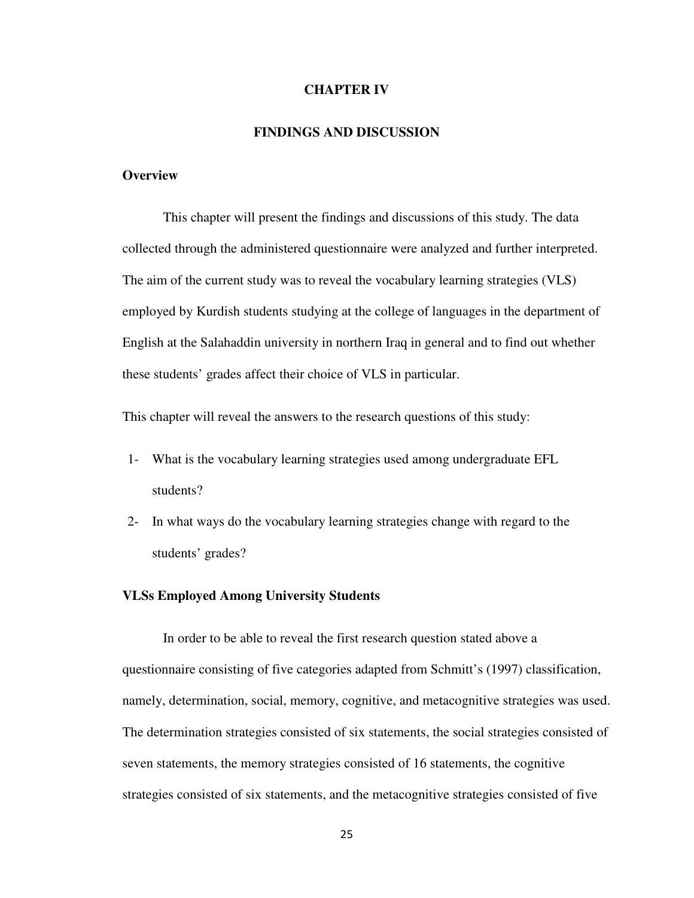#### **CHAPTER IV**

#### **FINDINGS AND DISCUSSION**

### **Overview**

This chapter will present the findings and discussions of this study. The data collected through the administered questionnaire were analyzed and further interpreted. The aim of the current study was to reveal the vocabulary learning strategies (VLS) employed by Kurdish students studying at the college of languages in the department of English at the Salahaddin university in northern Iraq in general and to find out whether these students' grades affect their choice of VLS in particular.

This chapter will reveal the answers to the research questions of this study:

- 1- What is the vocabulary learning strategies used among undergraduate EFL students?
- 2- In what ways do the vocabulary learning strategies change with regard to the students' grades?

### **VLSs Employed Among University Students**

In order to be able to reveal the first research question stated above a questionnaire consisting of five categories adapted from Schmitt's (1997) classification, namely, determination, social, memory, cognitive, and metacognitive strategies was used. The determination strategies consisted of six statements, the social strategies consisted of seven statements, the memory strategies consisted of 16 statements, the cognitive strategies consisted of six statements, and the metacognitive strategies consisted of five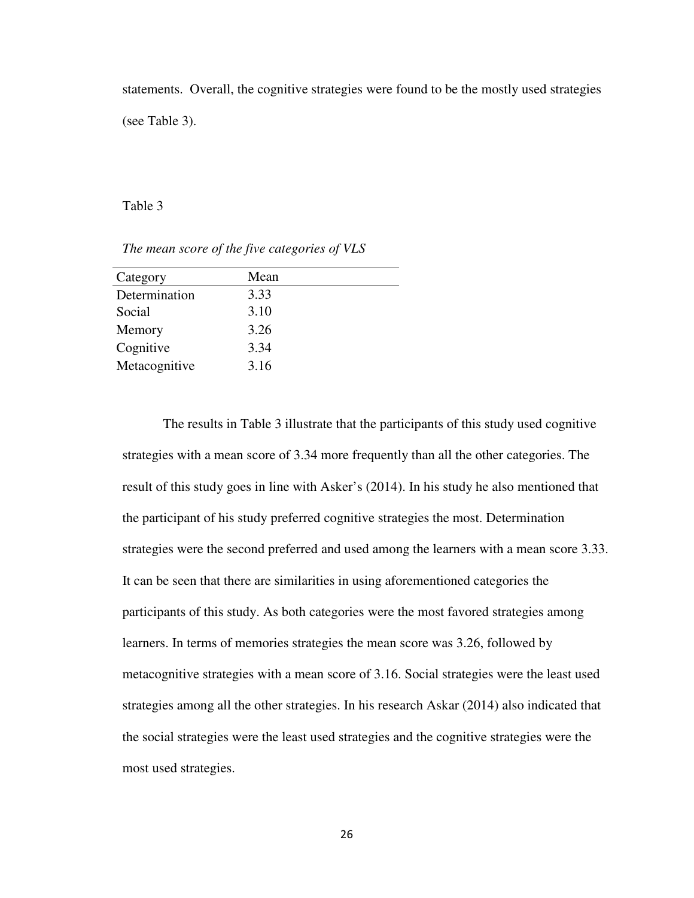statements. Overall, the cognitive strategies were found to be the mostly used strategies (see Table 3).

Table 3

*The mean score of the five categories of VLS* 

| Category      | Mean |
|---------------|------|
| Determination | 3.33 |
| Social        | 3.10 |
| Memory        | 3.26 |
| Cognitive     | 3.34 |
| Metacognitive | 3.16 |
|               |      |

The results in Table 3 illustrate that the participants of this study used cognitive strategies with a mean score of 3.34 more frequently than all the other categories. The result of this study goes in line with Asker's (2014). In his study he also mentioned that the participant of his study preferred cognitive strategies the most. Determination strategies were the second preferred and used among the learners with a mean score 3.33. It can be seen that there are similarities in using aforementioned categories the participants of this study. As both categories were the most favored strategies among learners. In terms of memories strategies the mean score was 3.26, followed by metacognitive strategies with a mean score of 3.16. Social strategies were the least used strategies among all the other strategies. In his research Askar (2014) also indicated that the social strategies were the least used strategies and the cognitive strategies were the most used strategies.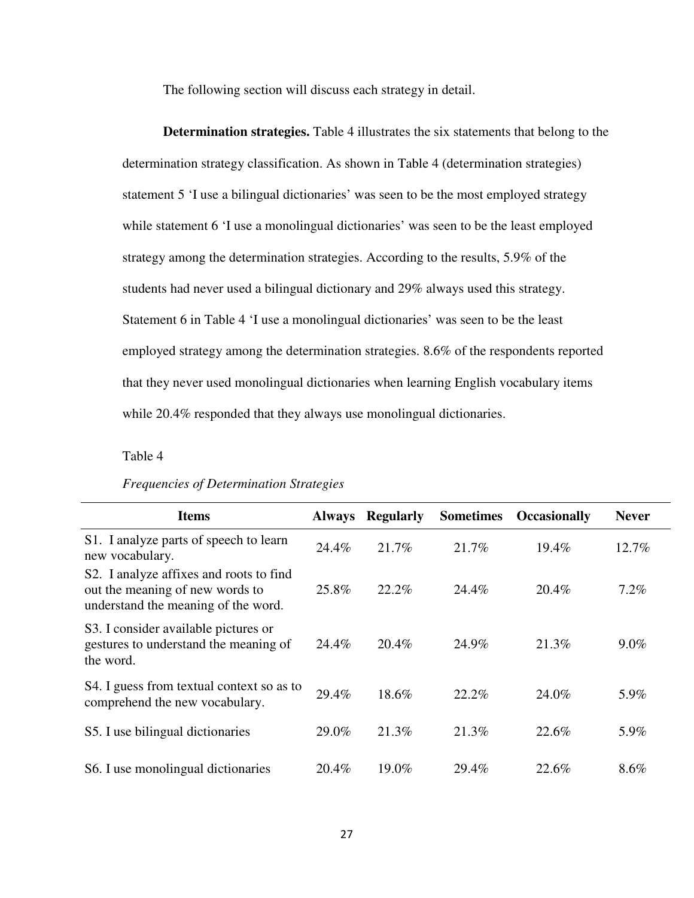The following section will discuss each strategy in detail.

**Determination strategies.** Table 4 illustrates the six statements that belong to the determination strategy classification. As shown in Table 4 (determination strategies) statement 5 'I use a bilingual dictionaries' was seen to be the most employed strategy while statement 6 'I use a monolingual dictionaries' was seen to be the least employed strategy among the determination strategies. According to the results, 5.9% of the students had never used a bilingual dictionary and 29% always used this strategy. Statement 6 in Table 4 'I use a monolingual dictionaries' was seen to be the least employed strategy among the determination strategies. 8.6% of the respondents reported that they never used monolingual dictionaries when learning English vocabulary items while 20.4% responded that they always use monolingual dictionaries.

Table 4

|  | <b>Frequencies of Determination Strategies</b> |  |
|--|------------------------------------------------|--|
|--|------------------------------------------------|--|

| <b>Items</b>                                                                                                      | <b>Always</b> | <b>Regularly</b> | <b>Sometimes</b> | <b>Occasionally</b> | <b>Never</b> |  |
|-------------------------------------------------------------------------------------------------------------------|---------------|------------------|------------------|---------------------|--------------|--|
| S1. I analyze parts of speech to learn<br>new vocabulary.                                                         | 24.4%         | 21.7%            | 21.7%            | 19.4%               | 12.7%        |  |
| S2. I analyze affixes and roots to find<br>out the meaning of new words to<br>understand the meaning of the word. | 25.8%         | 22.2%            | 24.4%            | 20.4%               | 7.2%         |  |
| S3. I consider available pictures or<br>gestures to understand the meaning of<br>the word.                        | 24.4%         | 20.4%            | 24.9%            | 21.3%               | $9.0\%$      |  |
| S4. I guess from textual context so as to<br>comprehend the new vocabulary.                                       | 29.4%         | 18.6%            | 22.2%            | 24.0%               | 5.9%         |  |
| S5. I use bilingual dictionaries                                                                                  | 29.0%         | 21.3%            | 21.3%            | 22.6%               | 5.9%         |  |
| S6. I use monolingual dictionaries                                                                                | $20.4\%$      | 19.0%            | 29.4%            | 22.6%               | 8.6%         |  |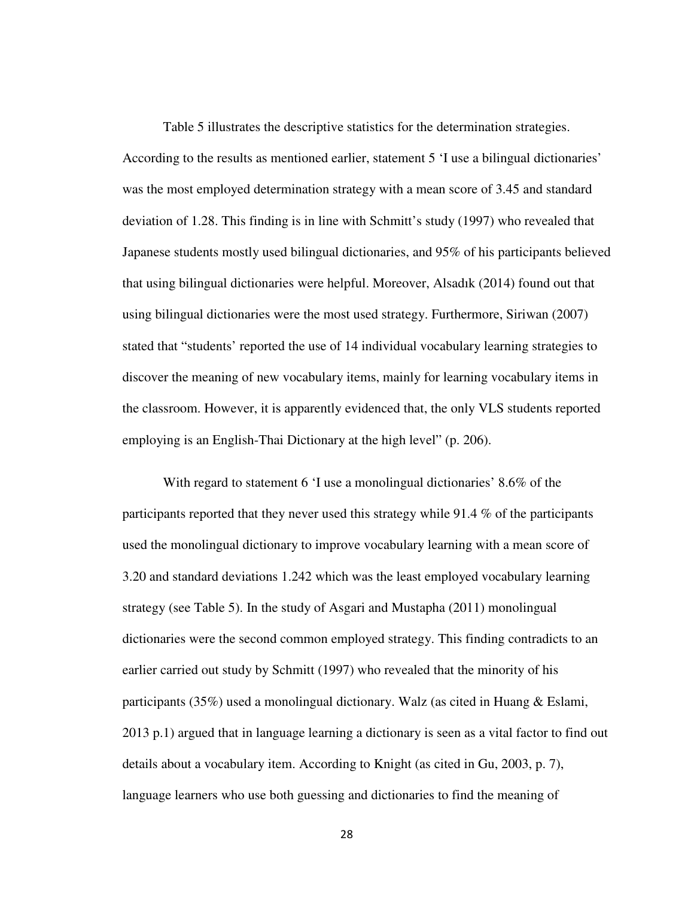Table 5 illustrates the descriptive statistics for the determination strategies. According to the results as mentioned earlier, statement 5 'I use a bilingual dictionaries' was the most employed determination strategy with a mean score of 3.45 and standard deviation of 1.28. This finding is in line with Schmitt's study (1997) who revealed that Japanese students mostly used bilingual dictionaries, and 95% of his participants believed that using bilingual dictionaries were helpful. Moreover, Alsadık (2014) found out that using bilingual dictionaries were the most used strategy. Furthermore, Siriwan (2007) stated that "students' reported the use of 14 individual vocabulary learning strategies to discover the meaning of new vocabulary items, mainly for learning vocabulary items in the classroom. However, it is apparently evidenced that, the only VLS students reported employing is an English-Thai Dictionary at the high level" (p. 206).

With regard to statement 6 'I use a monolingual dictionaries' 8.6% of the participants reported that they never used this strategy while 91.4 % of the participants used the monolingual dictionary to improve vocabulary learning with a mean score of 3.20 and standard deviations 1.242 which was the least employed vocabulary learning strategy (see Table 5). In the study of Asgari and Mustapha (2011) monolingual dictionaries were the second common employed strategy. This finding contradicts to an earlier carried out study by Schmitt (1997) who revealed that the minority of his participants (35%) used a monolingual dictionary. Walz (as cited in Huang & Eslami, 2013 p.1) argued that in language learning a dictionary is seen as a vital factor to find out details about a vocabulary item. According to Knight (as cited in Gu, 2003, p. 7), language learners who use both guessing and dictionaries to find the meaning of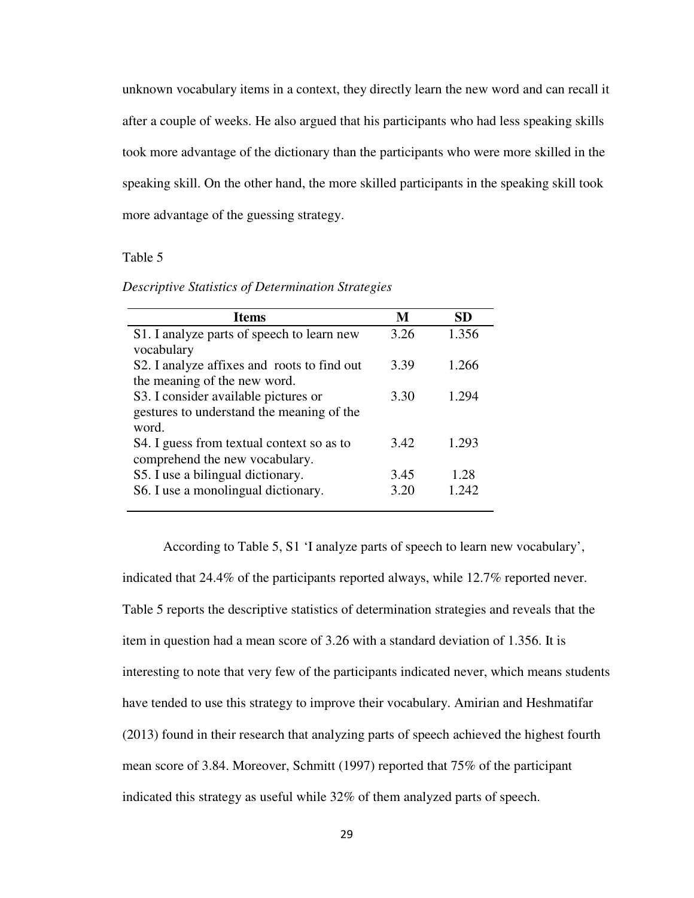unknown vocabulary items in a context, they directly learn the new word and can recall it after a couple of weeks. He also argued that his participants who had less speaking skills took more advantage of the dictionary than the participants who were more skilled in the speaking skill. On the other hand, the more skilled participants in the speaking skill took more advantage of the guessing strategy.

### Table 5

|  | Descriptive Statistics of Determination Strategies |  |
|--|----------------------------------------------------|--|
|  |                                                    |  |
|  |                                                    |  |

| <b>Items</b>                                | M    | <b>SD</b> |
|---------------------------------------------|------|-----------|
| S1. I analyze parts of speech to learn new  | 3.26 | 1.356     |
| vocabulary                                  |      |           |
| S2. I analyze affixes and roots to find out | 3.39 | 1.266     |
| the meaning of the new word.                |      |           |
| S3. I consider available pictures or        | 3.30 | 1.294     |
| gestures to understand the meaning of the   |      |           |
| word.                                       |      |           |
| S4. I guess from textual context so as to   | 3.42 | 1.293     |
| comprehend the new vocabulary.              |      |           |
| S5. I use a bilingual dictionary.           | 3.45 | 1.28      |
| S6. I use a monolingual dictionary.         | 3.20 | 1.242     |
|                                             |      |           |

According to Table 5, S1 'I analyze parts of speech to learn new vocabulary', indicated that 24.4% of the participants reported always, while 12.7% reported never. Table 5 reports the descriptive statistics of determination strategies and reveals that the item in question had a mean score of 3.26 with a standard deviation of 1.356. It is interesting to note that very few of the participants indicated never, which means students have tended to use this strategy to improve their vocabulary. Amirian and Heshmatifar (2013) found in their research that analyzing parts of speech achieved the highest fourth mean score of 3.84. Moreover, Schmitt (1997) reported that 75% of the participant indicated this strategy as useful while 32% of them analyzed parts of speech.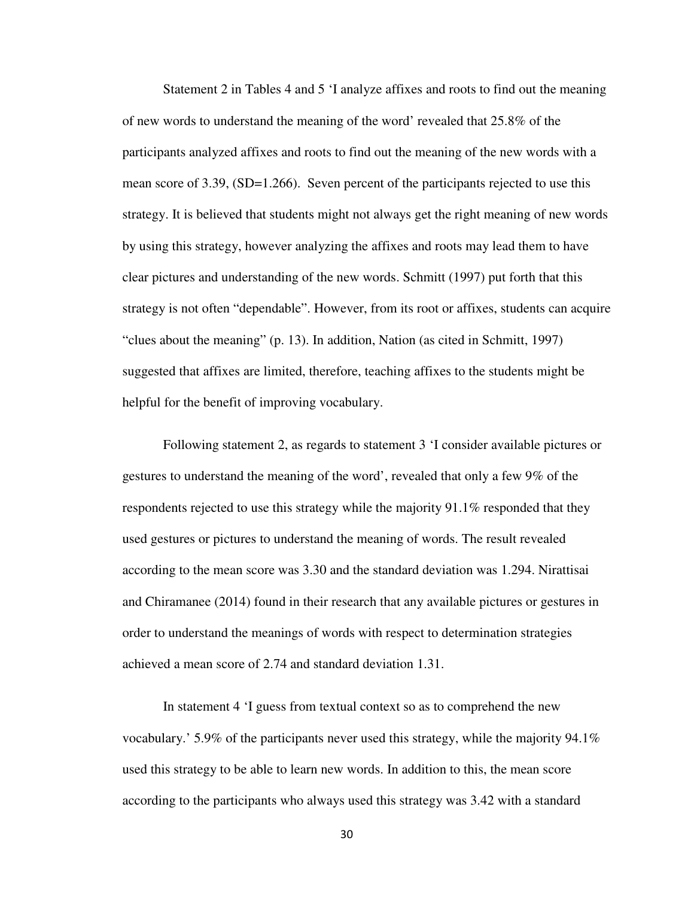Statement 2 in Tables 4 and 5 'I analyze affixes and roots to find out the meaning of new words to understand the meaning of the word' revealed that 25.8% of the participants analyzed affixes and roots to find out the meaning of the new words with a mean score of 3.39, (SD=1.266). Seven percent of the participants rejected to use this strategy. It is believed that students might not always get the right meaning of new words by using this strategy, however analyzing the affixes and roots may lead them to have clear pictures and understanding of the new words. Schmitt (1997) put forth that this strategy is not often "dependable". However, from its root or affixes, students can acquire "clues about the meaning" (p. 13). In addition, Nation (as cited in Schmitt, 1997) suggested that affixes are limited, therefore, teaching affixes to the students might be helpful for the benefit of improving vocabulary.

Following statement 2, as regards to statement 3 'I consider available pictures or gestures to understand the meaning of the word', revealed that only a few 9% of the respondents rejected to use this strategy while the majority 91.1% responded that they used gestures or pictures to understand the meaning of words. The result revealed according to the mean score was 3.30 and the standard deviation was 1.294. Nirattisai and Chiramanee (2014) found in their research that any available pictures or gestures in order to understand the meanings of words with respect to determination strategies achieved a mean score of 2.74 and standard deviation 1.31.

In statement 4 'I guess from textual context so as to comprehend the new vocabulary.' 5.9% of the participants never used this strategy, while the majority 94.1% used this strategy to be able to learn new words. In addition to this, the mean score according to the participants who always used this strategy was 3.42 with a standard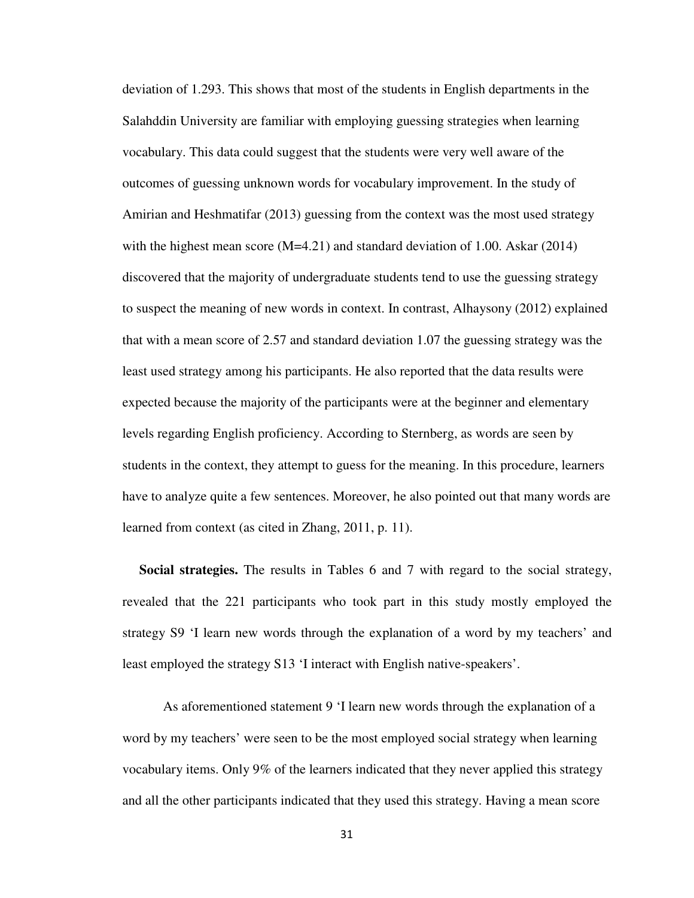deviation of 1.293. This shows that most of the students in English departments in the Salahddin University are familiar with employing guessing strategies when learning vocabulary. This data could suggest that the students were very well aware of the outcomes of guessing unknown words for vocabulary improvement. In the study of Amirian and Heshmatifar (2013) guessing from the context was the most used strategy with the highest mean score  $(M=4.21)$  and standard deviation of 1.00. Askar (2014) discovered that the majority of undergraduate students tend to use the guessing strategy to suspect the meaning of new words in context. In contrast, Alhaysony (2012) explained that with a mean score of 2.57 and standard deviation 1.07 the guessing strategy was the least used strategy among his participants. He also reported that the data results were expected because the majority of the participants were at the beginner and elementary levels regarding English proficiency. According to Sternberg, as words are seen by students in the context, they attempt to guess for the meaning. In this procedure, learners have to analyze quite a few sentences. Moreover, he also pointed out that many words are learned from context (as cited in Zhang, 2011, p. 11).

 **Social strategies.** The results in Tables 6 and 7 with regard to the social strategy, revealed that the 221 participants who took part in this study mostly employed the strategy S9 'I learn new words through the explanation of a word by my teachers' and least employed the strategy S13 'I interact with English native-speakers'.

As aforementioned statement 9 'I learn new words through the explanation of a word by my teachers' were seen to be the most employed social strategy when learning vocabulary items. Only 9% of the learners indicated that they never applied this strategy and all the other participants indicated that they used this strategy. Having a mean score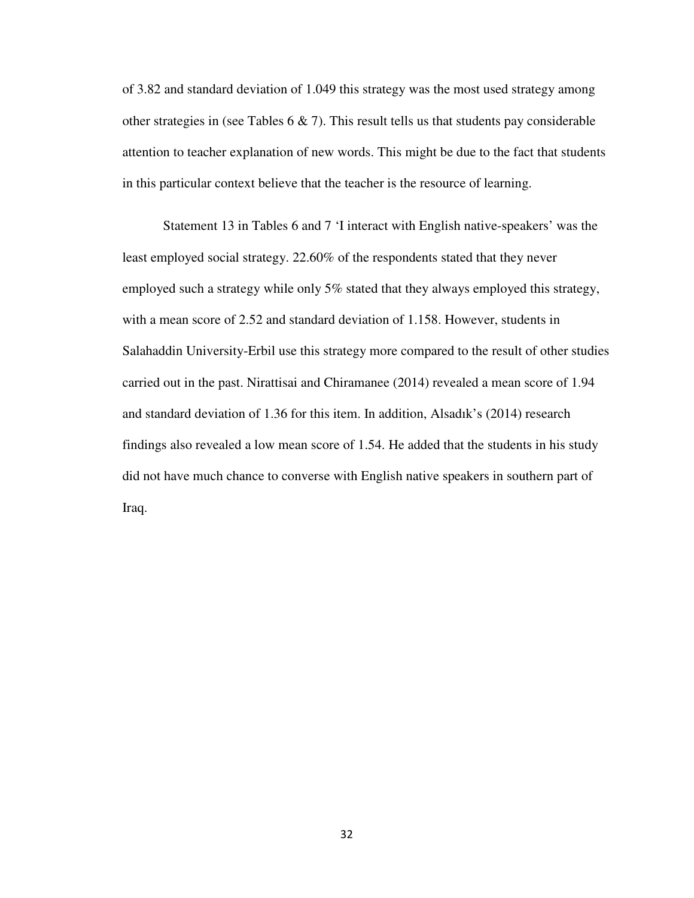of 3.82 and standard deviation of 1.049 this strategy was the most used strategy among other strategies in (see Tables  $6 \& 7$ ). This result tells us that students pay considerable attention to teacher explanation of new words. This might be due to the fact that students in this particular context believe that the teacher is the resource of learning.

Statement 13 in Tables 6 and 7 'I interact with English native-speakers' was the least employed social strategy. 22.60% of the respondents stated that they never employed such a strategy while only 5% stated that they always employed this strategy, with a mean score of 2.52 and standard deviation of 1.158. However, students in Salahaddin University-Erbil use this strategy more compared to the result of other studies carried out in the past. Nirattisai and Chiramanee (2014) revealed a mean score of 1.94 and standard deviation of 1.36 for this item. In addition, Alsadık's (2014) research findings also revealed a low mean score of 1.54. He added that the students in his study did not have much chance to converse with English native speakers in southern part of Iraq.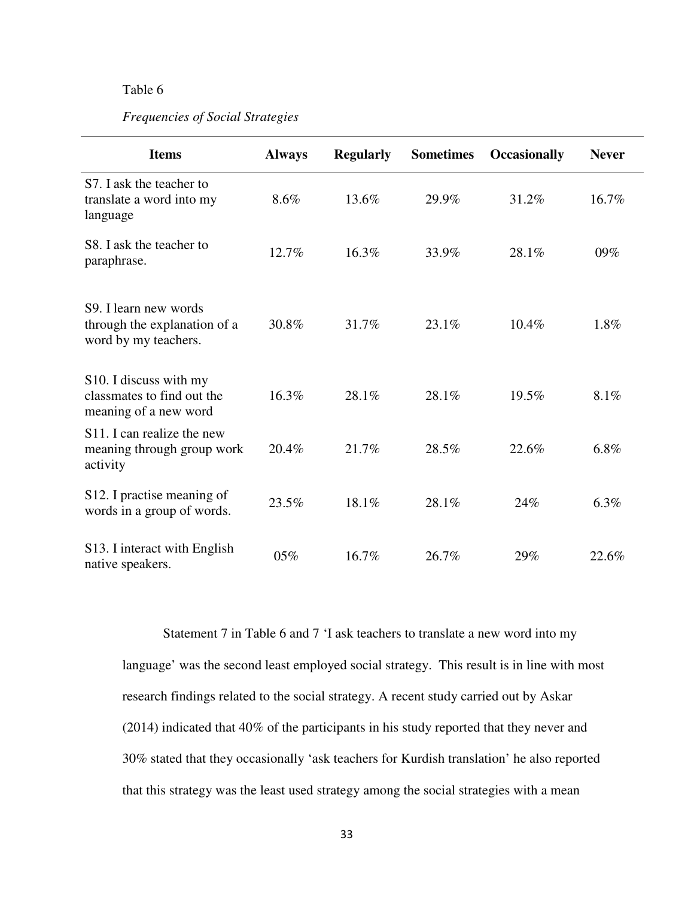# Table 6

### *Frequencies of Social Strategies*

| <b>Items</b>                                                                               | <b>Always</b> | <b>Regularly</b> | <b>Sometimes</b> | <b>Occasionally</b> | <b>Never</b> |
|--------------------------------------------------------------------------------------------|---------------|------------------|------------------|---------------------|--------------|
| S7. I ask the teacher to<br>translate a word into my<br>language                           | 8.6%          | 13.6%            | 29.9%            | 31.2%               | 16.7%        |
| S8. I ask the teacher to<br>paraphrase.                                                    | 12.7%         | 16.3%            | 33.9%            | 28.1%               | 09%          |
| S <sub>9</sub> . I learn new words<br>through the explanation of a<br>word by my teachers. | 30.8%         | 31.7%            | 23.1%            | 10.4%               | 1.8%         |
| S10. I discuss with my<br>classmates to find out the<br>meaning of a new word              | 16.3%         | 28.1%            | 28.1%            | 19.5%               | 8.1%         |
| S <sub>11</sub> . I can realize the new<br>meaning through group work<br>activity          | 20.4%         | 21.7%            | 28.5%            | 22.6%               | 6.8%         |
| S12. I practise meaning of<br>words in a group of words.                                   | 23.5%         | 18.1%            | 28.1%            | 24%                 | 6.3%         |
| S13. I interact with English<br>native speakers.                                           | 05%           | 16.7%            | 26.7%            | 29%                 | 22.6%        |

 Statement 7 in Table 6 and 7 'I ask teachers to translate a new word into my language' was the second least employed social strategy. This result is in line with most research findings related to the social strategy. A recent study carried out by Askar (2014) indicated that 40% of the participants in his study reported that they never and 30% stated that they occasionally 'ask teachers for Kurdish translation' he also reported that this strategy was the least used strategy among the social strategies with a mean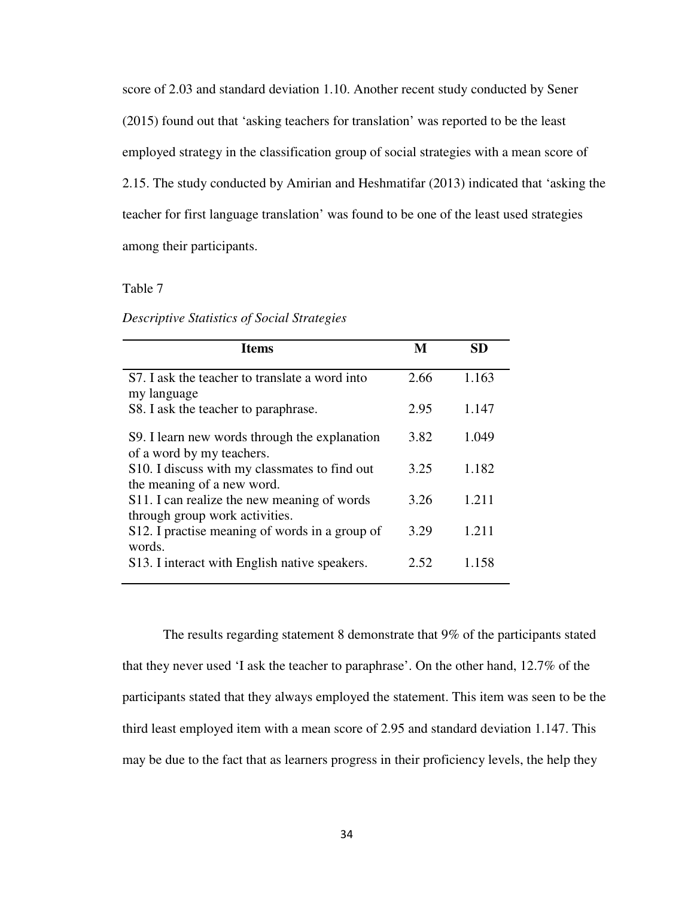score of 2.03 and standard deviation 1.10. Another recent study conducted by Sener (2015) found out that 'asking teachers for translation' was reported to be the least employed strategy in the classification group of social strategies with a mean score of 2.15. The study conducted by Amirian and Heshmatifar (2013) indicated that 'asking the teacher for first language translation' was found to be one of the least used strategies among their participants.

Table 7

*Descriptive Statistics of Social Strategies* 

| <b>Items</b>                                                                  | M    | SD    |
|-------------------------------------------------------------------------------|------|-------|
| S7. I ask the teacher to translate a word into                                | 2.66 | 1.163 |
| my language<br>S8. I ask the teacher to paraphrase.                           | 2.95 | 1.147 |
| S9. I learn new words through the explanation<br>of a word by my teachers.    | 3.82 | 1.049 |
| S10. I discuss with my classmates to find out<br>the meaning of a new word.   | 3.25 | 1.182 |
| S11. I can realize the new meaning of words<br>through group work activities. | 3.26 | 1.211 |
| S12. I practise meaning of words in a group of                                | 3.29 | 1.211 |
| words.<br>S13. I interact with English native speakers.                       | 2.52 | 1.158 |

The results regarding statement 8 demonstrate that 9% of the participants stated that they never used 'I ask the teacher to paraphrase'. On the other hand, 12.7% of the participants stated that they always employed the statement. This item was seen to be the third least employed item with a mean score of 2.95 and standard deviation 1.147. This may be due to the fact that as learners progress in their proficiency levels, the help they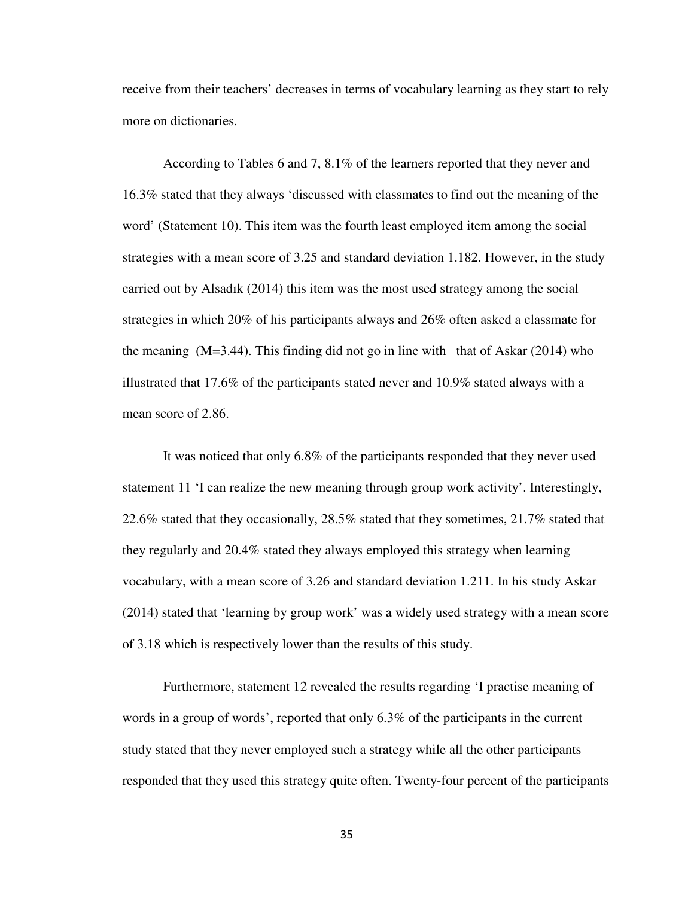receive from their teachers' decreases in terms of vocabulary learning as they start to rely more on dictionaries.

According to Tables 6 and 7, 8.1% of the learners reported that they never and 16.3% stated that they always 'discussed with classmates to find out the meaning of the word' (Statement 10). This item was the fourth least employed item among the social strategies with a mean score of 3.25 and standard deviation 1.182. However, in the study carried out by Alsadık (2014) this item was the most used strategy among the social strategies in which 20% of his participants always and 26% often asked a classmate for the meaning  $(M=3.44)$ . This finding did not go in line with that of Askar (2014) who illustrated that 17.6% of the participants stated never and 10.9% stated always with a mean score of 2.86.

It was noticed that only 6.8% of the participants responded that they never used statement 11 'I can realize the new meaning through group work activity'. Interestingly, 22.6% stated that they occasionally, 28.5% stated that they sometimes, 21.7% stated that they regularly and 20.4% stated they always employed this strategy when learning vocabulary, with a mean score of 3.26 and standard deviation 1.211. In his study Askar (2014) stated that 'learning by group work' was a widely used strategy with a mean score of 3.18 which is respectively lower than the results of this study.

Furthermore, statement 12 revealed the results regarding 'I practise meaning of words in a group of words', reported that only 6.3% of the participants in the current study stated that they never employed such a strategy while all the other participants responded that they used this strategy quite often. Twenty-four percent of the participants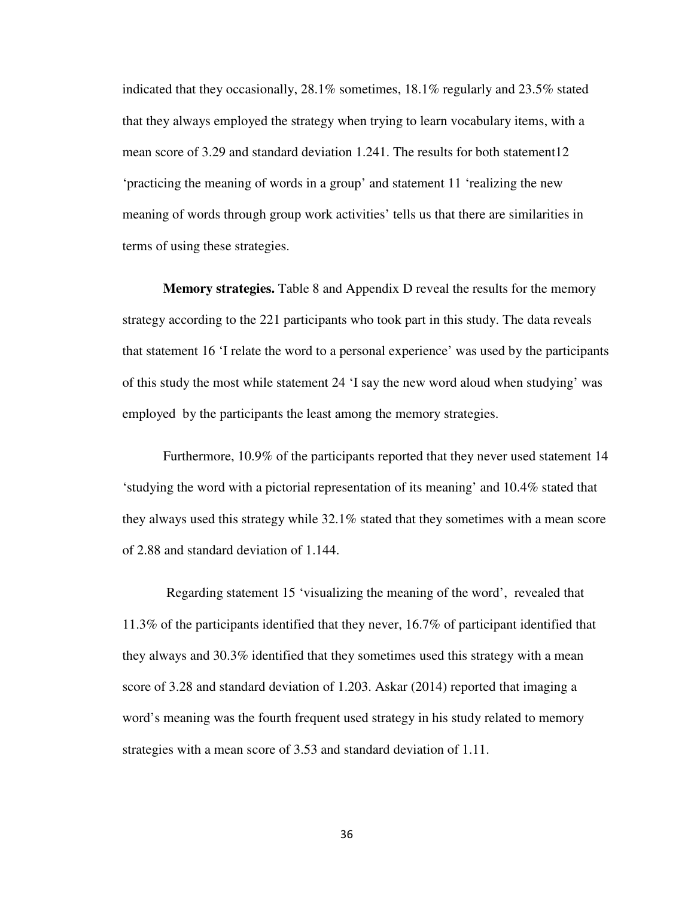indicated that they occasionally, 28.1% sometimes, 18.1% regularly and 23.5% stated that they always employed the strategy when trying to learn vocabulary items, with a mean score of 3.29 and standard deviation 1.241. The results for both statement12 'practicing the meaning of words in a group' and statement 11 'realizing the new meaning of words through group work activities' tells us that there are similarities in terms of using these strategies.

**Memory strategies.** Table 8 and Appendix D reveal the results for the memory strategy according to the 221 participants who took part in this study. The data reveals that statement 16 'I relate the word to a personal experience' was used by the participants of this study the most while statement 24 'I say the new word aloud when studying' was employed by the participants the least among the memory strategies.

 Furthermore, 10.9% of the participants reported that they never used statement 14 'studying the word with a pictorial representation of its meaning' and 10.4% stated that they always used this strategy while 32.1% stated that they sometimes with a mean score of 2.88 and standard deviation of 1.144.

 Regarding statement 15 'visualizing the meaning of the word', revealed that 11.3% of the participants identified that they never, 16.7% of participant identified that they always and 30.3% identified that they sometimes used this strategy with a mean score of 3.28 and standard deviation of 1.203. Askar (2014) reported that imaging a word's meaning was the fourth frequent used strategy in his study related to memory strategies with a mean score of 3.53 and standard deviation of 1.11.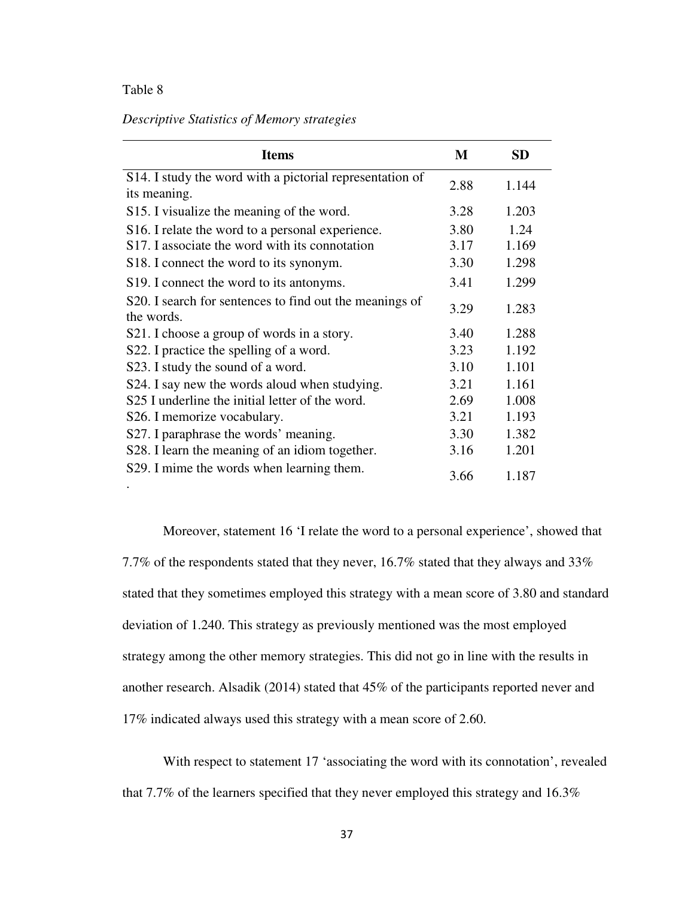# Table 8

# *Descriptive Statistics of Memory strategies*

| <b>Items</b>                                                          | M    | <b>SD</b> |
|-----------------------------------------------------------------------|------|-----------|
| S14. I study the word with a pictorial representation of              | 2.88 | 1.144     |
| its meaning.                                                          |      |           |
| S15. I visualize the meaning of the word.                             | 3.28 | 1.203     |
| S16. I relate the word to a personal experience.                      | 3.80 | 1.24      |
| S17. I associate the word with its connotation                        | 3.17 | 1.169     |
| S18. I connect the word to its synonym.                               | 3.30 | 1.298     |
| S19. I connect the word to its antonyms.                              | 3.41 | 1.299     |
| S20. I search for sentences to find out the meanings of<br>the words. | 3.29 | 1.283     |
| S21. I choose a group of words in a story.                            | 3.40 | 1.288     |
| S22. I practice the spelling of a word.                               | 3.23 | 1.192     |
| S23. I study the sound of a word.                                     | 3.10 | 1.101     |
| S24. I say new the words aloud when studying.                         | 3.21 | 1.161     |
| S25 I underline the initial letter of the word.                       | 2.69 | 1.008     |
| S26. I memorize vocabulary.                                           | 3.21 | 1.193     |
| S27. I paraphrase the words' meaning.                                 | 3.30 | 1.382     |
| S28. I learn the meaning of an idiom together.                        | 3.16 | 1.201     |
| S29. I mime the words when learning them.                             | 3.66 | 1.187     |

Moreover, statement 16 'I relate the word to a personal experience', showed that 7.7% of the respondents stated that they never, 16.7% stated that they always and 33% stated that they sometimes employed this strategy with a mean score of 3.80 and standard deviation of 1.240. This strategy as previously mentioned was the most employed strategy among the other memory strategies. This did not go in line with the results in another research. Alsadik (2014) stated that 45% of the participants reported never and 17% indicated always used this strategy with a mean score of 2.60.

With respect to statement 17 'associating the word with its connotation', revealed that 7.7% of the learners specified that they never employed this strategy and 16.3%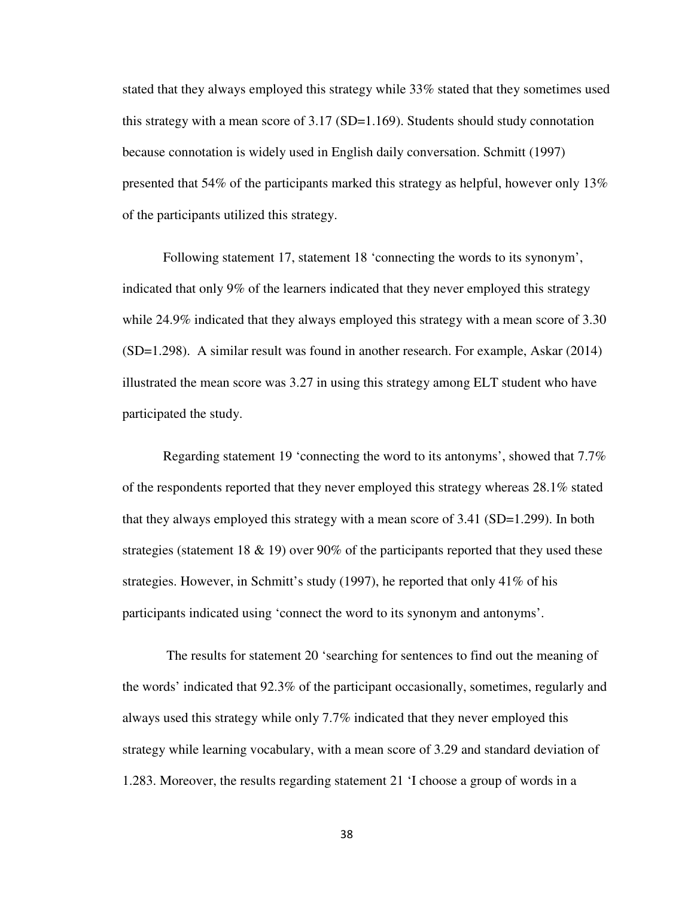stated that they always employed this strategy while 33% stated that they sometimes used this strategy with a mean score of 3.17 (SD=1.169). Students should study connotation because connotation is widely used in English daily conversation. Schmitt (1997) presented that 54% of the participants marked this strategy as helpful, however only 13% of the participants utilized this strategy.

Following statement 17, statement 18 'connecting the words to its synonym', indicated that only 9% of the learners indicated that they never employed this strategy while 24.9% indicated that they always employed this strategy with a mean score of 3.30 (SD=1.298). A similar result was found in another research. For example, Askar (2014) illustrated the mean score was 3.27 in using this strategy among ELT student who have participated the study.

Regarding statement 19 'connecting the word to its antonyms', showed that 7.7% of the respondents reported that they never employed this strategy whereas 28.1% stated that they always employed this strategy with a mean score of 3.41 (SD=1.299). In both strategies (statement 18 & 19) over 90% of the participants reported that they used these strategies. However, in Schmitt's study (1997), he reported that only 41% of his participants indicated using 'connect the word to its synonym and antonyms'.

 The results for statement 20 'searching for sentences to find out the meaning of the words' indicated that 92.3% of the participant occasionally, sometimes, regularly and always used this strategy while only 7.7% indicated that they never employed this strategy while learning vocabulary, with a mean score of 3.29 and standard deviation of 1.283. Moreover, the results regarding statement 21 'I choose a group of words in a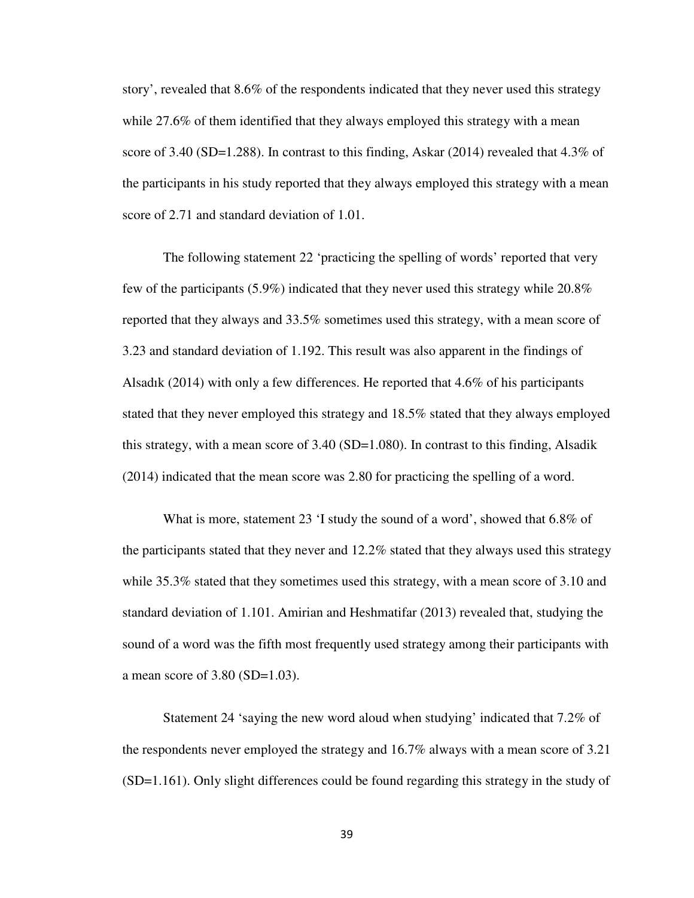story', revealed that 8.6% of the respondents indicated that they never used this strategy while 27.6% of them identified that they always employed this strategy with a mean score of 3.40 (SD=1.288). In contrast to this finding, Askar (2014) revealed that  $4.3\%$  of the participants in his study reported that they always employed this strategy with a mean score of 2.71 and standard deviation of 1.01.

The following statement 22 'practicing the spelling of words' reported that very few of the participants (5.9%) indicated that they never used this strategy while 20.8% reported that they always and 33.5% sometimes used this strategy, with a mean score of 3.23 and standard deviation of 1.192. This result was also apparent in the findings of Alsadık (2014) with only a few differences. He reported that 4.6% of his participants stated that they never employed this strategy and 18.5% stated that they always employed this strategy, with a mean score of 3.40 (SD=1.080). In contrast to this finding, Alsadik (2014) indicated that the mean score was 2.80 for practicing the spelling of a word.

What is more, statement 23 'I study the sound of a word', showed that 6.8% of the participants stated that they never and 12.2% stated that they always used this strategy while 35.3% stated that they sometimes used this strategy, with a mean score of 3.10 and standard deviation of 1.101. Amirian and Heshmatifar (2013) revealed that, studying the sound of a word was the fifth most frequently used strategy among their participants with a mean score of 3.80 (SD=1.03).

Statement 24 'saying the new word aloud when studying' indicated that 7.2% of the respondents never employed the strategy and 16.7% always with a mean score of 3.21 (SD=1.161). Only slight differences could be found regarding this strategy in the study of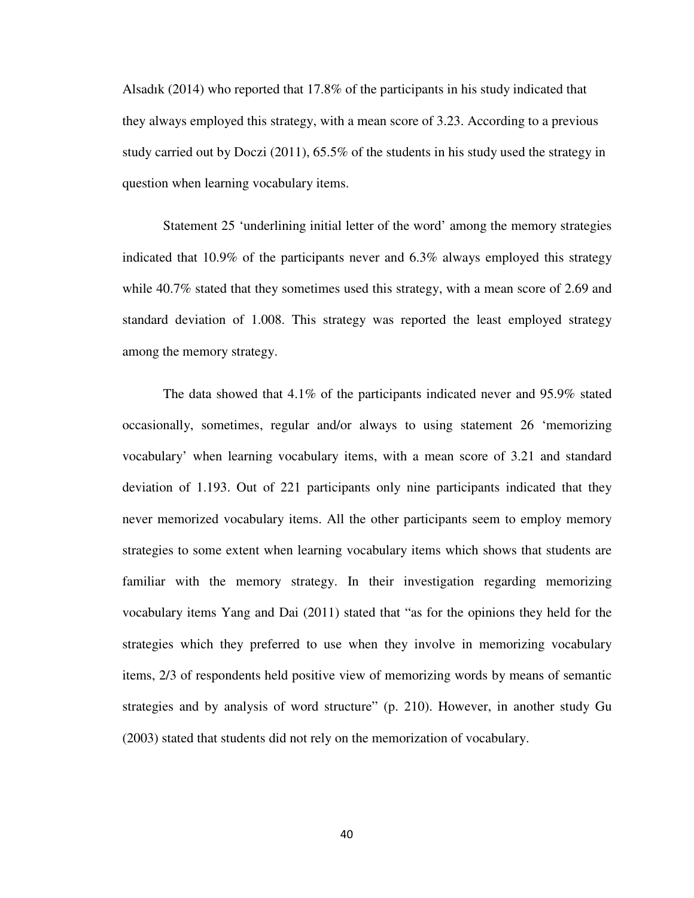Alsadık (2014) who reported that 17.8% of the participants in his study indicated that they always employed this strategy, with a mean score of 3.23. According to a previous study carried out by Doczi (2011), 65.5% of the students in his study used the strategy in question when learning vocabulary items.

Statement 25 'underlining initial letter of the word' among the memory strategies indicated that 10.9% of the participants never and 6.3% always employed this strategy while 40.7% stated that they sometimes used this strategy, with a mean score of 2.69 and standard deviation of 1.008. This strategy was reported the least employed strategy among the memory strategy.

The data showed that 4.1% of the participants indicated never and 95.9% stated occasionally, sometimes, regular and/or always to using statement 26 'memorizing vocabulary' when learning vocabulary items, with a mean score of 3.21 and standard deviation of 1.193. Out of 221 participants only nine participants indicated that they never memorized vocabulary items. All the other participants seem to employ memory strategies to some extent when learning vocabulary items which shows that students are familiar with the memory strategy. In their investigation regarding memorizing vocabulary items Yang and Dai (2011) stated that "as for the opinions they held for the strategies which they preferred to use when they involve in memorizing vocabulary items, 2/3 of respondents held positive view of memorizing words by means of semantic strategies and by analysis of word structure" (p. 210). However, in another study Gu (2003) stated that students did not rely on the memorization of vocabulary.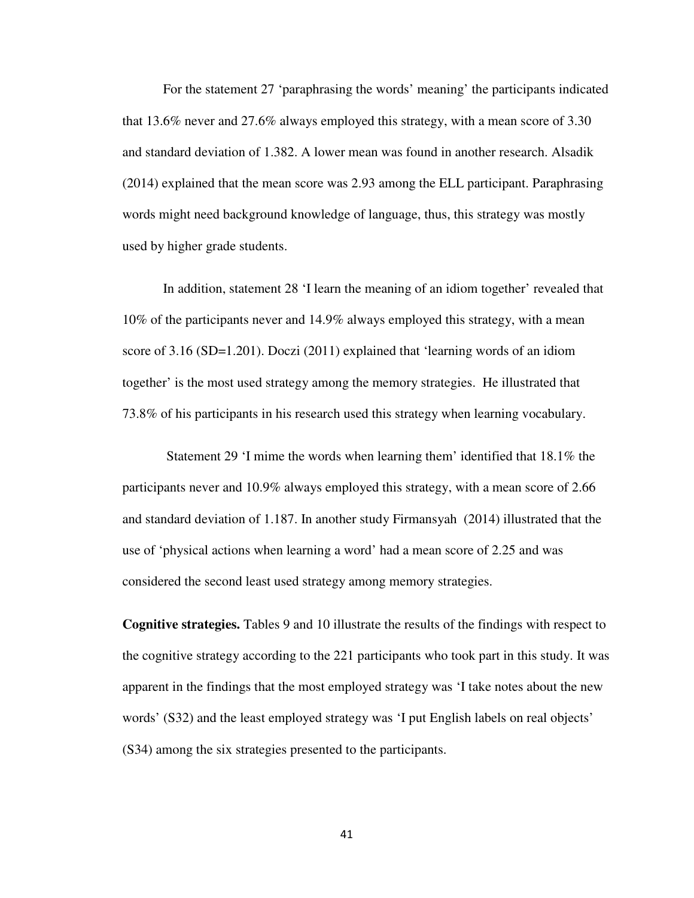For the statement 27 'paraphrasing the words' meaning' the participants indicated that 13.6% never and 27.6% always employed this strategy, with a mean score of 3.30 and standard deviation of 1.382. A lower mean was found in another research. Alsadik (2014) explained that the mean score was 2.93 among the ELL participant. Paraphrasing words might need background knowledge of language, thus, this strategy was mostly used by higher grade students.

In addition, statement 28 'I learn the meaning of an idiom together' revealed that 10% of the participants never and 14.9% always employed this strategy, with a mean score of 3.16 (SD=1.201). Doczi (2011) explained that 'learning words of an idiom together' is the most used strategy among the memory strategies. He illustrated that 73.8% of his participants in his research used this strategy when learning vocabulary.

 Statement 29 'I mime the words when learning them' identified that 18.1% the participants never and 10.9% always employed this strategy, with a mean score of 2.66 and standard deviation of 1.187. In another study Firmansyah (2014) illustrated that the use of 'physical actions when learning a word' had a mean score of 2.25 and was considered the second least used strategy among memory strategies.

**Cognitive strategies.** Tables 9 and 10 illustrate the results of the findings with respect to the cognitive strategy according to the 221 participants who took part in this study. It was apparent in the findings that the most employed strategy was 'I take notes about the new words' (S32) and the least employed strategy was 'I put English labels on real objects' (S34) among the six strategies presented to the participants.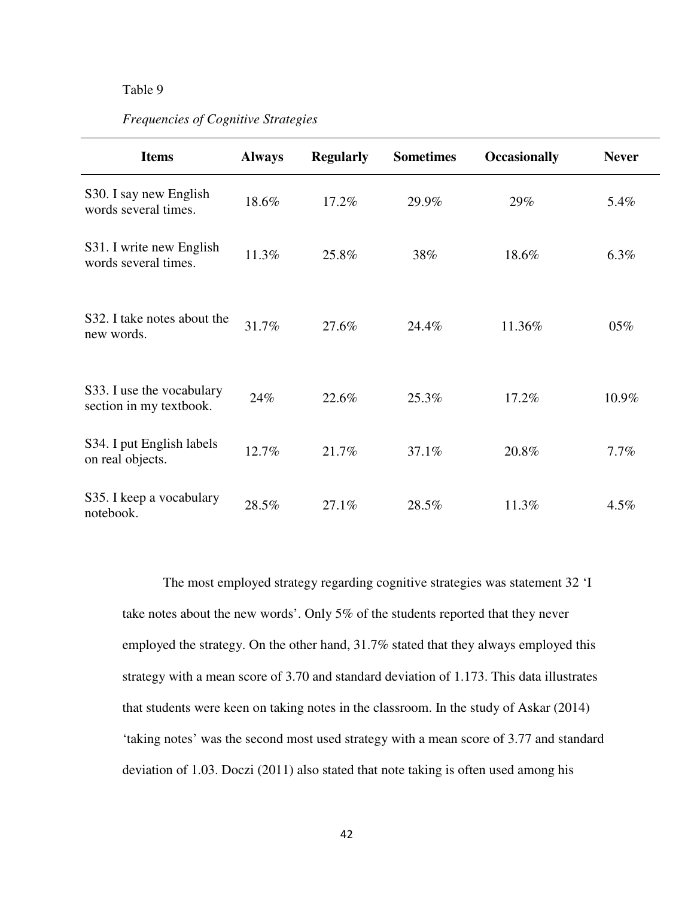## Table 9

# *Frequencies of Cognitive Strategies*

| <b>Items</b>                                         | <b>Always</b> | <b>Regularly</b> | <b>Sometimes</b> | <b>Occasionally</b> | <b>Never</b> |
|------------------------------------------------------|---------------|------------------|------------------|---------------------|--------------|
| S30. I say new English<br>words several times.       | 18.6%         | 17.2%            | 29.9%            | 29%                 | 5.4%         |
| S31. I write new English<br>words several times.     | 11.3%         | 25.8%            | 38%              | 18.6%               | 6.3%         |
| S32. I take notes about the<br>new words.            | 31.7%         | 27.6%            | 24.4%            | 11.36%              | 05%          |
| S33. I use the vocabulary<br>section in my textbook. | 24%           | 22.6%            | 25.3%            | 17.2%               | 10.9%        |
| S34. I put English labels<br>on real objects.        | 12.7%         | 21.7%            | 37.1%            | 20.8%               | 7.7%         |
| S35. I keep a vocabulary<br>notebook.                | 28.5%         | 27.1%            | 28.5%            | 11.3%               | 4.5%         |

The most employed strategy regarding cognitive strategies was statement 32 'I take notes about the new words'. Only 5% of the students reported that they never employed the strategy. On the other hand, 31.7% stated that they always employed this strategy with a mean score of 3.70 and standard deviation of 1.173. This data illustrates that students were keen on taking notes in the classroom. In the study of Askar (2014) 'taking notes' was the second most used strategy with a mean score of 3.77 and standard deviation of 1.03. Doczi (2011) also stated that note taking is often used among his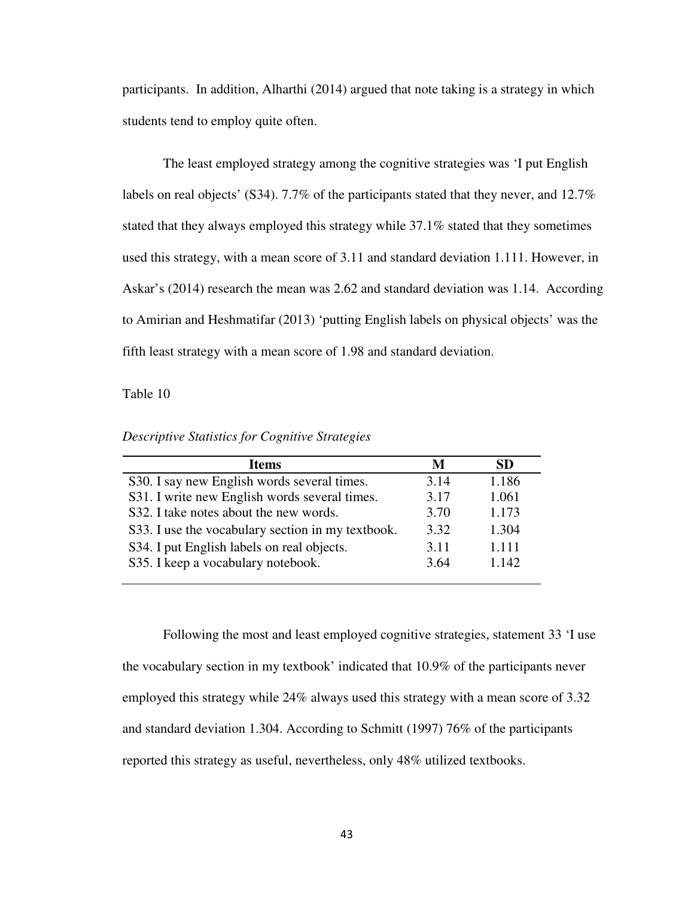participants. In addition, Alharthi (2014) argued that note taking is a strategy in which students tend to employ quite often.

The least employed strategy among the cognitive strategies was 'I put English labels on real objects' (S34). 7.7% of the participants stated that they never, and 12.7% stated that they always employed this strategy while 37.1% stated that they sometimes used this strategy, with a mean score of 3.11 and standard deviation 1.111. However, in Askar's (2014) research the mean was 2.62 and standard deviation was 1.14. According to Amirian and Heshmatifar (2013) 'putting English labels on physical objects' was the fifth least strategy with a mean score of 1.98 and standard deviation.

Table 10

|  | Descriptive Statistics for Cognitive Strategies |  |  |
|--|-------------------------------------------------|--|--|
|  |                                                 |  |  |
|  |                                                 |  |  |

| <b>Items</b>                                      | M    | SD.   |
|---------------------------------------------------|------|-------|
| S30. I say new English words several times.       | 3.14 | 1.186 |
| S31. I write new English words several times.     | 3.17 | 1.061 |
| S32. I take notes about the new words.            | 3.70 | 1.173 |
| S33. I use the vocabulary section in my textbook. | 3.32 | 1.304 |
| S34. I put English labels on real objects.        | 3.11 | 1.111 |
| S35. I keep a vocabulary notebook.                | 3.64 | 1.142 |

Following the most and least employed cognitive strategies, statement 33 'I use the vocabulary section in my textbook' indicated that 10.9% of the participants never employed this strategy while 24% always used this strategy with a mean score of 3.32 and standard deviation 1.304. According to Schmitt (1997) 76% of the participants reported this strategy as useful, nevertheless, only 48% utilized textbooks.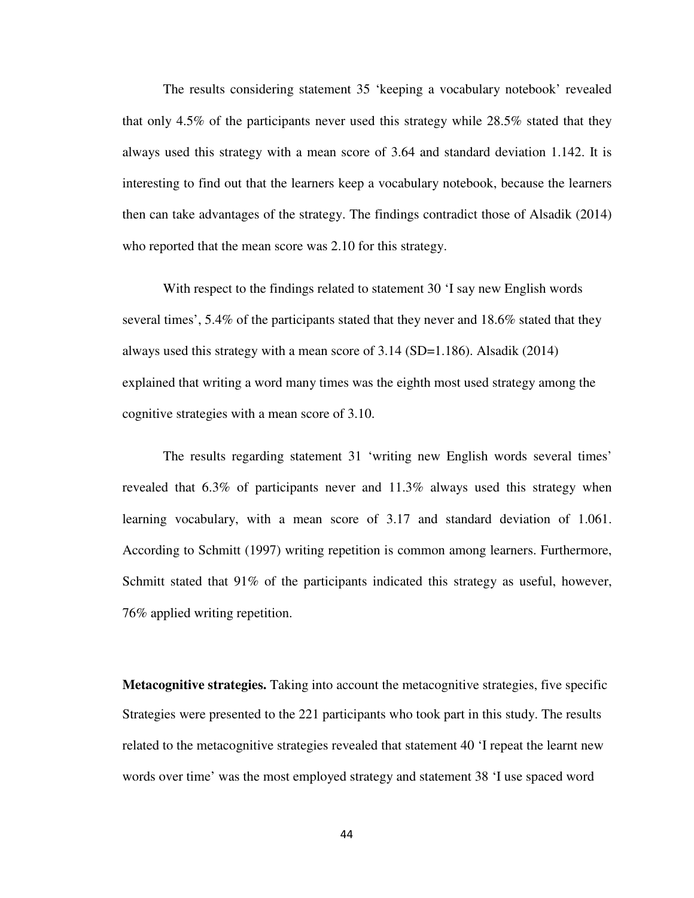The results considering statement 35 'keeping a vocabulary notebook' revealed that only 4.5% of the participants never used this strategy while 28.5% stated that they always used this strategy with a mean score of 3.64 and standard deviation 1.142. It is interesting to find out that the learners keep a vocabulary notebook, because the learners then can take advantages of the strategy. The findings contradict those of Alsadik (2014) who reported that the mean score was 2.10 for this strategy.

With respect to the findings related to statement 30 'I say new English words several times', 5.4% of the participants stated that they never and 18.6% stated that they always used this strategy with a mean score of 3.14 (SD=1.186). Alsadik (2014) explained that writing a word many times was the eighth most used strategy among the cognitive strategies with a mean score of 3.10.

The results regarding statement 31 'writing new English words several times' revealed that 6.3% of participants never and 11.3% always used this strategy when learning vocabulary, with a mean score of 3.17 and standard deviation of 1.061. According to Schmitt (1997) writing repetition is common among learners. Furthermore, Schmitt stated that  $91\%$  of the participants indicated this strategy as useful, however, 76% applied writing repetition.

**Metacognitive strategies.** Taking into account the metacognitive strategies, five specific Strategies were presented to the 221 participants who took part in this study. The results related to the metacognitive strategies revealed that statement 40 'I repeat the learnt new words over time' was the most employed strategy and statement 38 'I use spaced word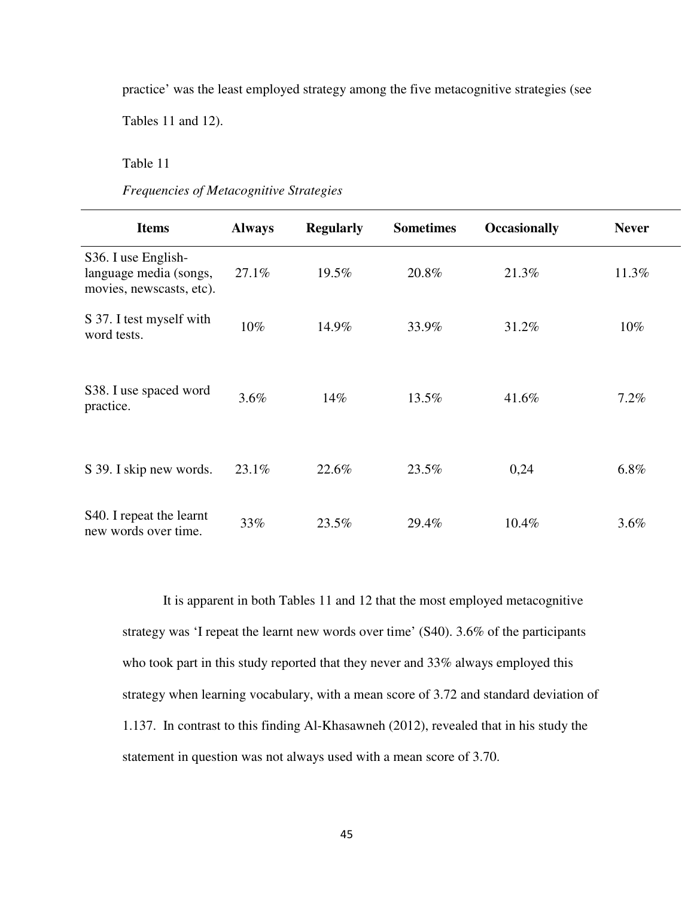practice' was the least employed strategy among the five metacognitive strategies (see

Tables 11 and 12).

Table 11

*Frequencies of Metacognitive Strategies* 

| <b>Items</b>                                                              | <b>Always</b> | <b>Regularly</b> | <b>Sometimes</b> | <b>Occasionally</b> | <b>Never</b> |  |
|---------------------------------------------------------------------------|---------------|------------------|------------------|---------------------|--------------|--|
| S36. I use English-<br>language media (songs,<br>movies, newscasts, etc). | 27.1%         | 19.5%            | 20.8%            | 21.3%               | 11.3%        |  |
| S 37. I test myself with<br>word tests.                                   | 10%           | 14.9%            | 33.9%            | 31.2%               | $10\%$       |  |
| S38. I use spaced word<br>practice.                                       | 3.6%          | 14%              | 13.5%            | 41.6%               | 7.2%         |  |
| S 39. I skip new words.                                                   | 23.1%         | 22.6%            | 23.5%            | 0,24                | 6.8%         |  |
| S <sub>40</sub> . I repeat the learnt<br>new words over time.             | 33%           | 23.5%            | 29.4%            | 10.4%               | 3.6%         |  |

It is apparent in both Tables 11 and 12 that the most employed metacognitive strategy was 'I repeat the learnt new words over time' (S40). 3.6% of the participants who took part in this study reported that they never and 33% always employed this strategy when learning vocabulary, with a mean score of 3.72 and standard deviation of 1.137. In contrast to this finding Al-Khasawneh (2012), revealed that in his study the statement in question was not always used with a mean score of 3.70.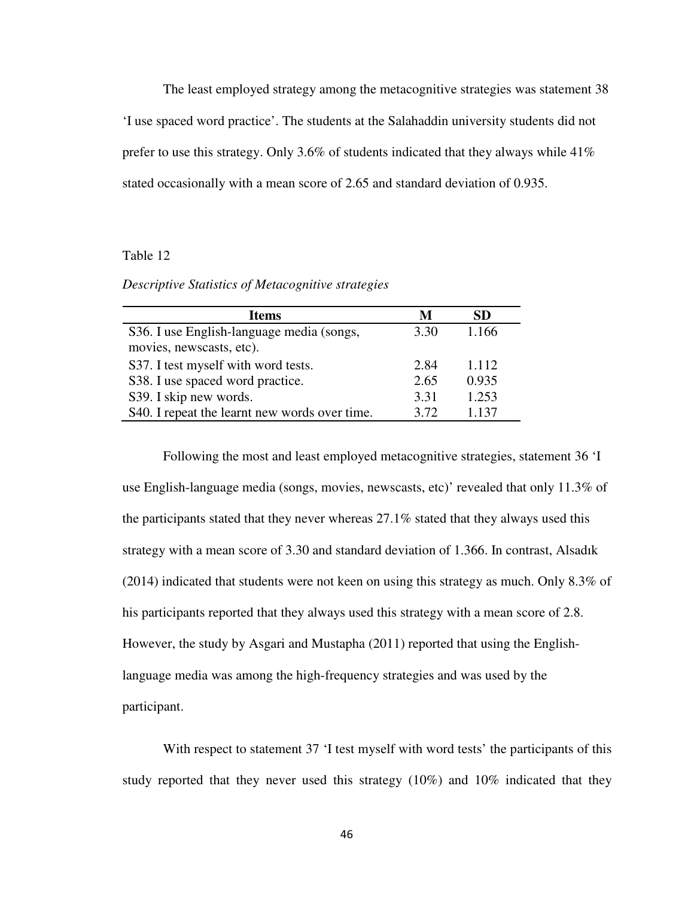The least employed strategy among the metacognitive strategies was statement 38 'I use spaced word practice'. The students at the Salahaddin university students did not prefer to use this strategy. Only 3.6% of students indicated that they always while 41% stated occasionally with a mean score of 2.65 and standard deviation of 0.935.

### Table 12

*Descriptive Statistics of Metacognitive strategies* 

| <b>Items</b>                                  | M    | SD    |
|-----------------------------------------------|------|-------|
| S36. I use English-language media (songs,     | 3.30 | 1.166 |
| movies, newscasts, etc).                      |      |       |
| S37. I test myself with word tests.           | 2.84 | 1.112 |
| S38. I use spaced word practice.              | 2.65 | 0.935 |
| S39. I skip new words.                        | 3.31 | 1.253 |
| S40. I repeat the learnt new words over time. | 3.72 | 1.137 |

Following the most and least employed metacognitive strategies, statement 36 'I use English-language media (songs, movies, newscasts, etc)' revealed that only 11.3% of the participants stated that they never whereas 27.1% stated that they always used this strategy with a mean score of 3.30 and standard deviation of 1.366. In contrast, Alsadık (2014) indicated that students were not keen on using this strategy as much. Only 8.3% of his participants reported that they always used this strategy with a mean score of 2.8. However, the study by Asgari and Mustapha (2011) reported that using the Englishlanguage media was among the high-frequency strategies and was used by the participant.

With respect to statement 37  $\cdot$ I test myself with word tests' the participants of this study reported that they never used this strategy (10%) and 10% indicated that they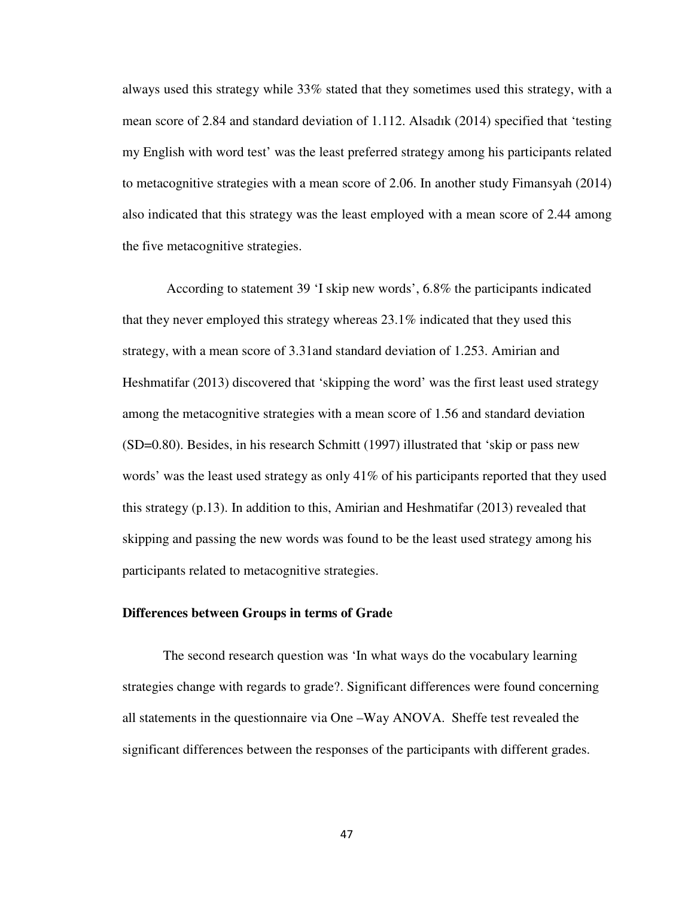always used this strategy while 33% stated that they sometimes used this strategy, with a mean score of 2.84 and standard deviation of 1.112. Alsadık (2014) specified that 'testing my English with word test' was the least preferred strategy among his participants related to metacognitive strategies with a mean score of 2.06. In another study Fimansyah (2014) also indicated that this strategy was the least employed with a mean score of 2.44 among the five metacognitive strategies.

 According to statement 39 'I skip new words', 6.8% the participants indicated that they never employed this strategy whereas  $23.1\%$  indicated that they used this strategy, with a mean score of 3.31and standard deviation of 1.253. Amirian and Heshmatifar (2013) discovered that 'skipping the word' was the first least used strategy among the metacognitive strategies with a mean score of 1.56 and standard deviation (SD=0.80). Besides, in his research Schmitt (1997) illustrated that 'skip or pass new words' was the least used strategy as only 41% of his participants reported that they used this strategy (p.13). In addition to this, Amirian and Heshmatifar (2013) revealed that skipping and passing the new words was found to be the least used strategy among his participants related to metacognitive strategies.

#### **Differences between Groups in terms of Grade**

The second research question was 'In what ways do the vocabulary learning strategies change with regards to grade?. Significant differences were found concerning all statements in the questionnaire via One –Way ANOVA. Sheffe test revealed the significant differences between the responses of the participants with different grades.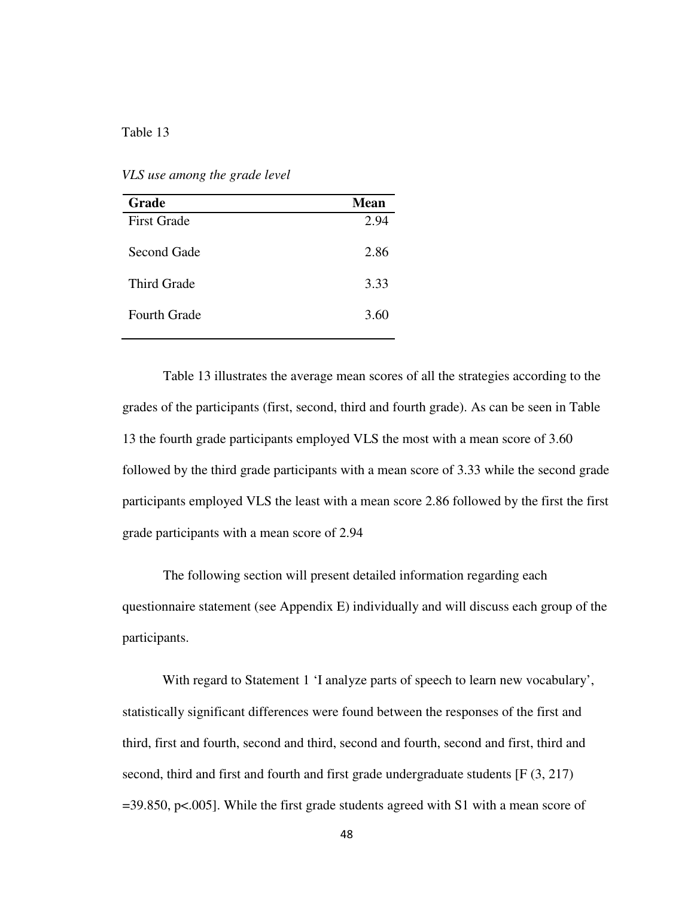# Table 13

*VLS use among the grade level* 

| <b>Grade</b>        | Mean |
|---------------------|------|
| <b>First Grade</b>  | 2.94 |
| Second Gade         | 2.86 |
| <b>Third Grade</b>  | 3.33 |
| <b>Fourth Grade</b> | 3.60 |

Table 13 illustrates the average mean scores of all the strategies according to the grades of the participants (first, second, third and fourth grade). As can be seen in Table 13 the fourth grade participants employed VLS the most with a mean score of 3.60 followed by the third grade participants with a mean score of 3.33 while the second grade participants employed VLS the least with a mean score 2.86 followed by the first the first grade participants with a mean score of 2.94

The following section will present detailed information regarding each questionnaire statement (see Appendix E) individually and will discuss each group of the participants.

With regard to Statement 1 'I analyze parts of speech to learn new vocabulary', statistically significant differences were found between the responses of the first and third, first and fourth, second and third, second and fourth, second and first, third and second, third and first and fourth and first grade undergraduate students [F (3, 217)  $=$  39.850, p<.005]. While the first grade students agreed with S1 with a mean score of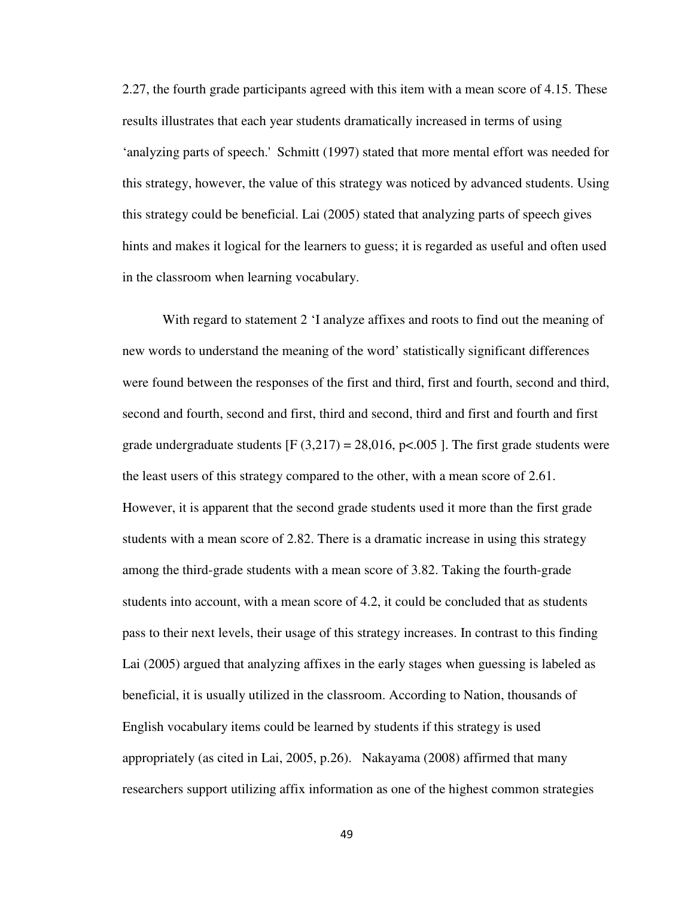2.27, the fourth grade participants agreed with this item with a mean score of 4.15. These results illustrates that each year students dramatically increased in terms of using 'analyzing parts of speech.' Schmitt (1997) stated that more mental effort was needed for this strategy, however, the value of this strategy was noticed by advanced students. Using this strategy could be beneficial. Lai (2005) stated that analyzing parts of speech gives hints and makes it logical for the learners to guess; it is regarded as useful and often used in the classroom when learning vocabulary.

With regard to statement 2 'I analyze affixes and roots to find out the meaning of new words to understand the meaning of the word' statistically significant differences were found between the responses of the first and third, first and fourth, second and third, second and fourth, second and first, third and second, third and first and fourth and first grade undergraduate students  $[F (3,217) = 28,016, p<0.005]$ . The first grade students were the least users of this strategy compared to the other, with a mean score of 2.61. However, it is apparent that the second grade students used it more than the first grade students with a mean score of 2.82. There is a dramatic increase in using this strategy among the third-grade students with a mean score of 3.82. Taking the fourth-grade students into account, with a mean score of 4.2, it could be concluded that as students pass to their next levels, their usage of this strategy increases. In contrast to this finding Lai (2005) argued that analyzing affixes in the early stages when guessing is labeled as beneficial, it is usually utilized in the classroom. According to Nation, thousands of English vocabulary items could be learned by students if this strategy is used appropriately (as cited in Lai, 2005, p.26). Nakayama (2008) affirmed that many researchers support utilizing affix information as one of the highest common strategies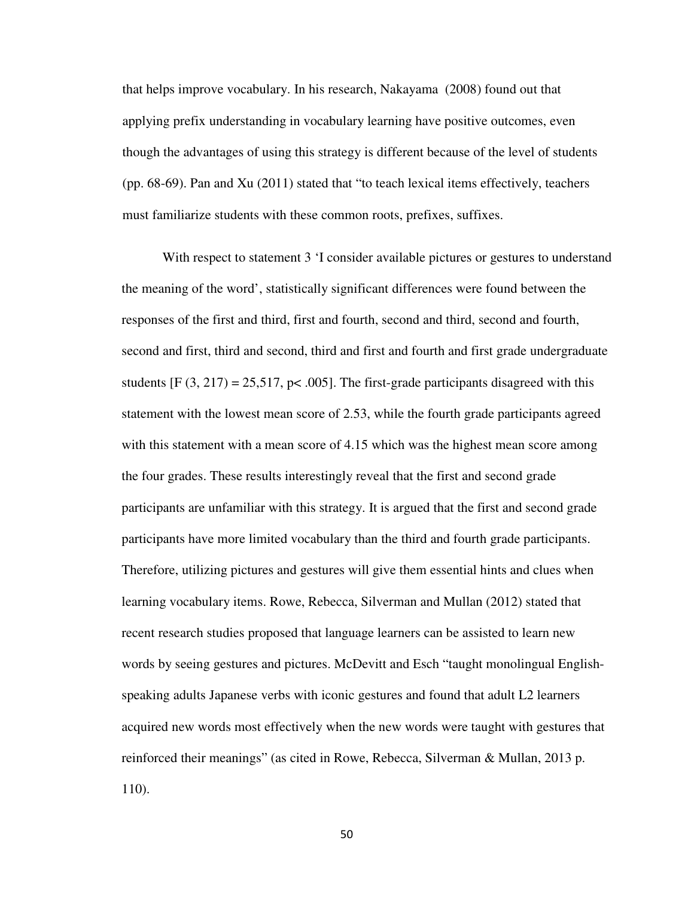that helps improve vocabulary. In his research, Nakayama (2008) found out that applying prefix understanding in vocabulary learning have positive outcomes, even though the advantages of using this strategy is different because of the level of students (pp. 68-69). Pan and Xu (2011) stated that "to teach lexical items effectively, teachers must familiarize students with these common roots, prefixes, suffixes.

With respect to statement 3 'I consider available pictures or gestures to understand the meaning of the word', statistically significant differences were found between the responses of the first and third, first and fourth, second and third, second and fourth, second and first, third and second, third and first and fourth and first grade undergraduate students  $[F (3, 217) = 25,517, p < .005]$ . The first-grade participants disagreed with this statement with the lowest mean score of 2.53, while the fourth grade participants agreed with this statement with a mean score of 4.15 which was the highest mean score among the four grades. These results interestingly reveal that the first and second grade participants are unfamiliar with this strategy. It is argued that the first and second grade participants have more limited vocabulary than the third and fourth grade participants. Therefore, utilizing pictures and gestures will give them essential hints and clues when learning vocabulary items. Rowe, Rebecca, Silverman and Mullan (2012) stated that recent research studies proposed that language learners can be assisted to learn new words by seeing gestures and pictures. McDevitt and Esch "taught monolingual Englishspeaking adults Japanese verbs with iconic gestures and found that adult L2 learners acquired new words most effectively when the new words were taught with gestures that reinforced their meanings" (as cited in Rowe, Rebecca, Silverman & Mullan, 2013 p. 110).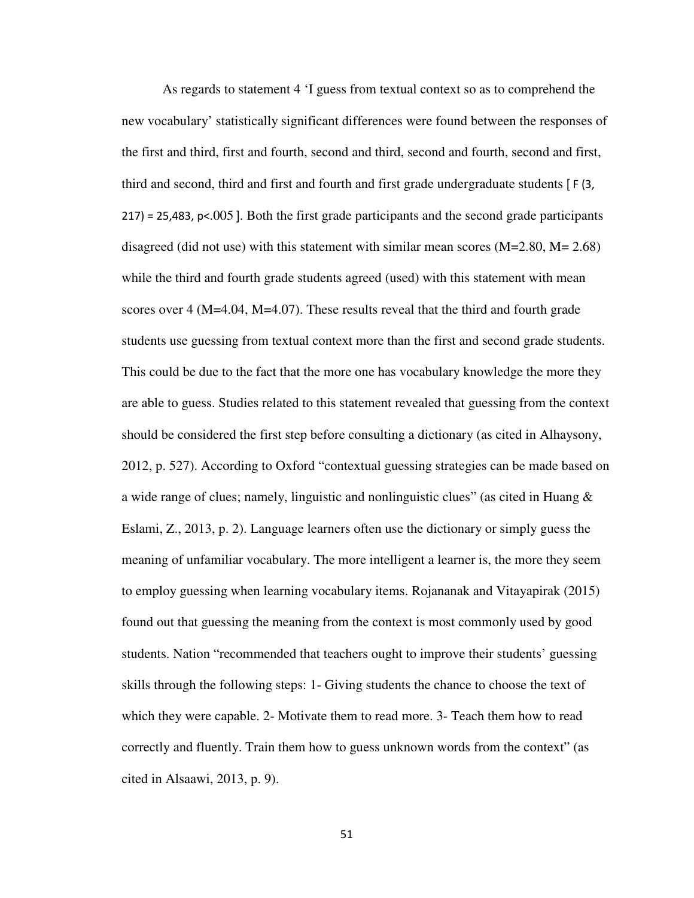As regards to statement 4 'I guess from textual context so as to comprehend the new vocabulary' statistically significant differences were found between the responses of the first and third, first and fourth, second and third, second and fourth, second and first, third and second, third and first and fourth and first grade undergraduate students [ F (3, 217) = 25,483, p<.005 ]. Both the first grade participants and the second grade participants disagreed (did not use) with this statement with similar mean scores (M=2.80, M= 2.68) while the third and fourth grade students agreed (used) with this statement with mean scores over 4 (M=4.04, M=4.07). These results reveal that the third and fourth grade students use guessing from textual context more than the first and second grade students. This could be due to the fact that the more one has vocabulary knowledge the more they are able to guess. Studies related to this statement revealed that guessing from the context should be considered the first step before consulting a dictionary (as cited in Alhaysony, 2012, p. 527). According to Oxford "contextual guessing strategies can be made based on a wide range of clues; namely, linguistic and nonlinguistic clues" (as cited in Huang & Eslami, Z., 2013, p. 2). Language learners often use the dictionary or simply guess the meaning of unfamiliar vocabulary. The more intelligent a learner is, the more they seem to employ guessing when learning vocabulary items. Rojananak and Vitayapirak (2015) found out that guessing the meaning from the context is most commonly used by good students. Nation "recommended that teachers ought to improve their students' guessing skills through the following steps: 1- Giving students the chance to choose the text of which they were capable. 2- Motivate them to read more. 3- Teach them how to read correctly and fluently. Train them how to guess unknown words from the context" (as cited in Alsaawi, 2013, p. 9).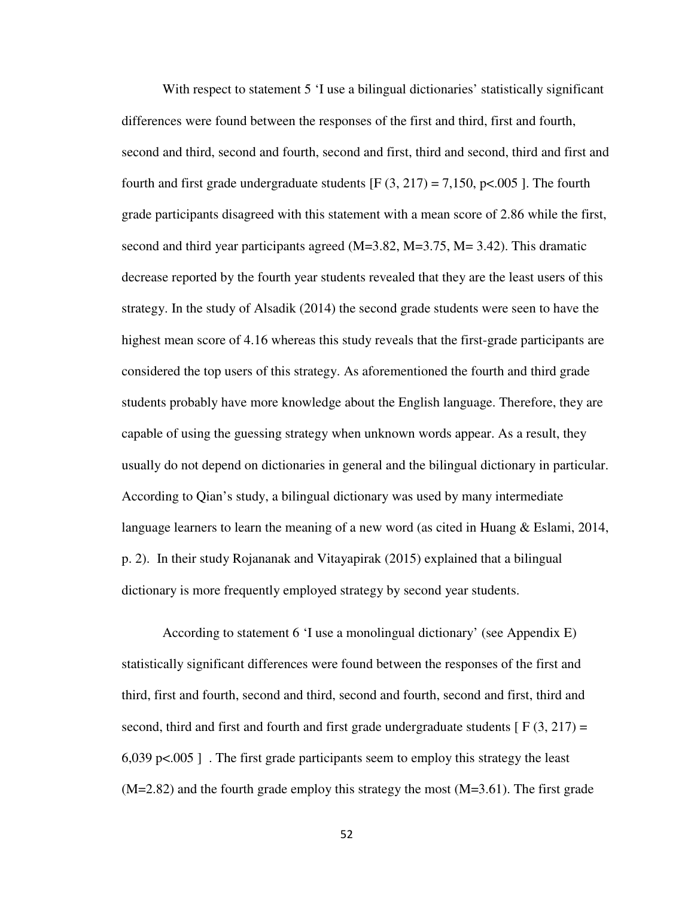With respect to statement 5 'I use a bilingual dictionaries' statistically significant differences were found between the responses of the first and third, first and fourth, second and third, second and fourth, second and first, third and second, third and first and fourth and first grade undergraduate students  $[F(3, 217) = 7,150, p<0.005]$ . The fourth grade participants disagreed with this statement with a mean score of 2.86 while the first, second and third year participants agreed (M=3.82, M=3.75, M= 3.42). This dramatic decrease reported by the fourth year students revealed that they are the least users of this strategy. In the study of Alsadik (2014) the second grade students were seen to have the highest mean score of 4.16 whereas this study reveals that the first-grade participants are considered the top users of this strategy. As aforementioned the fourth and third grade students probably have more knowledge about the English language. Therefore, they are capable of using the guessing strategy when unknown words appear. As a result, they usually do not depend on dictionaries in general and the bilingual dictionary in particular. According to Qian's study, a bilingual dictionary was used by many intermediate language learners to learn the meaning of a new word (as cited in Huang & Eslami, 2014, p. 2). In their study Rojananak and Vitayapirak (2015) explained that a bilingual dictionary is more frequently employed strategy by second year students.

According to statement 6 'I use a monolingual dictionary' (see Appendix E) statistically significant differences were found between the responses of the first and third, first and fourth, second and third, second and fourth, second and first, third and second, third and first and fourth and first grade undergraduate students  $[ F(3, 217) =$ 6,039 p $\lt$  0.005 ]. The first grade participants seem to employ this strategy the least  $(M=2.82)$  and the fourth grade employ this strategy the most  $(M=3.61)$ . The first grade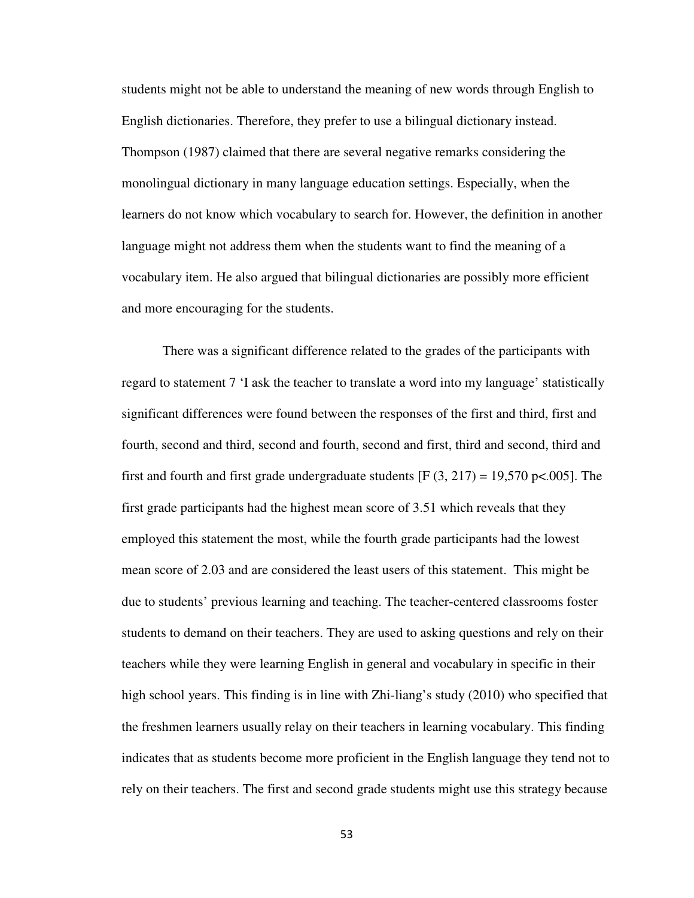students might not be able to understand the meaning of new words through English to English dictionaries. Therefore, they prefer to use a bilingual dictionary instead. Thompson (1987) claimed that there are several negative remarks considering the monolingual dictionary in many language education settings. Especially, when the learners do not know which vocabulary to search for. However, the definition in another language might not address them when the students want to find the meaning of a vocabulary item. He also argued that bilingual dictionaries are possibly more efficient and more encouraging for the students.

There was a significant difference related to the grades of the participants with regard to statement 7 'I ask the teacher to translate a word into my language' statistically significant differences were found between the responses of the first and third, first and fourth, second and third, second and fourth, second and first, third and second, third and first and fourth and first grade undergraduate students [F  $(3, 217) = 19,570$  p<.005]. The first grade participants had the highest mean score of 3.51 which reveals that they employed this statement the most, while the fourth grade participants had the lowest mean score of 2.03 and are considered the least users of this statement. This might be due to students' previous learning and teaching. The teacher-centered classrooms foster students to demand on their teachers. They are used to asking questions and rely on their teachers while they were learning English in general and vocabulary in specific in their high school years. This finding is in line with Zhi-liang's study (2010) who specified that the freshmen learners usually relay on their teachers in learning vocabulary. This finding indicates that as students become more proficient in the English language they tend not to rely on their teachers. The first and second grade students might use this strategy because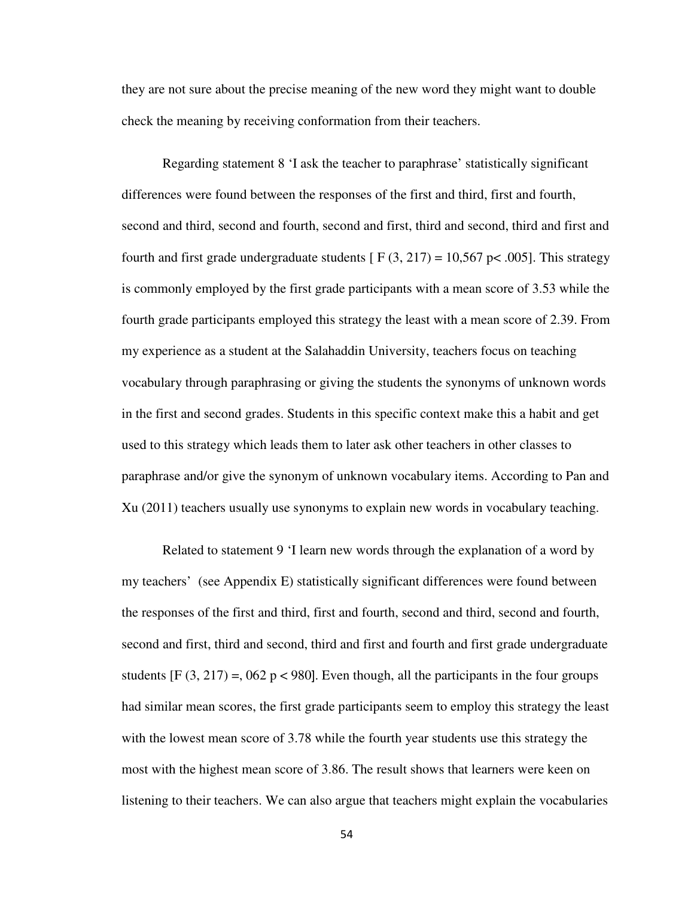they are not sure about the precise meaning of the new word they might want to double check the meaning by receiving conformation from their teachers.

Regarding statement 8 'I ask the teacher to paraphrase' statistically significant differences were found between the responses of the first and third, first and fourth, second and third, second and fourth, second and first, third and second, third and first and fourth and first grade undergraduate students  $[ F(3, 217) = 10,567 \text{ p} < .005 ]$ . This strategy is commonly employed by the first grade participants with a mean score of 3.53 while the fourth grade participants employed this strategy the least with a mean score of 2.39. From my experience as a student at the Salahaddin University, teachers focus on teaching vocabulary through paraphrasing or giving the students the synonyms of unknown words in the first and second grades. Students in this specific context make this a habit and get used to this strategy which leads them to later ask other teachers in other classes to paraphrase and/or give the synonym of unknown vocabulary items. According to Pan and Xu (2011) teachers usually use synonyms to explain new words in vocabulary teaching.

Related to statement 9 'I learn new words through the explanation of a word by my teachers' (see Appendix E) statistically significant differences were found between the responses of the first and third, first and fourth, second and third, second and fourth, second and first, third and second, third and first and fourth and first grade undergraduate students  $[F (3, 217) = 0.062 \text{ p} < 980]$ . Even though, all the participants in the four groups had similar mean scores, the first grade participants seem to employ this strategy the least with the lowest mean score of 3.78 while the fourth year students use this strategy the most with the highest mean score of 3.86. The result shows that learners were keen on listening to their teachers. We can also argue that teachers might explain the vocabularies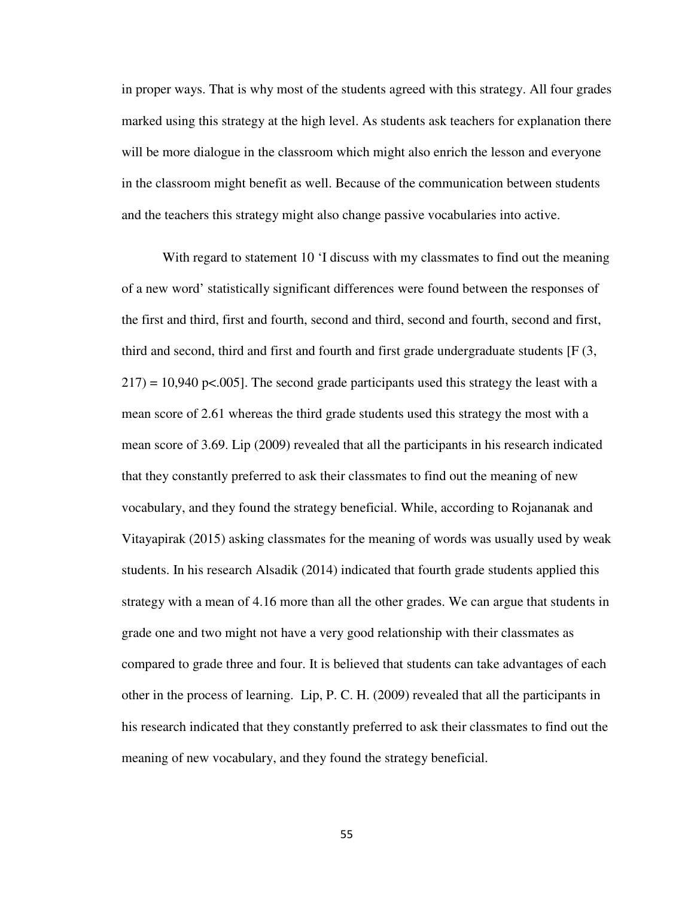in proper ways. That is why most of the students agreed with this strategy. All four grades marked using this strategy at the high level. As students ask teachers for explanation there will be more dialogue in the classroom which might also enrich the lesson and everyone in the classroom might benefit as well. Because of the communication between students and the teachers this strategy might also change passive vocabularies into active.

With regard to statement 10 'I discuss with my classmates to find out the meaning of a new word' statistically significant differences were found between the responses of the first and third, first and fourth, second and third, second and fourth, second and first, third and second, third and first and fourth and first grade undergraduate students  $[F(3,$  $217$ ) = 10,940 p<.005]. The second grade participants used this strategy the least with a mean score of 2.61 whereas the third grade students used this strategy the most with a mean score of 3.69. Lip (2009) revealed that all the participants in his research indicated that they constantly preferred to ask their classmates to find out the meaning of new vocabulary, and they found the strategy beneficial. While, according to Rojananak and Vitayapirak (2015) asking classmates for the meaning of words was usually used by weak students. In his research Alsadik (2014) indicated that fourth grade students applied this strategy with a mean of 4.16 more than all the other grades. We can argue that students in grade one and two might not have a very good relationship with their classmates as compared to grade three and four. It is believed that students can take advantages of each other in the process of learning. Lip, P. C. H. (2009) revealed that all the participants in his research indicated that they constantly preferred to ask their classmates to find out the meaning of new vocabulary, and they found the strategy beneficial.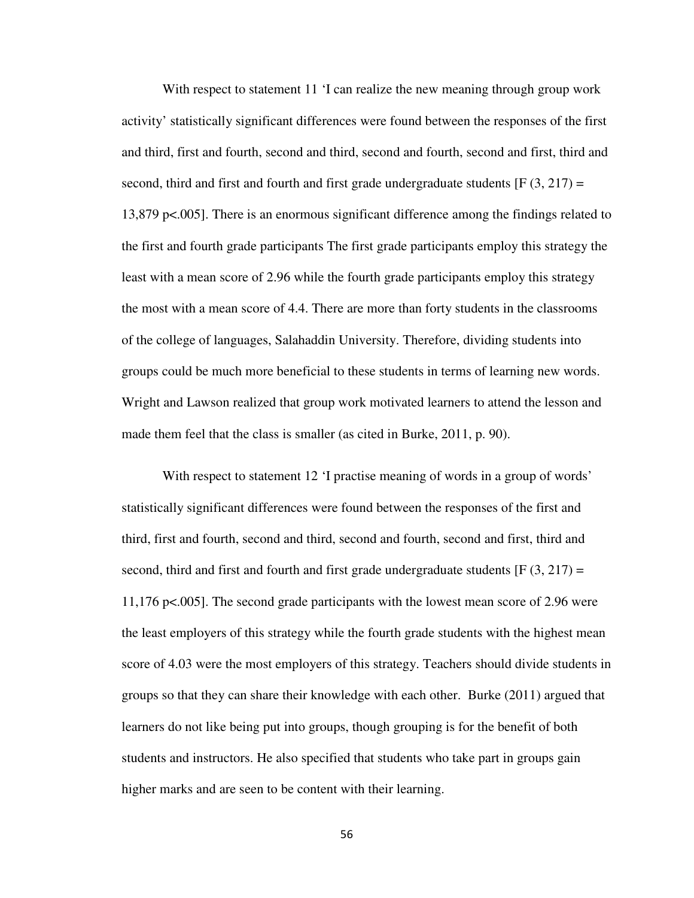With respect to statement 11 'I can realize the new meaning through group work activity' statistically significant differences were found between the responses of the first and third, first and fourth, second and third, second and fourth, second and first, third and second, third and first and fourth and first grade undergraduate students  $[F(3, 217) =$ 13,879 p<.005]. There is an enormous significant difference among the findings related to the first and fourth grade participants The first grade participants employ this strategy the least with a mean score of 2.96 while the fourth grade participants employ this strategy the most with a mean score of 4.4. There are more than forty students in the classrooms of the college of languages, Salahaddin University. Therefore, dividing students into groups could be much more beneficial to these students in terms of learning new words. Wright and Lawson realized that group work motivated learners to attend the lesson and made them feel that the class is smaller (as cited in Burke, 2011, p. 90).

With respect to statement 12 'I practise meaning of words in a group of words' statistically significant differences were found between the responses of the first and third, first and fourth, second and third, second and fourth, second and first, third and second, third and first and fourth and first grade undergraduate students  $[F(3, 217) =$ 11,176 p<.005]. The second grade participants with the lowest mean score of 2.96 were the least employers of this strategy while the fourth grade students with the highest mean score of 4.03 were the most employers of this strategy. Teachers should divide students in groups so that they can share their knowledge with each other. Burke (2011) argued that learners do not like being put into groups, though grouping is for the benefit of both students and instructors. He also specified that students who take part in groups gain higher marks and are seen to be content with their learning.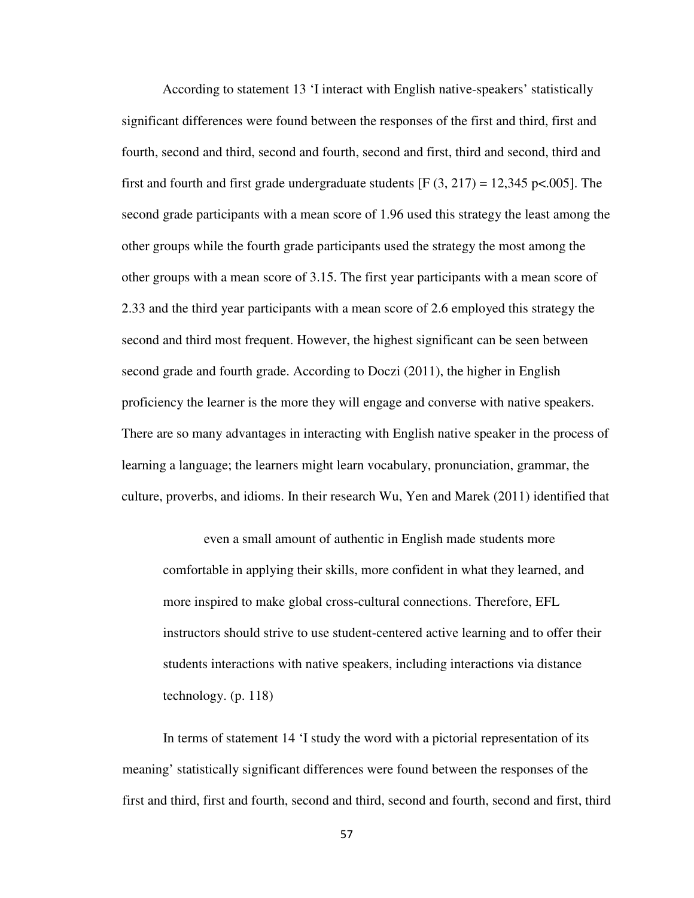According to statement 13 'I interact with English native-speakers' statistically significant differences were found between the responses of the first and third, first and fourth, second and third, second and fourth, second and first, third and second, third and first and fourth and first grade undergraduate students  $[F(3, 217) = 12,345 \text{ pc}$ .005]. The second grade participants with a mean score of 1.96 used this strategy the least among the other groups while the fourth grade participants used the strategy the most among the other groups with a mean score of 3.15. The first year participants with a mean score of 2.33 and the third year participants with a mean score of 2.6 employed this strategy the second and third most frequent. However, the highest significant can be seen between second grade and fourth grade. According to Doczi (2011), the higher in English proficiency the learner is the more they will engage and converse with native speakers. There are so many advantages in interacting with English native speaker in the process of learning a language; the learners might learn vocabulary, pronunciation, grammar, the culture, proverbs, and idioms. In their research Wu, Yen and Marek (2011) identified that

even a small amount of authentic in English made students more comfortable in applying their skills, more confident in what they learned, and more inspired to make global cross-cultural connections. Therefore, EFL instructors should strive to use student-centered active learning and to offer their students interactions with native speakers, including interactions via distance technology. (p. 118)

In terms of statement 14 'I study the word with a pictorial representation of its meaning' statistically significant differences were found between the responses of the first and third, first and fourth, second and third, second and fourth, second and first, third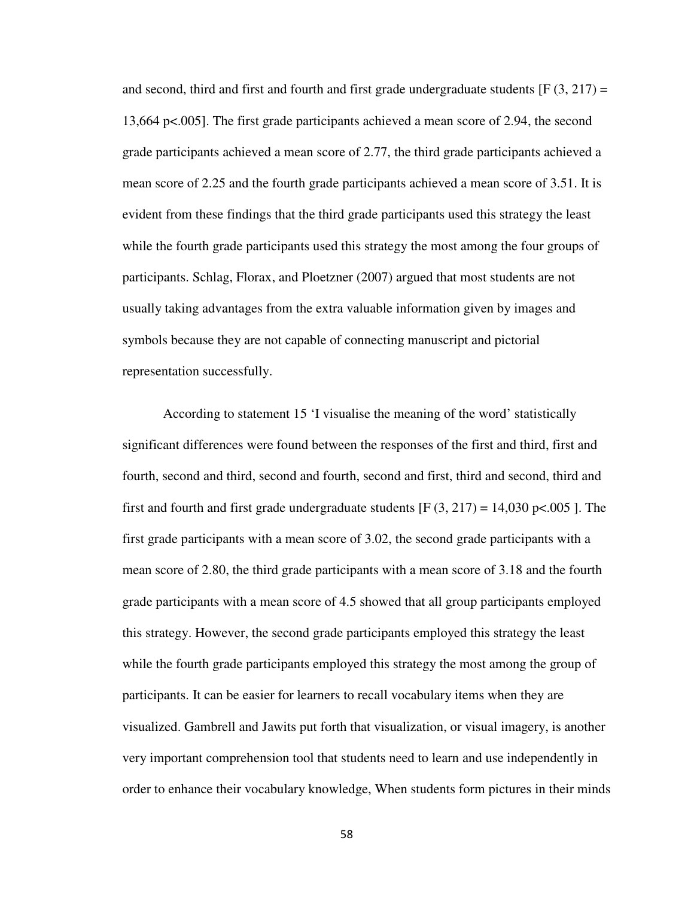and second, third and first and fourth and first grade undergraduate students  $[F(3, 217) =$ 13,664 p<.005]. The first grade participants achieved a mean score of 2.94, the second grade participants achieved a mean score of 2.77, the third grade participants achieved a mean score of 2.25 and the fourth grade participants achieved a mean score of 3.51. It is evident from these findings that the third grade participants used this strategy the least while the fourth grade participants used this strategy the most among the four groups of participants. Schlag, Florax, and Ploetzner (2007) argued that most students are not usually taking advantages from the extra valuable information given by images and symbols because they are not capable of connecting manuscript and pictorial representation successfully.

According to statement 15 'I visualise the meaning of the word' statistically significant differences were found between the responses of the first and third, first and fourth, second and third, second and fourth, second and first, third and second, third and first and fourth and first grade undergraduate students  $[F(3, 217) = 14,030 \text{ p} < .005]$ . The first grade participants with a mean score of 3.02, the second grade participants with a mean score of 2.80, the third grade participants with a mean score of 3.18 and the fourth grade participants with a mean score of 4.5 showed that all group participants employed this strategy. However, the second grade participants employed this strategy the least while the fourth grade participants employed this strategy the most among the group of participants. It can be easier for learners to recall vocabulary items when they are visualized. Gambrell and Jawits put forth that visualization, or visual imagery, is another very important comprehension tool that students need to learn and use independently in order to enhance their vocabulary knowledge, When students form pictures in their minds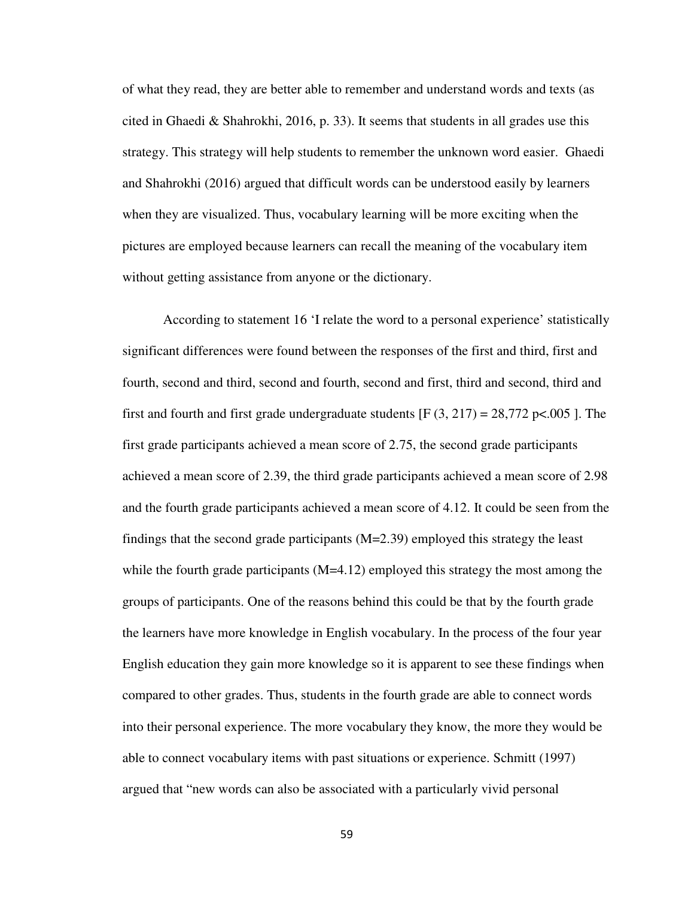of what they read, they are better able to remember and understand words and texts (as cited in Ghaedi & Shahrokhi, 2016, p. 33). It seems that students in all grades use this strategy. This strategy will help students to remember the unknown word easier. Ghaedi and Shahrokhi (2016) argued that difficult words can be understood easily by learners when they are visualized. Thus, vocabulary learning will be more exciting when the pictures are employed because learners can recall the meaning of the vocabulary item without getting assistance from anyone or the dictionary.

According to statement 16 'I relate the word to a personal experience' statistically significant differences were found between the responses of the first and third, first and fourth, second and third, second and fourth, second and first, third and second, third and first and fourth and first grade undergraduate students [F  $(3, 217) = 28,772$  p<.005 ]. The first grade participants achieved a mean score of 2.75, the second grade participants achieved a mean score of 2.39, the third grade participants achieved a mean score of 2.98 and the fourth grade participants achieved a mean score of 4.12. It could be seen from the findings that the second grade participants  $(M=2.39)$  employed this strategy the least while the fourth grade participants  $(M=4.12)$  employed this strategy the most among the groups of participants. One of the reasons behind this could be that by the fourth grade the learners have more knowledge in English vocabulary. In the process of the four year English education they gain more knowledge so it is apparent to see these findings when compared to other grades. Thus, students in the fourth grade are able to connect words into their personal experience. The more vocabulary they know, the more they would be able to connect vocabulary items with past situations or experience. Schmitt (1997) argued that "new words can also be associated with a particularly vivid personal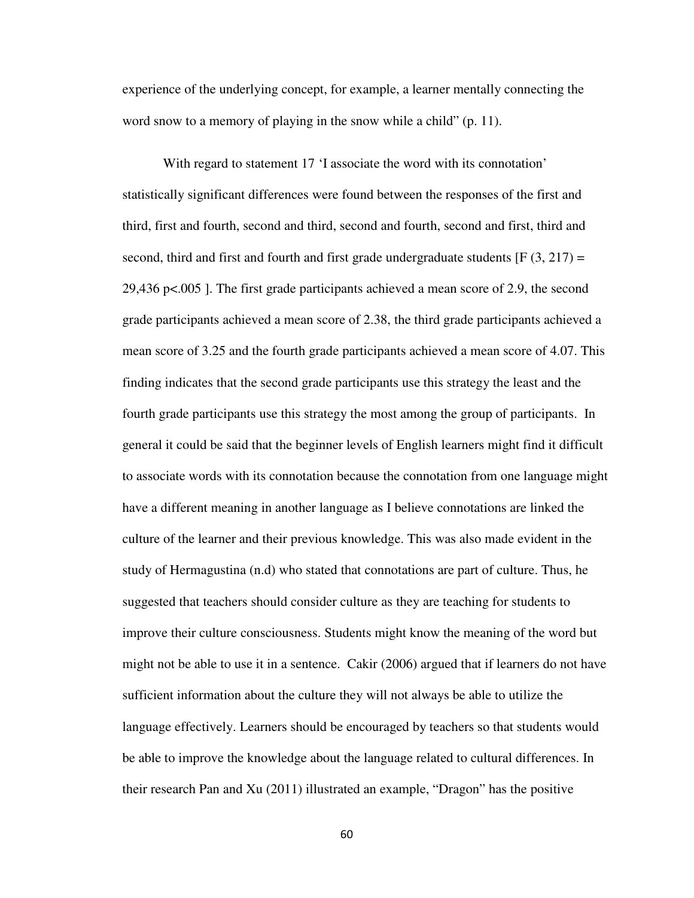experience of the underlying concept, for example, a learner mentally connecting the word snow to a memory of playing in the snow while a child" (p. 11).

With regard to statement 17 'I associate the word with its connotation' statistically significant differences were found between the responses of the first and third, first and fourth, second and third, second and fourth, second and first, third and second, third and first and fourth and first grade undergraduate students  $[F(3, 217) =$ 29,436 p<.005 ]. The first grade participants achieved a mean score of 2.9, the second grade participants achieved a mean score of 2.38, the third grade participants achieved a mean score of 3.25 and the fourth grade participants achieved a mean score of 4.07. This finding indicates that the second grade participants use this strategy the least and the fourth grade participants use this strategy the most among the group of participants. In general it could be said that the beginner levels of English learners might find it difficult to associate words with its connotation because the connotation from one language might have a different meaning in another language as I believe connotations are linked the culture of the learner and their previous knowledge. This was also made evident in the study of Hermagustina (n.d) who stated that connotations are part of culture. Thus, he suggested that teachers should consider culture as they are teaching for students to improve their culture consciousness. Students might know the meaning of the word but might not be able to use it in a sentence. Cakir (2006) argued that if learners do not have sufficient information about the culture they will not always be able to utilize the language effectively. Learners should be encouraged by teachers so that students would be able to improve the knowledge about the language related to cultural differences. In their research Pan and Xu (2011) illustrated an example, "Dragon" has the positive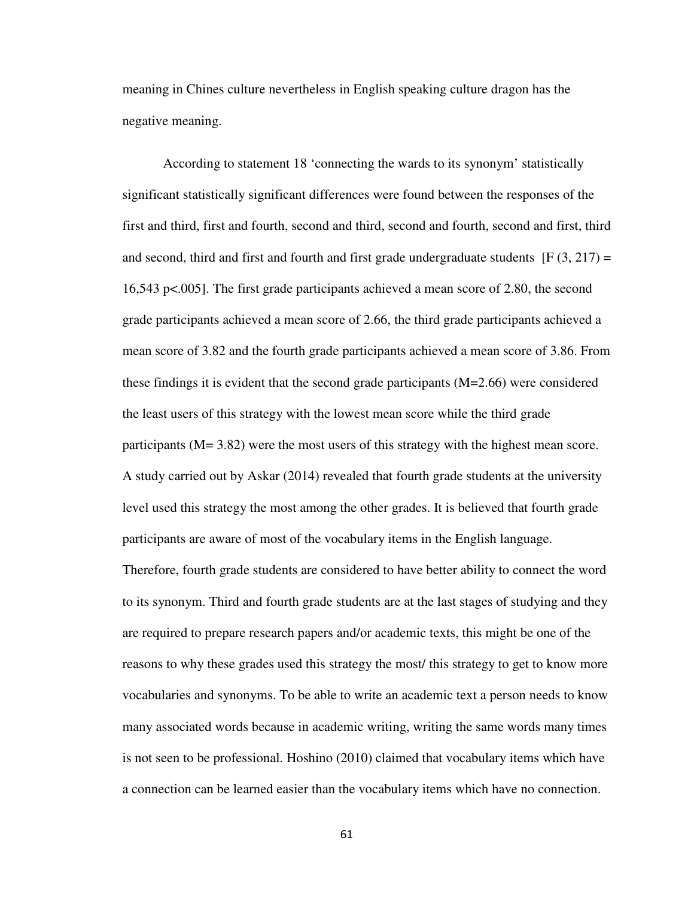meaning in Chines culture nevertheless in English speaking culture dragon has the negative meaning.

According to statement 18 'connecting the wards to its synonym' statistically significant statistically significant differences were found between the responses of the first and third, first and fourth, second and third, second and fourth, second and first, third and second, third and first and fourth and first grade undergraduate students  $[F(3, 217) =$ 16,543 p<.005]. The first grade participants achieved a mean score of 2.80, the second grade participants achieved a mean score of 2.66, the third grade participants achieved a mean score of 3.82 and the fourth grade participants achieved a mean score of 3.86. From these findings it is evident that the second grade participants (M=2.66) were considered the least users of this strategy with the lowest mean score while the third grade participants (M= 3.82) were the most users of this strategy with the highest mean score. A study carried out by Askar (2014) revealed that fourth grade students at the university level used this strategy the most among the other grades. It is believed that fourth grade participants are aware of most of the vocabulary items in the English language.

Therefore, fourth grade students are considered to have better ability to connect the word to its synonym. Third and fourth grade students are at the last stages of studying and they are required to prepare research papers and/or academic texts, this might be one of the reasons to why these grades used this strategy the most/ this strategy to get to know more vocabularies and synonyms. To be able to write an academic text a person needs to know many associated words because in academic writing, writing the same words many times is not seen to be professional. Hoshino (2010) claimed that vocabulary items which have a connection can be learned easier than the vocabulary items which have no connection.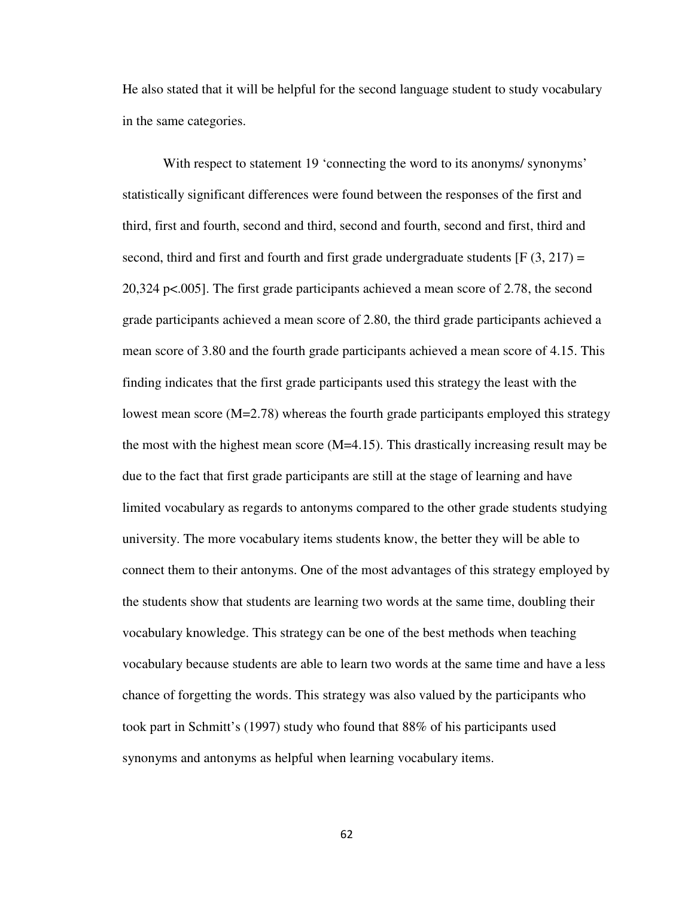He also stated that it will be helpful for the second language student to study vocabulary in the same categories.

With respect to statement 19 'connecting the word to its anonyms' synonyms' statistically significant differences were found between the responses of the first and third, first and fourth, second and third, second and fourth, second and first, third and second, third and first and fourth and first grade undergraduate students  $[F(3, 217) =$ 20,324 p<.005]. The first grade participants achieved a mean score of 2.78, the second grade participants achieved a mean score of 2.80, the third grade participants achieved a mean score of 3.80 and the fourth grade participants achieved a mean score of 4.15. This finding indicates that the first grade participants used this strategy the least with the lowest mean score  $(M=2.78)$  whereas the fourth grade participants employed this strategy the most with the highest mean score (M=4.15). This drastically increasing result may be due to the fact that first grade participants are still at the stage of learning and have limited vocabulary as regards to antonyms compared to the other grade students studying university. The more vocabulary items students know, the better they will be able to connect them to their antonyms. One of the most advantages of this strategy employed by the students show that students are learning two words at the same time, doubling their vocabulary knowledge. This strategy can be one of the best methods when teaching vocabulary because students are able to learn two words at the same time and have a less chance of forgetting the words. This strategy was also valued by the participants who took part in Schmitt's (1997) study who found that 88% of his participants used synonyms and antonyms as helpful when learning vocabulary items.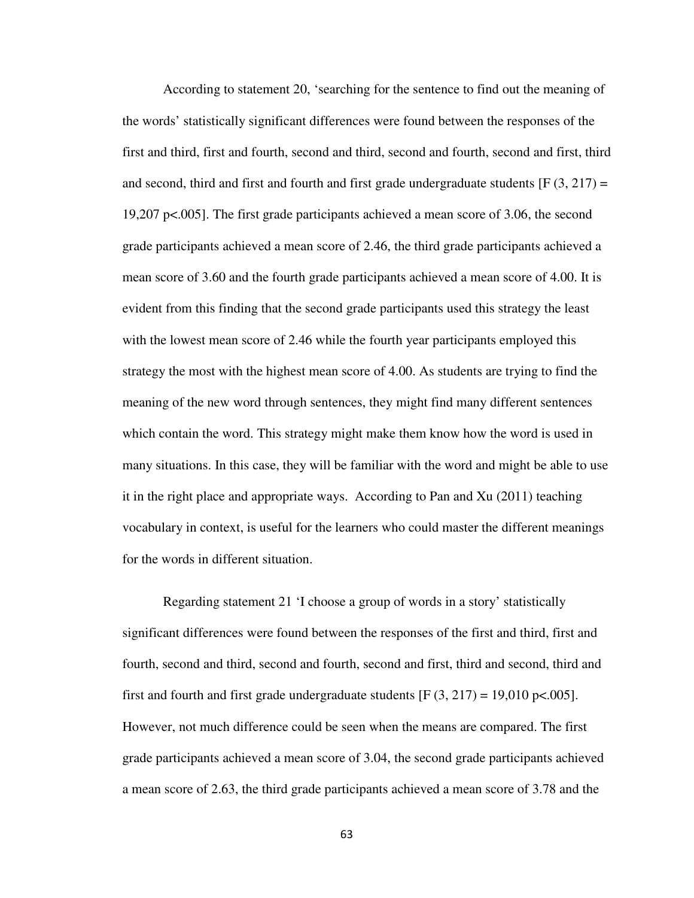According to statement 20, 'searching for the sentence to find out the meaning of the words' statistically significant differences were found between the responses of the first and third, first and fourth, second and third, second and fourth, second and first, third and second, third and first and fourth and first grade undergraduate students  $[F(3, 217) =$ 19,207 p<.005]. The first grade participants achieved a mean score of 3.06, the second grade participants achieved a mean score of 2.46, the third grade participants achieved a mean score of 3.60 and the fourth grade participants achieved a mean score of 4.00. It is evident from this finding that the second grade participants used this strategy the least with the lowest mean score of 2.46 while the fourth year participants employed this strategy the most with the highest mean score of 4.00. As students are trying to find the meaning of the new word through sentences, they might find many different sentences which contain the word. This strategy might make them know how the word is used in many situations. In this case, they will be familiar with the word and might be able to use it in the right place and appropriate ways. According to Pan and Xu (2011) teaching vocabulary in context, is useful for the learners who could master the different meanings for the words in different situation.

Regarding statement 21 'I choose a group of words in a story' statistically significant differences were found between the responses of the first and third, first and fourth, second and third, second and fourth, second and first, third and second, third and first and fourth and first grade undergraduate students  $[F (3, 217) = 19,010 \text{ p} < .005]$ . However, not much difference could be seen when the means are compared. The first grade participants achieved a mean score of 3.04, the second grade participants achieved a mean score of 2.63, the third grade participants achieved a mean score of 3.78 and the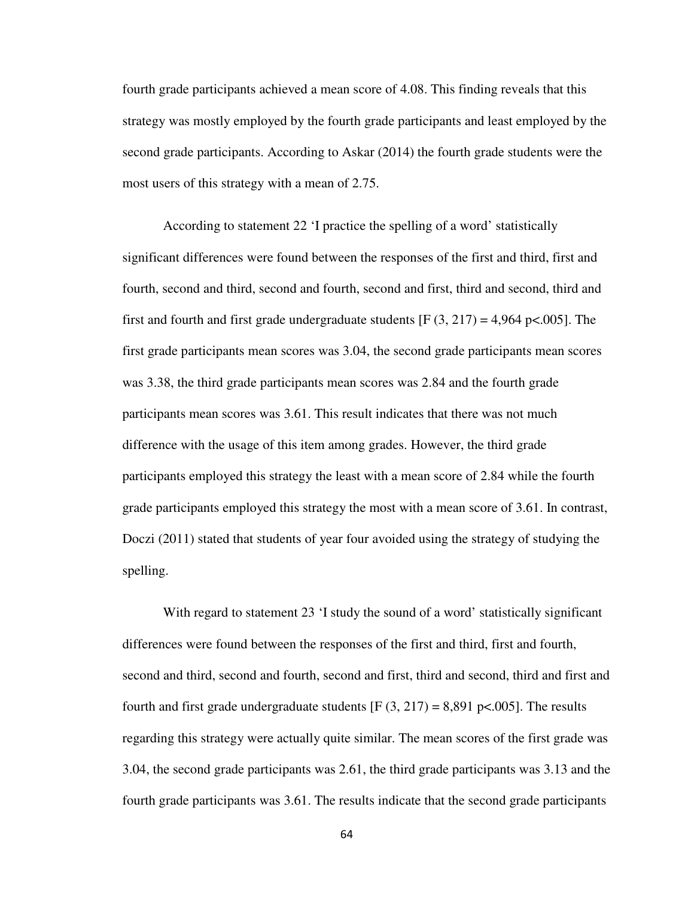fourth grade participants achieved a mean score of 4.08. This finding reveals that this strategy was mostly employed by the fourth grade participants and least employed by the second grade participants. According to Askar (2014) the fourth grade students were the most users of this strategy with a mean of 2.75.

According to statement 22 'I practice the spelling of a word' statistically significant differences were found between the responses of the first and third, first and fourth, second and third, second and fourth, second and first, third and second, third and first and fourth and first grade undergraduate students  $[F (3, 217) = 4,964 \text{ p} < .005]$ . The first grade participants mean scores was 3.04, the second grade participants mean scores was 3.38, the third grade participants mean scores was 2.84 and the fourth grade participants mean scores was 3.61. This result indicates that there was not much difference with the usage of this item among grades. However, the third grade participants employed this strategy the least with a mean score of 2.84 while the fourth grade participants employed this strategy the most with a mean score of 3.61. In contrast, Doczi (2011) stated that students of year four avoided using the strategy of studying the spelling.

With regard to statement 23 'I study the sound of a word' statistically significant differences were found between the responses of the first and third, first and fourth, second and third, second and fourth, second and first, third and second, third and first and fourth and first grade undergraduate students  $[F (3, 217) = 8,891 \text{ p} < .005]$ . The results regarding this strategy were actually quite similar. The mean scores of the first grade was 3.04, the second grade participants was 2.61, the third grade participants was 3.13 and the fourth grade participants was 3.61. The results indicate that the second grade participants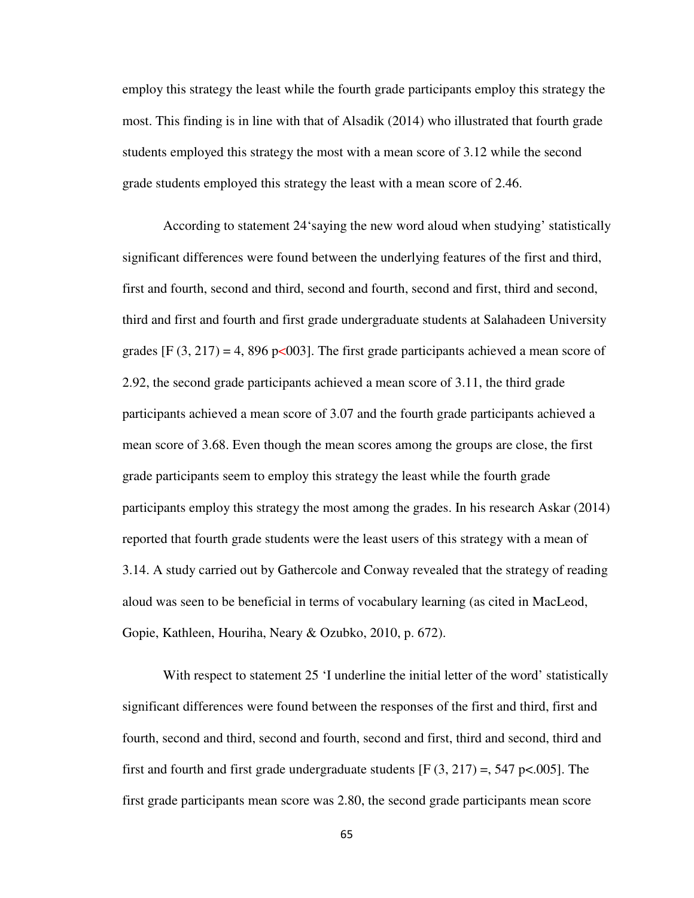employ this strategy the least while the fourth grade participants employ this strategy the most. This finding is in line with that of Alsadik (2014) who illustrated that fourth grade students employed this strategy the most with a mean score of 3.12 while the second grade students employed this strategy the least with a mean score of 2.46.

According to statement 24'saying the new word aloud when studying' statistically significant differences were found between the underlying features of the first and third, first and fourth, second and third, second and fourth, second and first, third and second, third and first and fourth and first grade undergraduate students at Salahadeen University grades [F  $(3, 217) = 4,896$  p<003]. The first grade participants achieved a mean score of 2.92, the second grade participants achieved a mean score of 3.11, the third grade participants achieved a mean score of 3.07 and the fourth grade participants achieved a mean score of 3.68. Even though the mean scores among the groups are close, the first grade participants seem to employ this strategy the least while the fourth grade participants employ this strategy the most among the grades. In his research Askar (2014) reported that fourth grade students were the least users of this strategy with a mean of 3.14. A study carried out by Gathercole and Conway revealed that the strategy of reading aloud was seen to be beneficial in terms of vocabulary learning (as cited in MacLeod, Gopie, Kathleen, Houriha, Neary & Ozubko, 2010, p. 672).

With respect to statement 25 'I underline the initial letter of the word' statistically significant differences were found between the responses of the first and third, first and fourth, second and third, second and fourth, second and first, third and second, third and first and fourth and first grade undergraduate students  $[F(3, 217) = 547 \text{ p} < .005]$ . The first grade participants mean score was 2.80, the second grade participants mean score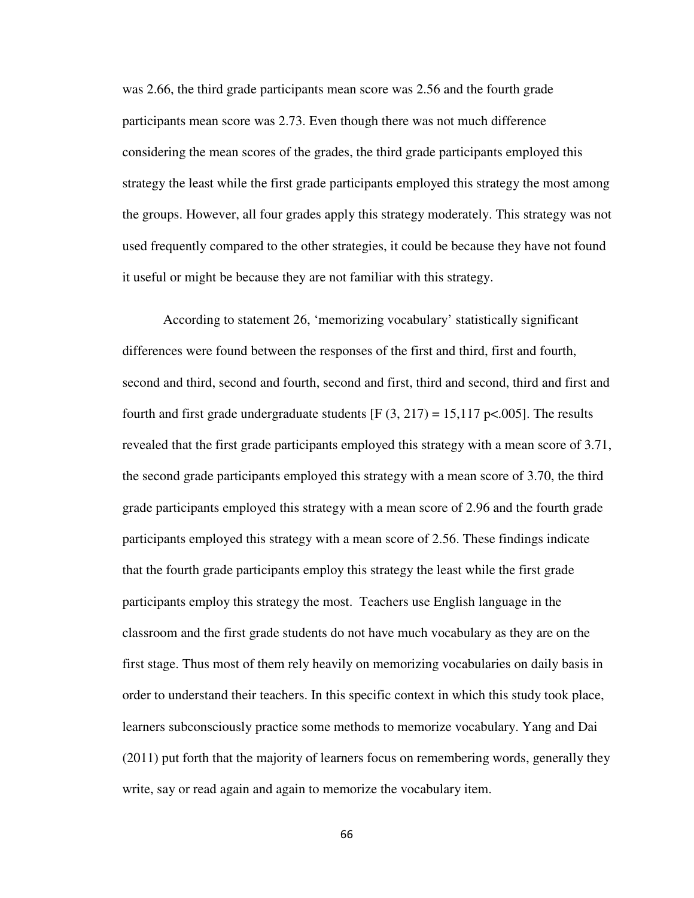was 2.66, the third grade participants mean score was 2.56 and the fourth grade participants mean score was 2.73. Even though there was not much difference considering the mean scores of the grades, the third grade participants employed this strategy the least while the first grade participants employed this strategy the most among the groups. However, all four grades apply this strategy moderately. This strategy was not used frequently compared to the other strategies, it could be because they have not found it useful or might be because they are not familiar with this strategy.

According to statement 26, 'memorizing vocabulary' statistically significant differences were found between the responses of the first and third, first and fourth, second and third, second and fourth, second and first, third and second, third and first and fourth and first grade undergraduate students  $[F(3, 217) = 15,117 \text{ pc}$ .005]. The results revealed that the first grade participants employed this strategy with a mean score of 3.71, the second grade participants employed this strategy with a mean score of 3.70, the third grade participants employed this strategy with a mean score of 2.96 and the fourth grade participants employed this strategy with a mean score of 2.56. These findings indicate that the fourth grade participants employ this strategy the least while the first grade participants employ this strategy the most. Teachers use English language in the classroom and the first grade students do not have much vocabulary as they are on the first stage. Thus most of them rely heavily on memorizing vocabularies on daily basis in order to understand their teachers. In this specific context in which this study took place, learners subconsciously practice some methods to memorize vocabulary. Yang and Dai (2011) put forth that the majority of learners focus on remembering words, generally they write, say or read again and again to memorize the vocabulary item.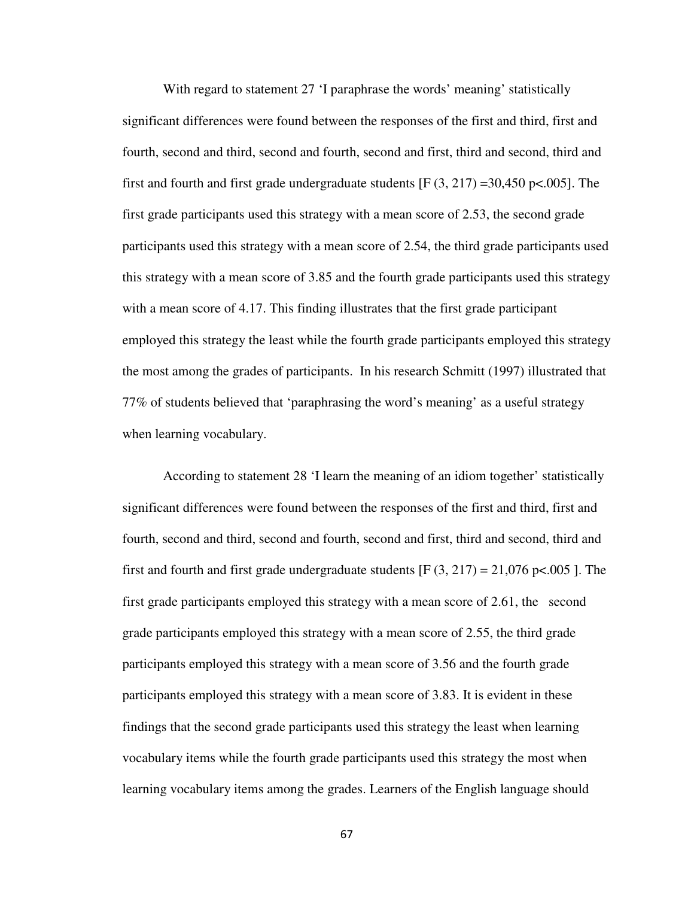With regard to statement 27 'I paraphrase the words' meaning' statistically significant differences were found between the responses of the first and third, first and fourth, second and third, second and fourth, second and first, third and second, third and first and fourth and first grade undergraduate students  $[F(3, 217) = 30,450 \text{ pc}.005]$ . The first grade participants used this strategy with a mean score of 2.53, the second grade participants used this strategy with a mean score of 2.54, the third grade participants used this strategy with a mean score of 3.85 and the fourth grade participants used this strategy with a mean score of 4.17. This finding illustrates that the first grade participant employed this strategy the least while the fourth grade participants employed this strategy the most among the grades of participants. In his research Schmitt (1997) illustrated that 77% of students believed that 'paraphrasing the word's meaning' as a useful strategy when learning vocabulary.

According to statement 28 'I learn the meaning of an idiom together' statistically significant differences were found between the responses of the first and third, first and fourth, second and third, second and fourth, second and first, third and second, third and first and fourth and first grade undergraduate students [F  $(3, 217) = 21,076$  p<.005 ]. The first grade participants employed this strategy with a mean score of 2.61, the second grade participants employed this strategy with a mean score of 2.55, the third grade participants employed this strategy with a mean score of 3.56 and the fourth grade participants employed this strategy with a mean score of 3.83. It is evident in these findings that the second grade participants used this strategy the least when learning vocabulary items while the fourth grade participants used this strategy the most when learning vocabulary items among the grades. Learners of the English language should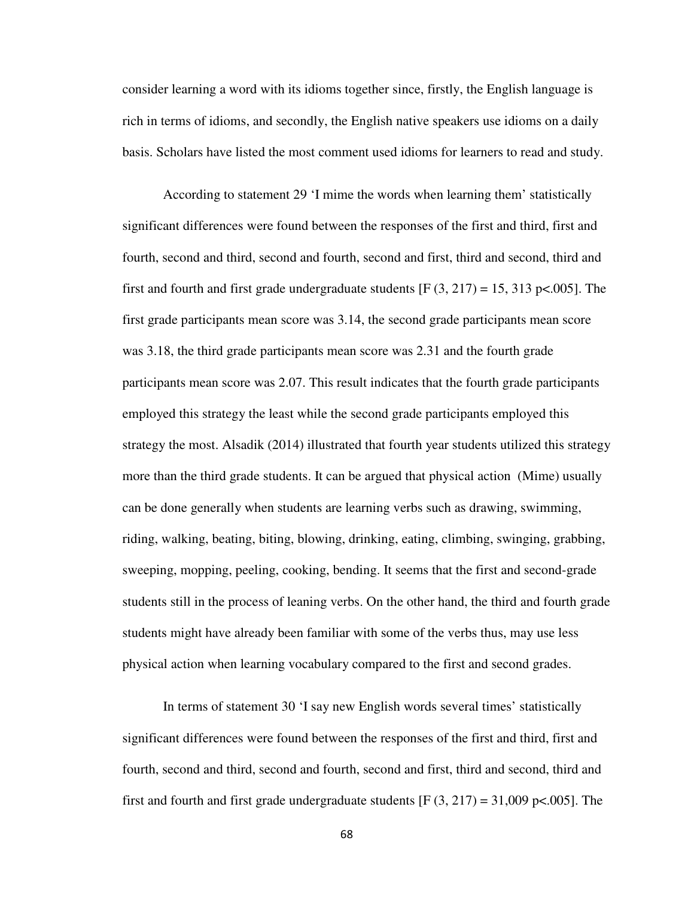consider learning a word with its idioms together since, firstly, the English language is rich in terms of idioms, and secondly, the English native speakers use idioms on a daily basis. Scholars have listed the most comment used idioms for learners to read and study.

According to statement 29 'I mime the words when learning them' statistically significant differences were found between the responses of the first and third, first and fourth, second and third, second and fourth, second and first, third and second, third and first and fourth and first grade undergraduate students  $[F(3, 217) = 15, 313 \text{ p} < .005]$ . The first grade participants mean score was 3.14, the second grade participants mean score was 3.18, the third grade participants mean score was 2.31 and the fourth grade participants mean score was 2.07. This result indicates that the fourth grade participants employed this strategy the least while the second grade participants employed this strategy the most. Alsadik (2014) illustrated that fourth year students utilized this strategy more than the third grade students. It can be argued that physical action (Mime) usually can be done generally when students are learning verbs such as drawing, swimming, riding, walking, beating, biting, blowing, drinking, eating, climbing, swinging, grabbing, sweeping, mopping, peeling, cooking, bending. It seems that the first and second-grade students still in the process of leaning verbs. On the other hand, the third and fourth grade students might have already been familiar with some of the verbs thus, may use less physical action when learning vocabulary compared to the first and second grades.

In terms of statement 30 'I say new English words several times' statistically significant differences were found between the responses of the first and third, first and fourth, second and third, second and fourth, second and first, third and second, third and first and fourth and first grade undergraduate students  $[F(3, 217) = 31,009 \text{ p} < .005]$ . The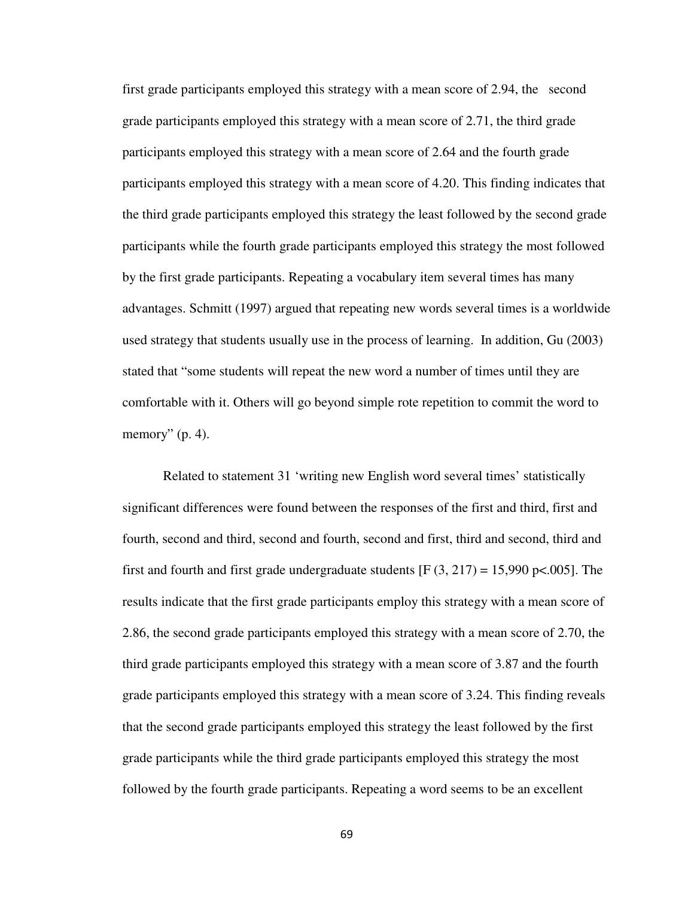first grade participants employed this strategy with a mean score of 2.94, the second grade participants employed this strategy with a mean score of 2.71, the third grade participants employed this strategy with a mean score of 2.64 and the fourth grade participants employed this strategy with a mean score of 4.20. This finding indicates that the third grade participants employed this strategy the least followed by the second grade participants while the fourth grade participants employed this strategy the most followed by the first grade participants. Repeating a vocabulary item several times has many advantages. Schmitt (1997) argued that repeating new words several times is a worldwide used strategy that students usually use in the process of learning. In addition, Gu (2003) stated that "some students will repeat the new word a number of times until they are comfortable with it. Others will go beyond simple rote repetition to commit the word to memory"  $(p. 4)$ .

Related to statement 31 'writing new English word several times' statistically significant differences were found between the responses of the first and third, first and fourth, second and third, second and fourth, second and first, third and second, third and first and fourth and first grade undergraduate students [F  $(3, 217) = 15,990$  p<.005]. The results indicate that the first grade participants employ this strategy with a mean score of 2.86, the second grade participants employed this strategy with a mean score of 2.70, the third grade participants employed this strategy with a mean score of 3.87 and the fourth grade participants employed this strategy with a mean score of 3.24. This finding reveals that the second grade participants employed this strategy the least followed by the first grade participants while the third grade participants employed this strategy the most followed by the fourth grade participants. Repeating a word seems to be an excellent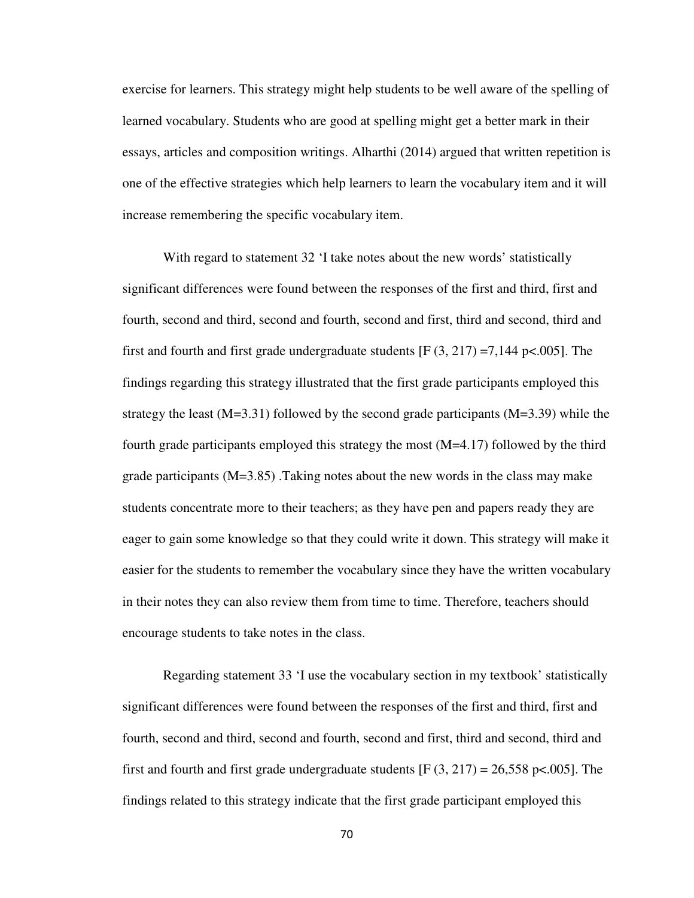exercise for learners. This strategy might help students to be well aware of the spelling of learned vocabulary. Students who are good at spelling might get a better mark in their essays, articles and composition writings. Alharthi (2014) argued that written repetition is one of the effective strategies which help learners to learn the vocabulary item and it will increase remembering the specific vocabulary item.

With regard to statement 32 'I take notes about the new words' statistically significant differences were found between the responses of the first and third, first and fourth, second and third, second and fourth, second and first, third and second, third and first and fourth and first grade undergraduate students  $[F(3, 217) = 7,144 \text{ p} < .005]$ . The findings regarding this strategy illustrated that the first grade participants employed this strategy the least  $(M=3.31)$  followed by the second grade participants  $(M=3.39)$  while the fourth grade participants employed this strategy the most (M=4.17) followed by the third grade participants (M=3.85) .Taking notes about the new words in the class may make students concentrate more to their teachers; as they have pen and papers ready they are eager to gain some knowledge so that they could write it down. This strategy will make it easier for the students to remember the vocabulary since they have the written vocabulary in their notes they can also review them from time to time. Therefore, teachers should encourage students to take notes in the class.

Regarding statement 33 'I use the vocabulary section in my textbook' statistically significant differences were found between the responses of the first and third, first and fourth, second and third, second and fourth, second and first, third and second, third and first and fourth and first grade undergraduate students  $[F(3, 217) = 26,558 \text{ p} < .005]$ . The findings related to this strategy indicate that the first grade participant employed this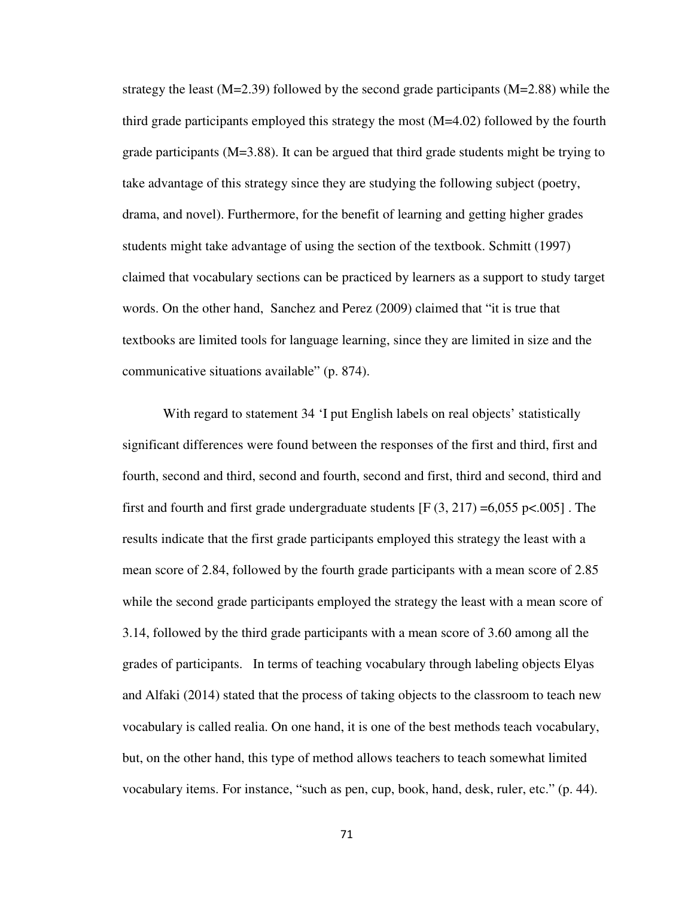strategy the least  $(M=2.39)$  followed by the second grade participants  $(M=2.88)$  while the third grade participants employed this strategy the most (M=4.02) followed by the fourth grade participants  $(M=3.88)$ . It can be argued that third grade students might be trying to take advantage of this strategy since they are studying the following subject (poetry, drama, and novel). Furthermore, for the benefit of learning and getting higher grades students might take advantage of using the section of the textbook. Schmitt (1997) claimed that vocabulary sections can be practiced by learners as a support to study target words. On the other hand, Sanchez and Perez (2009) claimed that "it is true that textbooks are limited tools for language learning, since they are limited in size and the communicative situations available" (p. 874).

With regard to statement 34 'I put English labels on real objects' statistically significant differences were found between the responses of the first and third, first and fourth, second and third, second and fourth, second and first, third and second, third and first and fourth and first grade undergraduate students  $[F(3, 217) = 6,055 \text{ p} < .005]$ . The results indicate that the first grade participants employed this strategy the least with a mean score of 2.84, followed by the fourth grade participants with a mean score of 2.85 while the second grade participants employed the strategy the least with a mean score of 3.14, followed by the third grade participants with a mean score of 3.60 among all the grades of participants. In terms of teaching vocabulary through labeling objects Elyas and Alfaki (2014) stated that the process of taking objects to the classroom to teach new vocabulary is called realia. On one hand, it is one of the best methods teach vocabulary, but, on the other hand, this type of method allows teachers to teach somewhat limited vocabulary items. For instance, "such as pen, cup, book, hand, desk, ruler, etc." (p. 44).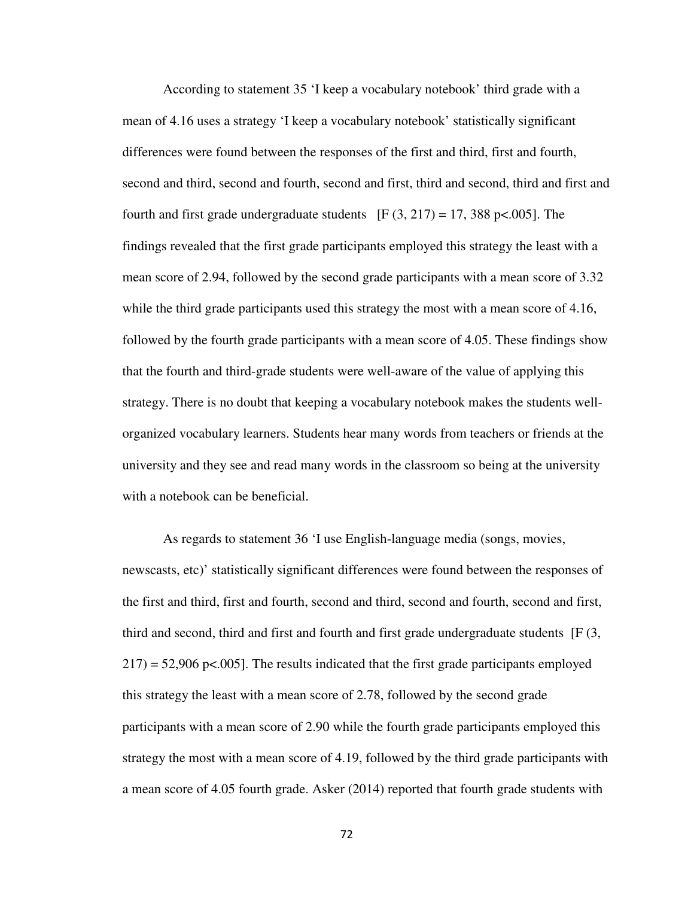According to statement 35 'I keep a vocabulary notebook' third grade with a mean of 4.16 uses a strategy 'I keep a vocabulary notebook' statistically significant differences were found between the responses of the first and third, first and fourth, second and third, second and fourth, second and first, third and second, third and first and fourth and first grade undergraduate students [F  $(3, 217) = 17,388$  p<.005]. The findings revealed that the first grade participants employed this strategy the least with a mean score of 2.94, followed by the second grade participants with a mean score of 3.32 while the third grade participants used this strategy the most with a mean score of 4.16, followed by the fourth grade participants with a mean score of 4.05. These findings show that the fourth and third-grade students were well-aware of the value of applying this strategy. There is no doubt that keeping a vocabulary notebook makes the students wellorganized vocabulary learners. Students hear many words from teachers or friends at the university and they see and read many words in the classroom so being at the university with a notebook can be beneficial.

As regards to statement 36 'I use English-language media (songs, movies, newscasts, etc)' statistically significant differences were found between the responses of the first and third, first and fourth, second and third, second and fourth, second and first, third and second, third and first and fourth and first grade undergraduate students [F (3,  $217$ ) = 52,906 p<.005]. The results indicated that the first grade participants employed this strategy the least with a mean score of 2.78, followed by the second grade participants with a mean score of 2.90 while the fourth grade participants employed this strategy the most with a mean score of 4.19, followed by the third grade participants with a mean score of 4.05 fourth grade. Asker (2014) reported that fourth grade students with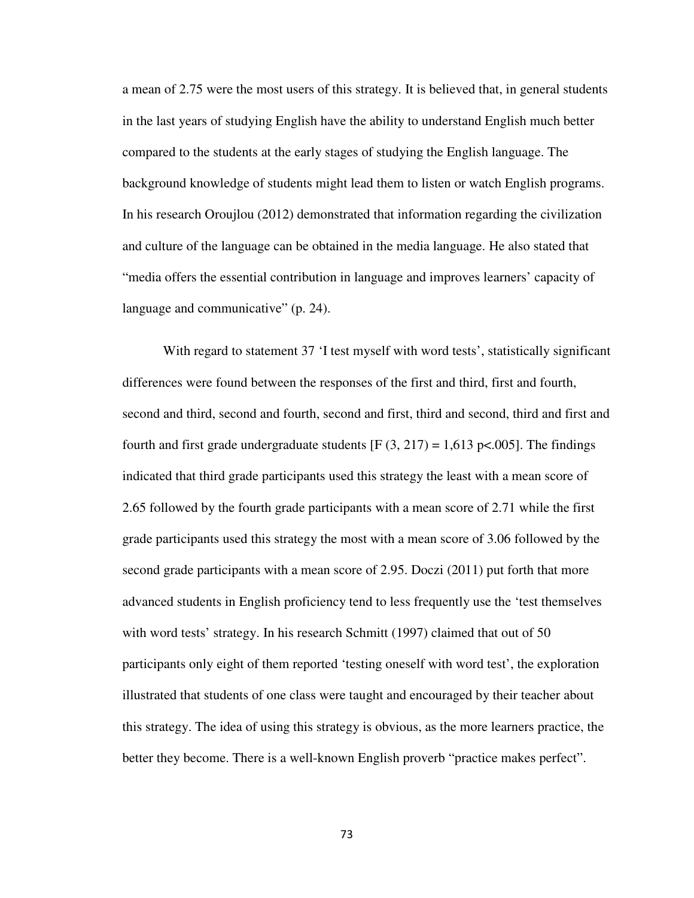a mean of 2.75 were the most users of this strategy. It is believed that, in general students in the last years of studying English have the ability to understand English much better compared to the students at the early stages of studying the English language. The background knowledge of students might lead them to listen or watch English programs. In his research Oroujlou (2012) demonstrated that information regarding the civilization and culture of the language can be obtained in the media language. He also stated that "media offers the essential contribution in language and improves learners' capacity of language and communicative" (p. 24).

With regard to statement 37 'I test myself with word tests', statistically significant differences were found between the responses of the first and third, first and fourth, second and third, second and fourth, second and first, third and second, third and first and fourth and first grade undergraduate students  $[F (3, 217) = 1,613 \text{ p} < .005]$ . The findings indicated that third grade participants used this strategy the least with a mean score of 2.65 followed by the fourth grade participants with a mean score of 2.71 while the first grade participants used this strategy the most with a mean score of 3.06 followed by the second grade participants with a mean score of 2.95. Doczi (2011) put forth that more advanced students in English proficiency tend to less frequently use the 'test themselves with word tests' strategy. In his research Schmitt (1997) claimed that out of 50 participants only eight of them reported 'testing oneself with word test', the exploration illustrated that students of one class were taught and encouraged by their teacher about this strategy. The idea of using this strategy is obvious, as the more learners practice, the better they become. There is a well-known English proverb "practice makes perfect".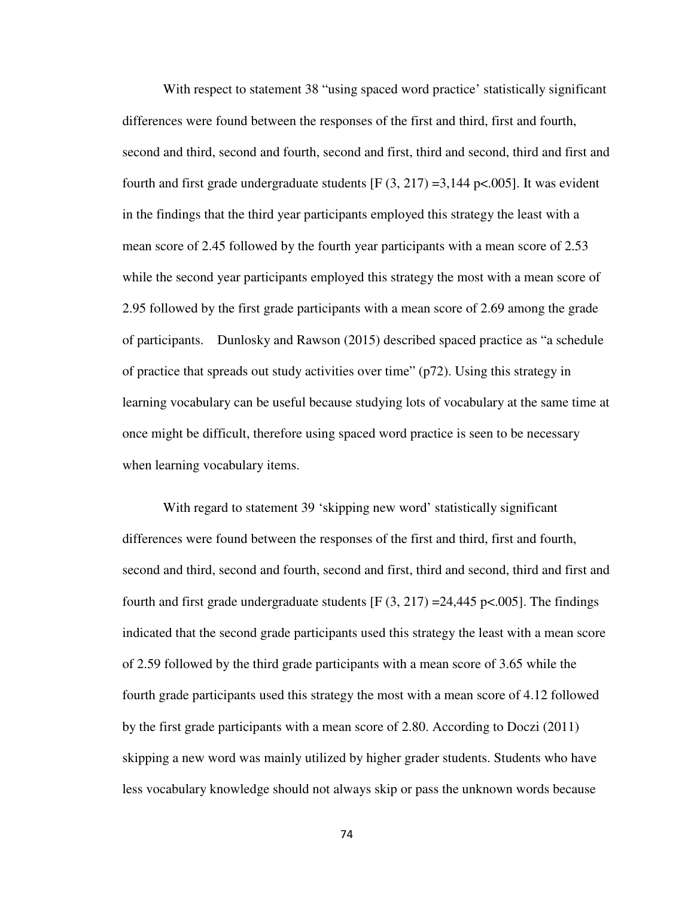With respect to statement 38 "using spaced word practice' statistically significant differences were found between the responses of the first and third, first and fourth, second and third, second and fourth, second and first, third and second, third and first and fourth and first grade undergraduate students  $[F(3, 217) = 3,144 \text{ p} < .005]$ . It was evident in the findings that the third year participants employed this strategy the least with a mean score of 2.45 followed by the fourth year participants with a mean score of 2.53 while the second year participants employed this strategy the most with a mean score of 2.95 followed by the first grade participants with a mean score of 2.69 among the grade of participants. Dunlosky and Rawson (2015) described spaced practice as "a schedule of practice that spreads out study activities over time" (p72). Using this strategy in learning vocabulary can be useful because studying lots of vocabulary at the same time at once might be difficult, therefore using spaced word practice is seen to be necessary when learning vocabulary items.

With regard to statement 39 'skipping new word' statistically significant differences were found between the responses of the first and third, first and fourth, second and third, second and fourth, second and first, third and second, third and first and fourth and first grade undergraduate students  $[F(3, 217) = 24,445 \text{ pc}$ .005]. The findings indicated that the second grade participants used this strategy the least with a mean score of 2.59 followed by the third grade participants with a mean score of 3.65 while the fourth grade participants used this strategy the most with a mean score of 4.12 followed by the first grade participants with a mean score of 2.80. According to Doczi (2011) skipping a new word was mainly utilized by higher grader students. Students who have less vocabulary knowledge should not always skip or pass the unknown words because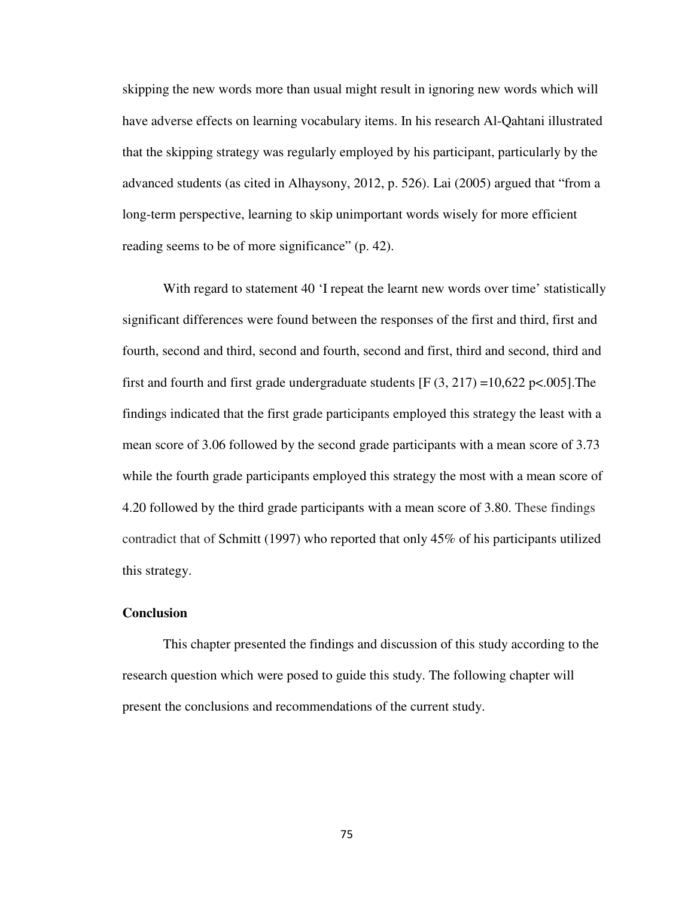skipping the new words more than usual might result in ignoring new words which will have adverse effects on learning vocabulary items. In his research Al-Qahtani illustrated that the skipping strategy was regularly employed by his participant, particularly by the advanced students (as cited in Alhaysony, 2012, p. 526). Lai (2005) argued that "from a long-term perspective, learning to skip unimportant words wisely for more efficient reading seems to be of more significance" (p. 42).

With regard to statement 40 'I repeat the learnt new words over time' statistically significant differences were found between the responses of the first and third, first and fourth, second and third, second and fourth, second and first, third and second, third and first and fourth and first grade undergraduate students [F  $(3, 217) = 10,622$  p<.005]. The findings indicated that the first grade participants employed this strategy the least with a mean score of 3.06 followed by the second grade participants with a mean score of 3.73 while the fourth grade participants employed this strategy the most with a mean score of 4.20 followed by the third grade participants with a mean score of 3.80. These findings contradict that of Schmitt (1997) who reported that only 45% of his participants utilized this strategy.

#### **Conclusion**

This chapter presented the findings and discussion of this study according to the research question which were posed to guide this study. The following chapter will present the conclusions and recommendations of the current study.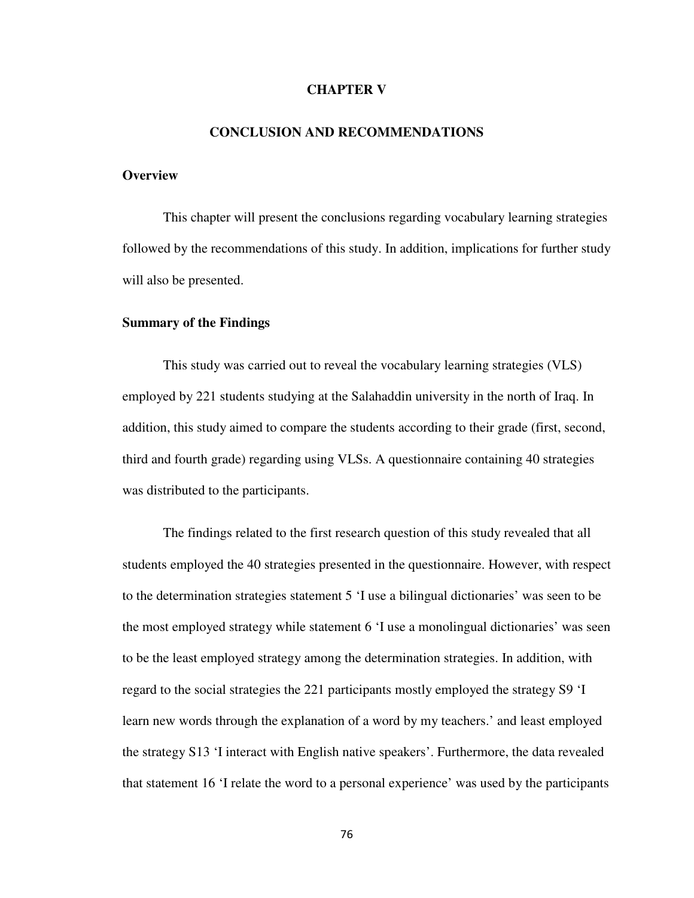#### **CHAPTER V**

#### **CONCLUSION AND RECOMMENDATIONS**

#### **Overview**

This chapter will present the conclusions regarding vocabulary learning strategies followed by the recommendations of this study. In addition, implications for further study will also be presented.

#### **Summary of the Findings**

This study was carried out to reveal the vocabulary learning strategies (VLS) employed by 221 students studying at the Salahaddin university in the north of Iraq. In addition, this study aimed to compare the students according to their grade (first, second, third and fourth grade) regarding using VLSs. A questionnaire containing 40 strategies was distributed to the participants.

The findings related to the first research question of this study revealed that all students employed the 40 strategies presented in the questionnaire. However, with respect to the determination strategies statement 5 'I use a bilingual dictionaries' was seen to be the most employed strategy while statement 6 'I use a monolingual dictionaries' was seen to be the least employed strategy among the determination strategies. In addition, with regard to the social strategies the 221 participants mostly employed the strategy S9 'I learn new words through the explanation of a word by my teachers.' and least employed the strategy S13 'I interact with English native speakers'. Furthermore, the data revealed that statement 16 'I relate the word to a personal experience' was used by the participants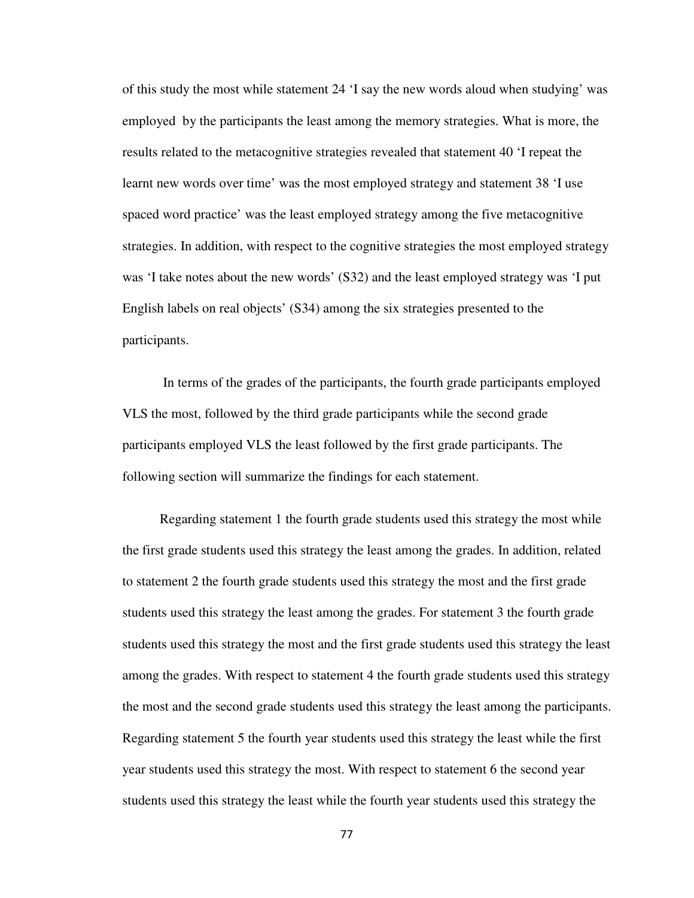of this study the most while statement 24 'I say the new words aloud when studying' was employed by the participants the least among the memory strategies. What is more, the results related to the metacognitive strategies revealed that statement 40 'I repeat the learnt new words over time' was the most employed strategy and statement 38 'I use spaced word practice' was the least employed strategy among the five metacognitive strategies. In addition, with respect to the cognitive strategies the most employed strategy was 'I take notes about the new words' (S32) and the least employed strategy was 'I put English labels on real objects' (S34) among the six strategies presented to the participants.

In terms of the grades of the participants, the fourth grade participants employed VLS the most, followed by the third grade participants while the second grade participants employed VLS the least followed by the first grade participants. The following section will summarize the findings for each statement.

 Regarding statement 1 the fourth grade students used this strategy the most while the first grade students used this strategy the least among the grades. In addition, related to statement 2 the fourth grade students used this strategy the most and the first grade students used this strategy the least among the grades. For statement 3 the fourth grade students used this strategy the most and the first grade students used this strategy the least among the grades. With respect to statement 4 the fourth grade students used this strategy the most and the second grade students used this strategy the least among the participants. Regarding statement 5 the fourth year students used this strategy the least while the first year students used this strategy the most. With respect to statement 6 the second year students used this strategy the least while the fourth year students used this strategy the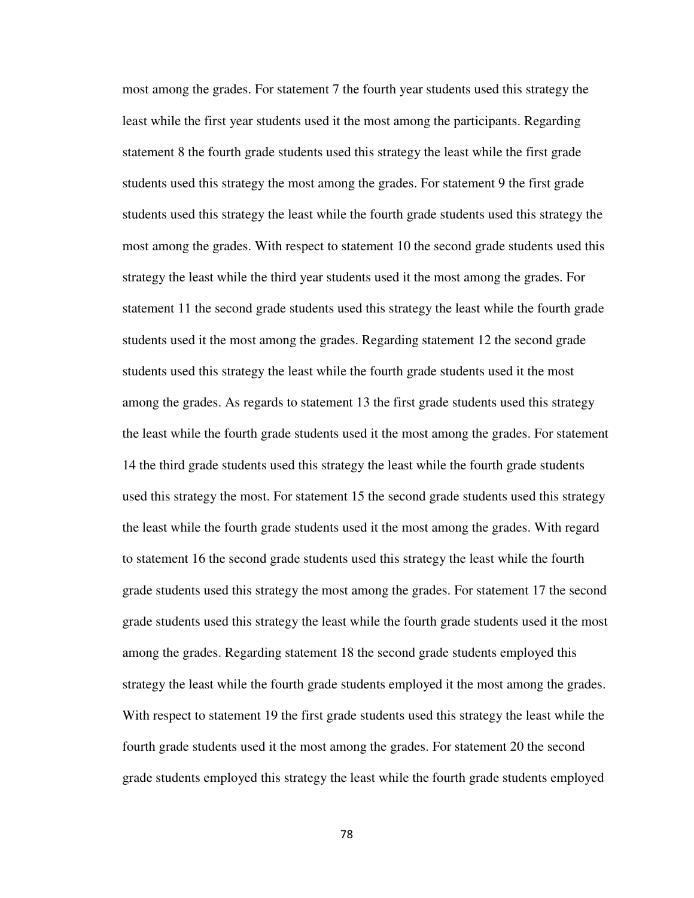most among the grades. For statement 7 the fourth year students used this strategy the least while the first year students used it the most among the participants. Regarding statement 8 the fourth grade students used this strategy the least while the first grade students used this strategy the most among the grades. For statement 9 the first grade students used this strategy the least while the fourth grade students used this strategy the most among the grades. With respect to statement 10 the second grade students used this strategy the least while the third year students used it the most among the grades. For statement 11 the second grade students used this strategy the least while the fourth grade students used it the most among the grades. Regarding statement 12 the second grade students used this strategy the least while the fourth grade students used it the most among the grades. As regards to statement 13 the first grade students used this strategy the least while the fourth grade students used it the most among the grades. For statement 14 the third grade students used this strategy the least while the fourth grade students used this strategy the most. For statement 15 the second grade students used this strategy the least while the fourth grade students used it the most among the grades. With regard to statement 16 the second grade students used this strategy the least while the fourth grade students used this strategy the most among the grades. For statement 17 the second grade students used this strategy the least while the fourth grade students used it the most among the grades. Regarding statement 18 the second grade students employed this strategy the least while the fourth grade students employed it the most among the grades. With respect to statement 19 the first grade students used this strategy the least while the fourth grade students used it the most among the grades. For statement 20 the second grade students employed this strategy the least while the fourth grade students employed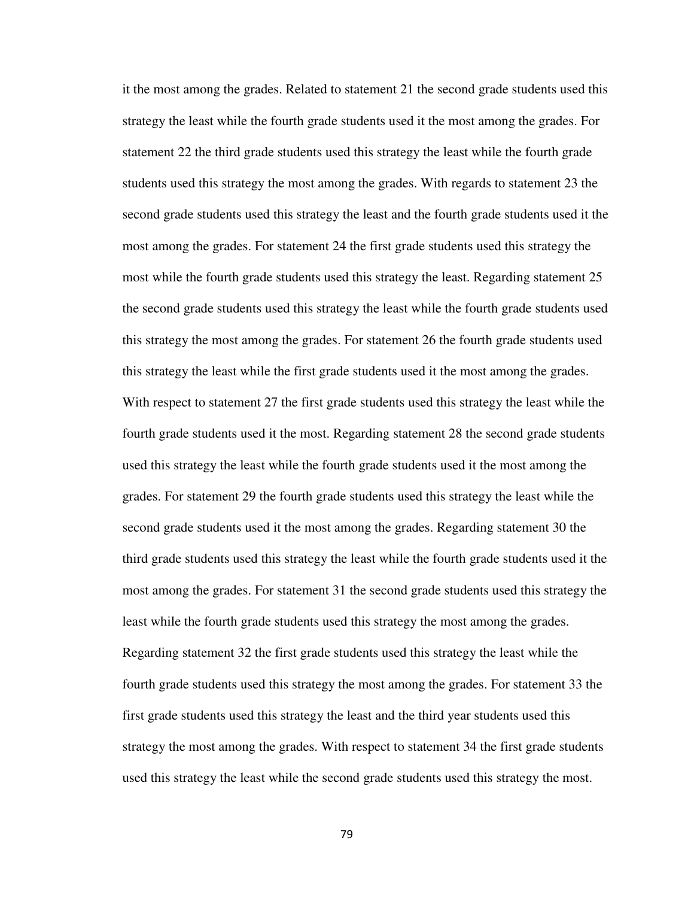it the most among the grades. Related to statement 21 the second grade students used this strategy the least while the fourth grade students used it the most among the grades. For statement 22 the third grade students used this strategy the least while the fourth grade students used this strategy the most among the grades. With regards to statement 23 the second grade students used this strategy the least and the fourth grade students used it the most among the grades. For statement 24 the first grade students used this strategy the most while the fourth grade students used this strategy the least. Regarding statement 25 the second grade students used this strategy the least while the fourth grade students used this strategy the most among the grades. For statement 26 the fourth grade students used this strategy the least while the first grade students used it the most among the grades. With respect to statement 27 the first grade students used this strategy the least while the fourth grade students used it the most. Regarding statement 28 the second grade students used this strategy the least while the fourth grade students used it the most among the grades. For statement 29 the fourth grade students used this strategy the least while the second grade students used it the most among the grades. Regarding statement 30 the third grade students used this strategy the least while the fourth grade students used it the most among the grades. For statement 31 the second grade students used this strategy the least while the fourth grade students used this strategy the most among the grades. Regarding statement 32 the first grade students used this strategy the least while the fourth grade students used this strategy the most among the grades. For statement 33 the first grade students used this strategy the least and the third year students used this strategy the most among the grades. With respect to statement 34 the first grade students used this strategy the least while the second grade students used this strategy the most.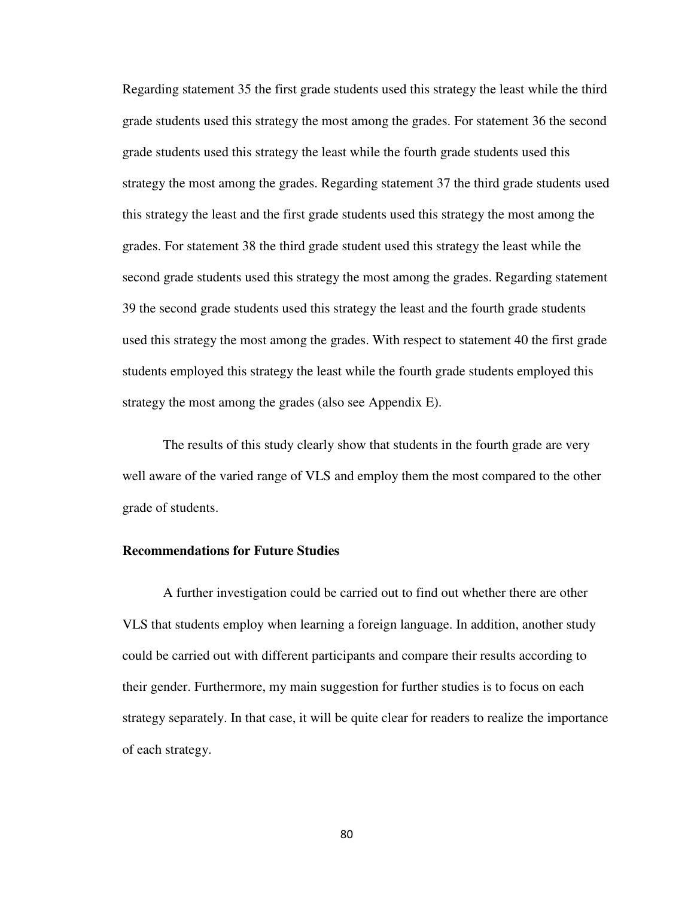Regarding statement 35 the first grade students used this strategy the least while the third grade students used this strategy the most among the grades. For statement 36 the second grade students used this strategy the least while the fourth grade students used this strategy the most among the grades. Regarding statement 37 the third grade students used this strategy the least and the first grade students used this strategy the most among the grades. For statement 38 the third grade student used this strategy the least while the second grade students used this strategy the most among the grades. Regarding statement 39 the second grade students used this strategy the least and the fourth grade students used this strategy the most among the grades. With respect to statement 40 the first grade students employed this strategy the least while the fourth grade students employed this strategy the most among the grades (also see Appendix E).

The results of this study clearly show that students in the fourth grade are very well aware of the varied range of VLS and employ them the most compared to the other grade of students.

#### **Recommendations for Future Studies**

A further investigation could be carried out to find out whether there are other VLS that students employ when learning a foreign language. In addition, another study could be carried out with different participants and compare their results according to their gender. Furthermore, my main suggestion for further studies is to focus on each strategy separately. In that case, it will be quite clear for readers to realize the importance of each strategy.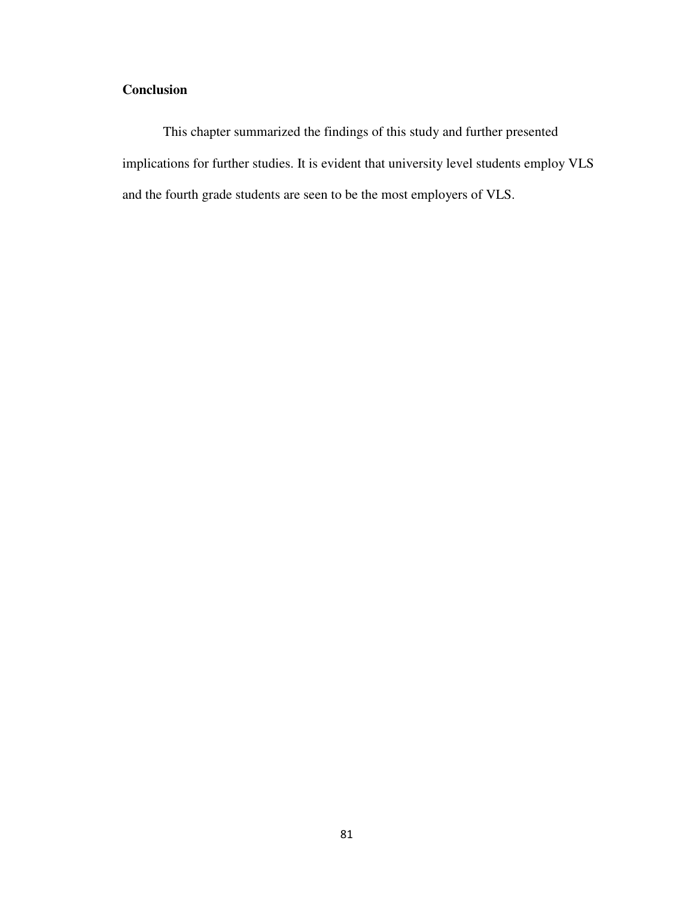## **Conclusion**

This chapter summarized the findings of this study and further presented implications for further studies. It is evident that university level students employ VLS and the fourth grade students are seen to be the most employers of VLS.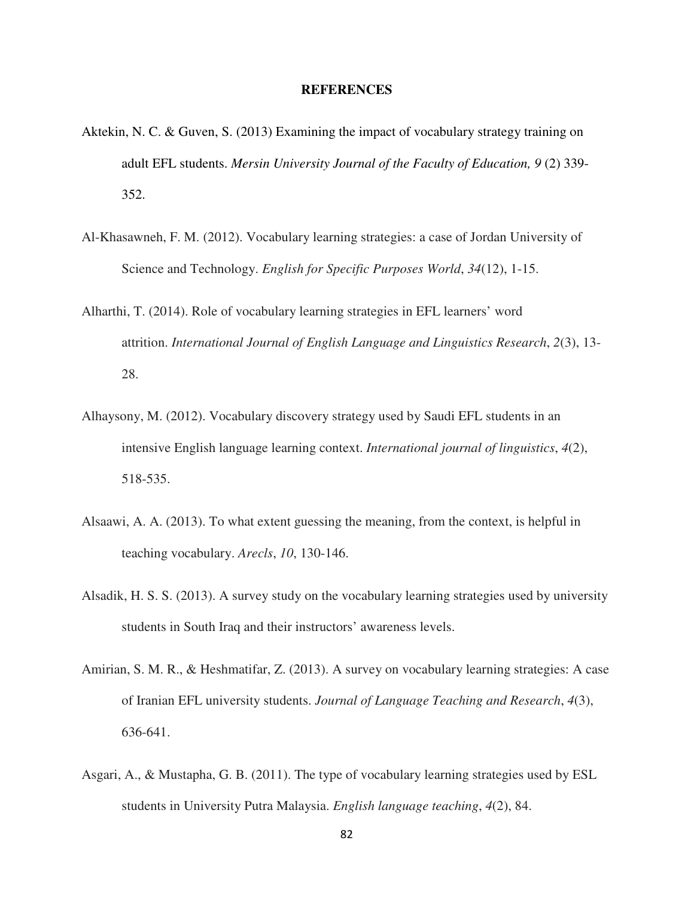#### **REFERENCES**

- Aktekin, N. C. & Guven, S. (2013) Examining the impact of vocabulary strategy training on adult EFL students. *Mersin University Journal of the Faculty of Education*, 9 (2) 339-352.
- Al-Khasawneh, F. M. (2012). Vocabulary learning strategies: a case of Jordan University of Science and Technology. *English for Specific Purposes World*, *34*(12), 1-15.
- Alharthi, T. (2014). Role of vocabulary learning strategies in EFL learners' word attrition. *International Journal of English Language and Linguistics Research*, *2*(3), 13- 28.
- Alhaysony, M. (2012). Vocabulary discovery strategy used by Saudi EFL students in an intensive English language learning context. *International journal of linguistics*, *4*(2), 518-535.
- Alsaawi, A. A. (2013). To what extent guessing the meaning, from the context, is helpful in teaching vocabulary. *Arecls*, *10*, 130-146.
- Alsadik, H. S. S. (2013). A survey study on the vocabulary learning strategies used by university students in South Iraq and their instructors' awareness levels.
- Amirian, S. M. R., & Heshmatifar, Z. (2013). A survey on vocabulary learning strategies: A case of Iranian EFL university students. *Journal of Language Teaching and Research*, *4*(3), 636-641.
- Asgari, A., & Mustapha, G. B. (2011). The type of vocabulary learning strategies used by ESL students in University Putra Malaysia. *English language teaching*, *4*(2), 84.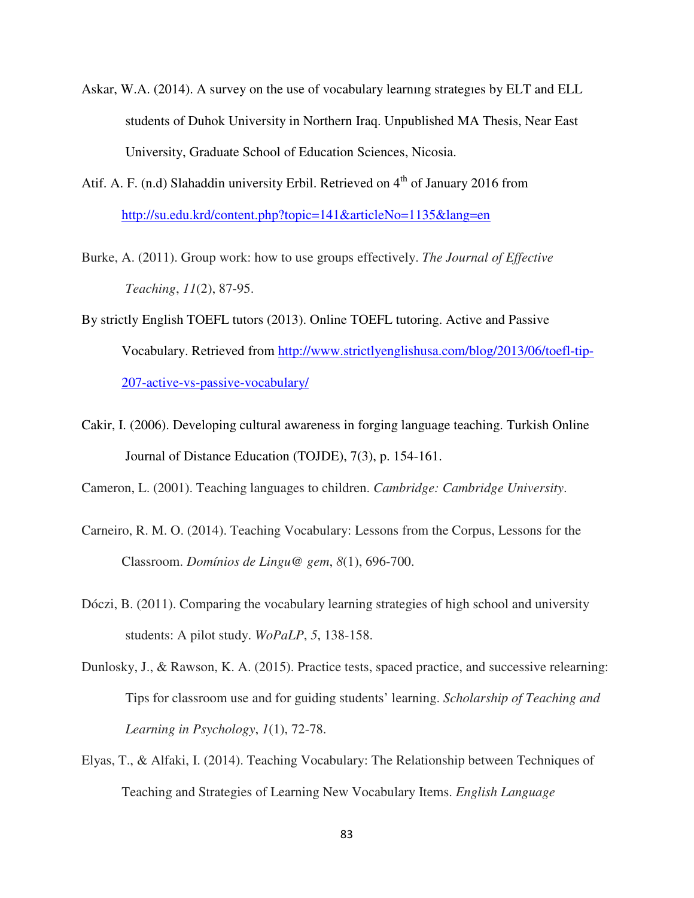- Askar, W.A. (2014). A survey on the use of vocabulary learnıng strategıes by ELT and ELL students of Duhok University in Northern Iraq. Unpublished MA Thesis, Near East University, Graduate School of Education Sciences, Nicosia.
- Atif. A. F. (n.d) Slahaddin university Erbil. Retrieved on  $4<sup>th</sup>$  of January 2016 from http://su.edu.krd/content.php?topic=141&articleNo=1135&lang=en
- Burke, A. (2011). Group work: how to use groups effectively. *The Journal of Effective Teaching*, *11*(2), 87-95.
- By strictly English TOEFL tutors (2013). Online TOEFL tutoring. Active and Passive Vocabulary. Retrieved from http://www.strictlyenglishusa.com/blog/2013/06/toefl-tip-207-active-vs-passive-vocabulary/
- Cakir, I. (2006). Developing cultural awareness in forging language teaching. Turkish Online Journal of Distance Education (TOJDE), 7(3), p. 154-161.

Cameron, L. (2001). Teaching languages to children. *Cambridge: Cambridge University*.

- Carneiro, R. M. O. (2014). Teaching Vocabulary: Lessons from the Corpus, Lessons for the Classroom. *Domínios de Lingu@ gem*, *8*(1), 696-700.
- Dóczi, B. (2011). Comparing the vocabulary learning strategies of high school and university students: A pilot study. *WoPaLP*, *5*, 138-158.
- Dunlosky, J., & Rawson, K. A. (2015). Practice tests, spaced practice, and successive relearning: Tips for classroom use and for guiding students' learning. *Scholarship of Teaching and Learning in Psychology*, *1*(1), 72-78.
- Elyas, T., & Alfaki, I. (2014). Teaching Vocabulary: The Relationship between Techniques of Teaching and Strategies of Learning New Vocabulary Items. *English Language*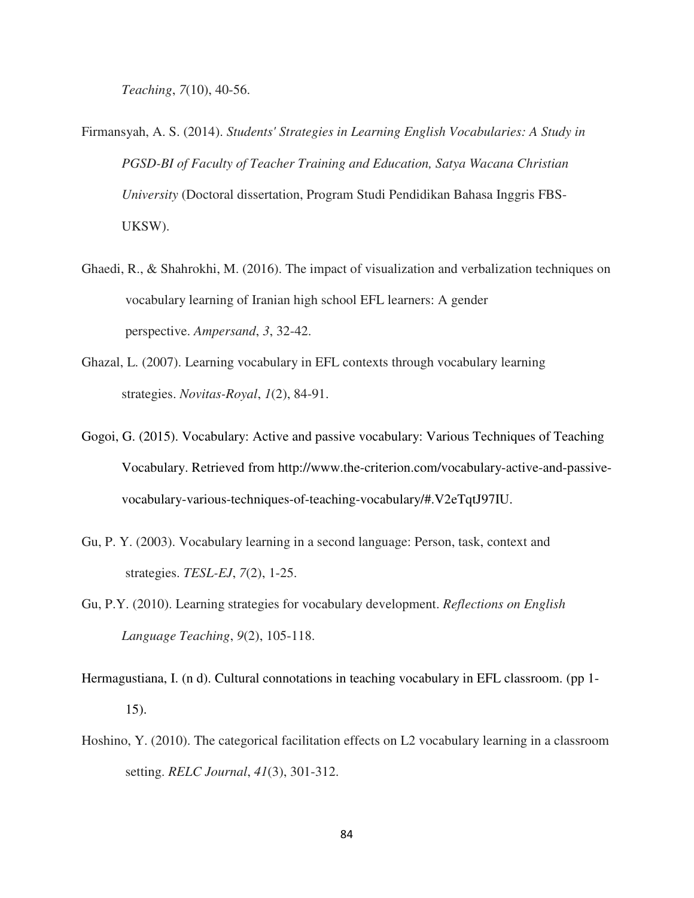*Teaching*, *7*(10), 40-56.

- Firmansyah, A. S. (2014). *Students' Strategies in Learning English Vocabularies: A Study in PGSD-BI of Faculty of Teacher Training and Education, Satya Wacana Christian University* (Doctoral dissertation, Program Studi Pendidikan Bahasa Inggris FBS-UKSW).
- Ghaedi, R., & Shahrokhi, M. (2016). The impact of visualization and verbalization techniques on vocabulary learning of Iranian high school EFL learners: A gender perspective. *Ampersand*, *3*, 32-42.
- Ghazal, L. (2007). Learning vocabulary in EFL contexts through vocabulary learning strategies. *Novitas-Royal*, *1*(2), 84-91.
- Gogoi, G. (2015). Vocabulary: Active and passive vocabulary: Various Techniques of Teaching Vocabulary. Retrieved from http://www.the-criterion.com/vocabulary-active-and-passivevocabulary-various-techniques-of-teaching-vocabulary/#.V2eTqtJ97IU.
- Gu, P. Y. (2003). Vocabulary learning in a second language: Person, task, context and strategies. *TESL-EJ*, *7*(2), 1-25.
- Gu, P.Y. (2010). Learning strategies for vocabulary development. *Reflections on English Language Teaching*, *9*(2), 105-118.
- Hermagustiana, I. (n d). Cultural connotations in teaching vocabulary in EFL classroom. (pp 1- 15).
- Hoshino, Y. (2010). The categorical facilitation effects on L2 vocabulary learning in a classroom setting. *RELC Journal*, *41*(3), 301-312.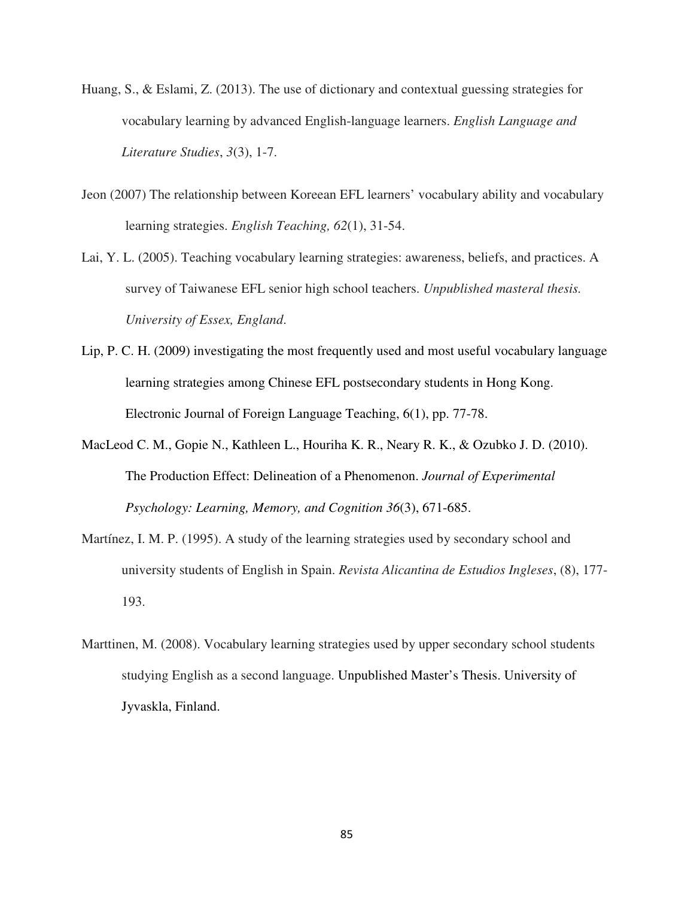- Huang, S., & Eslami, Z. (2013). The use of dictionary and contextual guessing strategies for vocabulary learning by advanced English-language learners. *English Language and Literature Studies*, *3*(3), 1-7.
- Jeon (2007) The relationship between Koreean EFL learners' vocabulary ability and vocabulary learning strategies. *English Teaching, 62*(1), 31-54.
- Lai, Y. L. (2005). Teaching vocabulary learning strategies: awareness, beliefs, and practices. A survey of Taiwanese EFL senior high school teachers. *Unpublished masteral thesis. University of Essex, England*.
- Lip, P. C. H. (2009) investigating the most frequently used and most useful vocabulary language learning strategies among Chinese EFL postsecondary students in Hong Kong. Electronic Journal of Foreign Language Teaching, 6(1), pp. 77-78.
- MacLeod C. M., Gopie N., Kathleen L., Houriha K. R., Neary R. K., & Ozubko J. D. (2010). The Production Effect: Delineation of a Phenomenon. *Journal of Experimental Psychology: Learning, Memory, and Cognition 36*(3), 671-685.
- Martínez, I. M. P. (1995). A study of the learning strategies used by secondary school and university students of English in Spain. *Revista Alicantina de Estudios Ingleses*, (8), 177- 193.
- Marttinen, M. (2008). Vocabulary learning strategies used by upper secondary school students studying English as a second language. Unpublished Master's Thesis. University of Jyvaskla, Finland.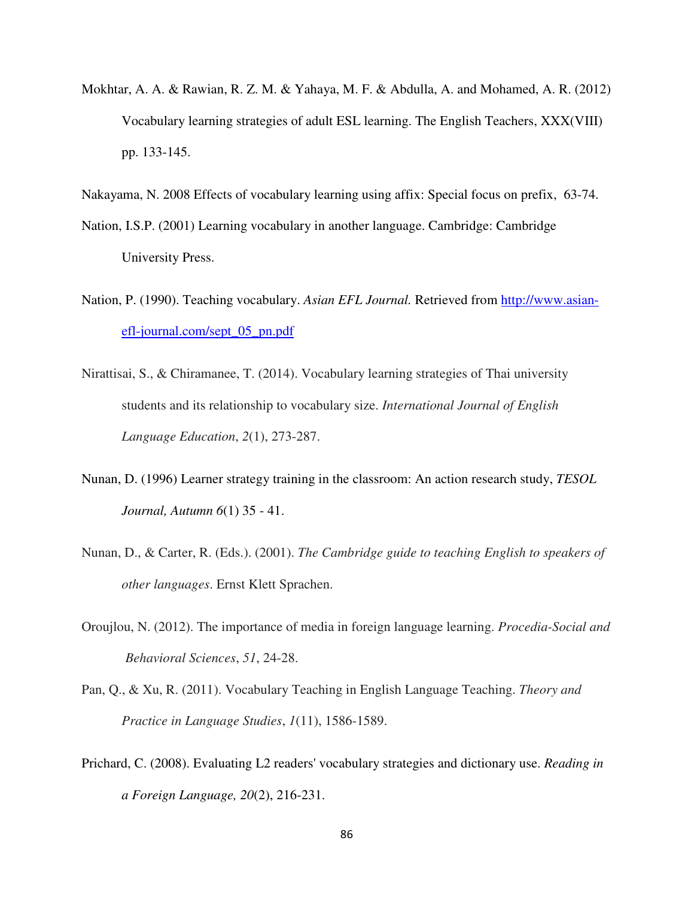Mokhtar, A. A. & Rawian, R. Z. M. & Yahaya, M. F. & Abdulla, A. and Mohamed, A. R. (2012) Vocabulary learning strategies of adult ESL learning. The English Teachers, XXX(VIII) pp. 133-145.

Nakayama, N. 2008 Effects of vocabulary learning using affix: Special focus on prefix, 63-74.

- Nation, I.S.P. (2001) Learning vocabulary in another language. Cambridge: Cambridge University Press.
- Nation, P. (1990). Teaching vocabulary. *Asian EFL Journal.* Retrieved from http://www.asianefl-journal.com/sept\_05\_pn.pdf
- Nirattisai, S., & Chiramanee, T. (2014). Vocabulary learning strategies of Thai university students and its relationship to vocabulary size. *International Journal of English Language Education*, *2*(1), 273-287.
- Nunan, D. (1996) Learner strategy training in the classroom: An action research study, *TESOL Journal, Autumn 6*(1) 35 - 41.
- Nunan, D., & Carter, R. (Eds.). (2001). *The Cambridge guide to teaching English to speakers of other languages*. Ernst Klett Sprachen.
- Oroujlou, N. (2012). The importance of media in foreign language learning. *Procedia-Social and Behavioral Sciences*, *51*, 24-28.
- Pan, Q., & Xu, R. (2011). Vocabulary Teaching in English Language Teaching. *Theory and Practice in Language Studies*, *1*(11), 1586-1589.
- Prichard, C. (2008). Evaluating L2 readers' vocabulary strategies and dictionary use. *Reading in a Foreign Language, 20*(2), 216-231.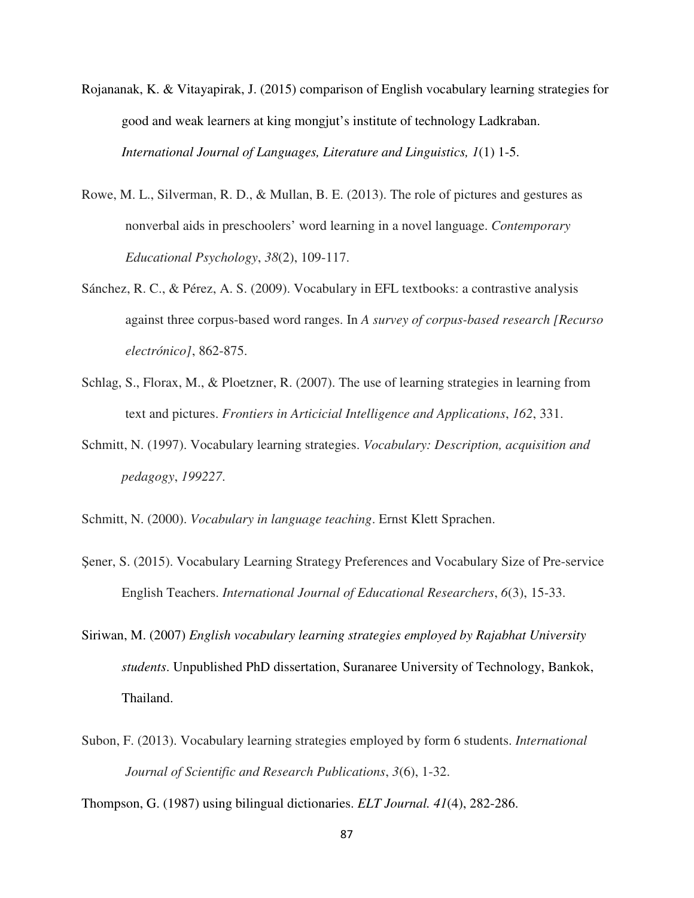- Rojananak, K. & Vitayapirak, J. (2015) comparison of English vocabulary learning strategies for good and weak learners at king mongjut's institute of technology Ladkraban. *International Journal of Languages, Literature and Linguistics, 1*(1) 1-5.
- Rowe, M. L., Silverman, R. D., & Mullan, B. E. (2013). The role of pictures and gestures as nonverbal aids in preschoolers' word learning in a novel language. *Contemporary Educational Psychology*, *38*(2), 109-117.
- Sánchez, R. C., & Pérez, A. S. (2009). Vocabulary in EFL textbooks: a contrastive analysis against three corpus-based word ranges. In *A survey of corpus-based research [Recurso electrónico]*, 862-875.
- Schlag, S., Florax, M., & Ploetzner, R. (2007). The use of learning strategies in learning from text and pictures. *Frontiers in Articicial Intelligence and Applications*, *162*, 331.
- Schmitt, N. (1997). Vocabulary learning strategies. *Vocabulary: Description, acquisition and pedagogy*, *199227*.
- Schmitt, N. (2000). *Vocabulary in language teaching*. Ernst Klett Sprachen.
- Şener, S. (2015). Vocabulary Learning Strategy Preferences and Vocabulary Size of Pre-service English Teachers. *International Journal of Educational Researchers*, *6*(3), 15-33.
- Siriwan, M. (2007) *English vocabulary learning strategies employed by Rajabhat University students*. Unpublished PhD dissertation, Suranaree University of Technology, Bankok, Thailand.
- Subon, F. (2013). Vocabulary learning strategies employed by form 6 students. *International Journal of Scientific and Research Publications*, *3*(6), 1-32.

Thompson, G. (1987) using bilingual dictionaries. *ELT Journal. 41*(4), 282-286.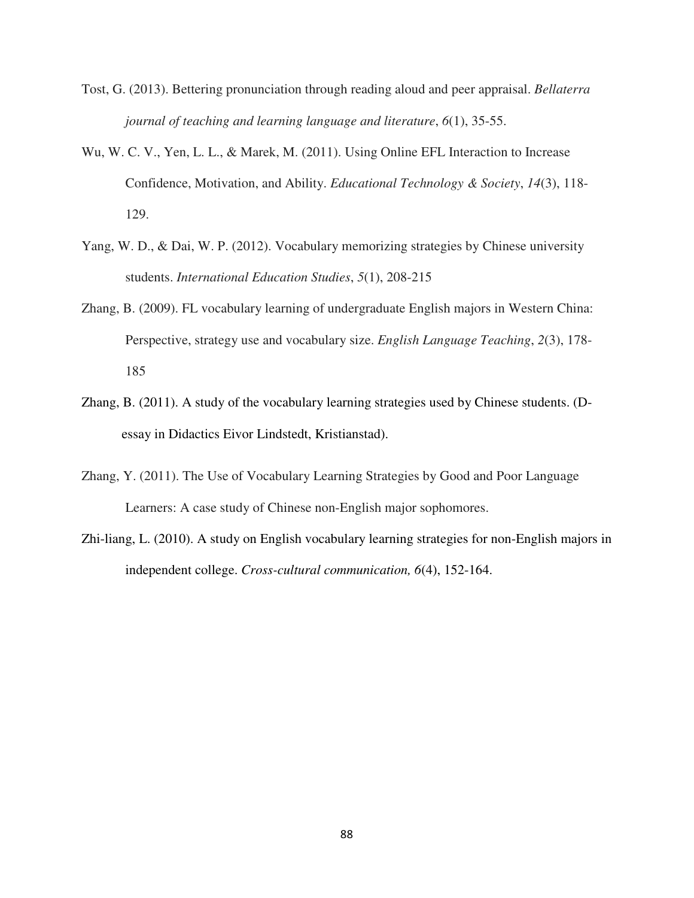- Tost, G. (2013). Bettering pronunciation through reading aloud and peer appraisal. *Bellaterra journal of teaching and learning language and literature*, *6*(1), 35-55.
- Wu, W. C. V., Yen, L. L., & Marek, M. (2011). Using Online EFL Interaction to Increase Confidence, Motivation, and Ability. *Educational Technology & Society*, *14*(3), 118- 129.
- Yang, W. D., & Dai, W. P. (2012). Vocabulary memorizing strategies by Chinese university students. *International Education Studies*, *5*(1), 208-215
- Zhang, B. (2009). FL vocabulary learning of undergraduate English majors in Western China: Perspective, strategy use and vocabulary size. *English Language Teaching*, *2*(3), 178- 185
- Zhang, B. (2011). A study of the vocabulary learning strategies used by Chinese students. (Dessay in Didactics Eivor Lindstedt, Kristianstad).
- Zhang, Y. (2011). The Use of Vocabulary Learning Strategies by Good and Poor Language Learners: A case study of Chinese non-English major sophomores.
- Zhi-liang, L. (2010). A study on English vocabulary learning strategies for non-English majors in independent college. *Cross-cultural communication, 6*(4), 152-164.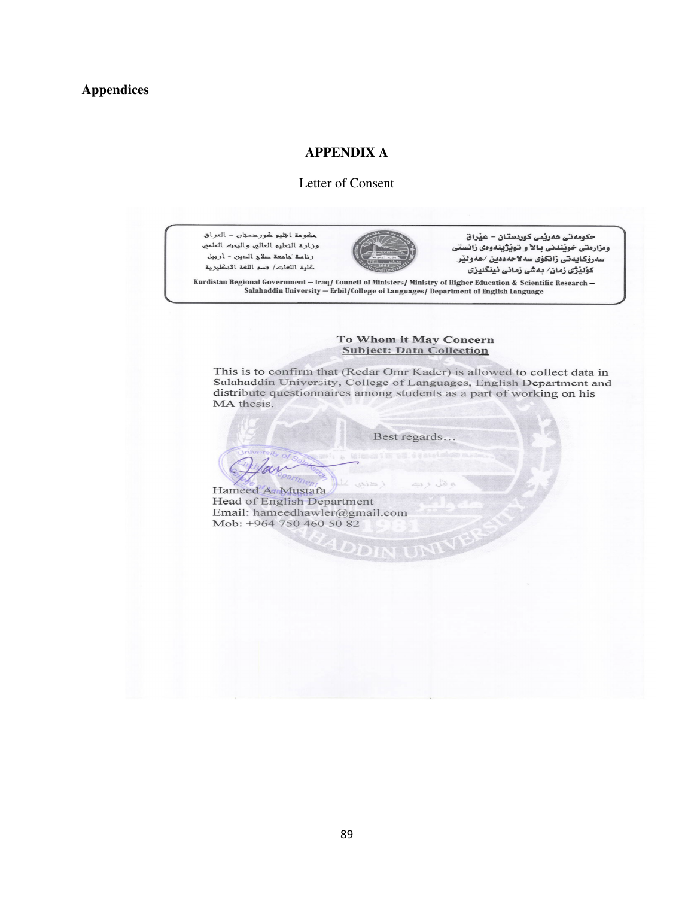#### **APPENDIX A**

#### Letter of Consent

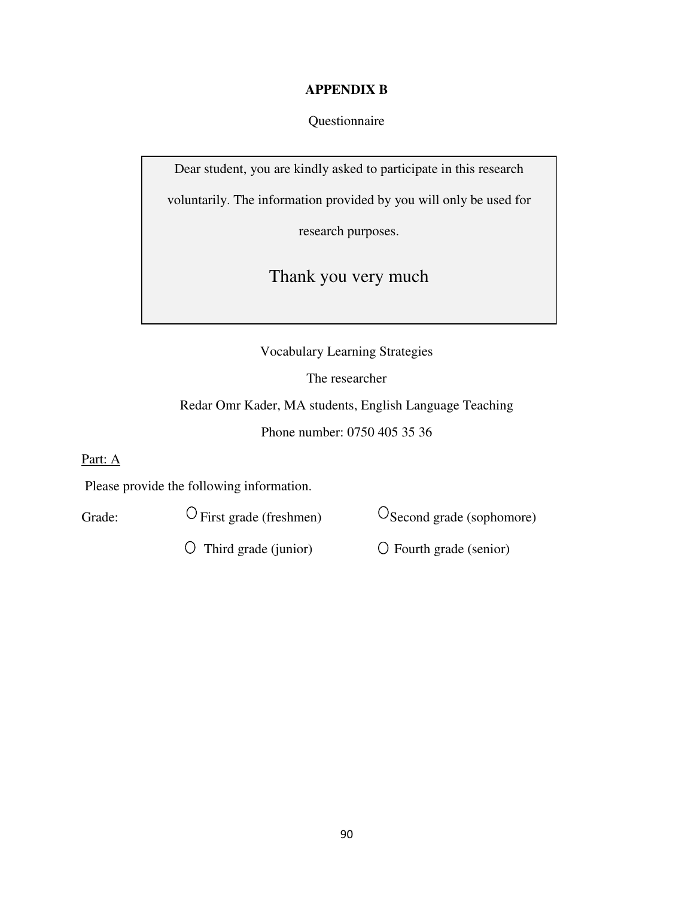### **APPENDIX B**

Questionnaire

Dear student, you are kindly asked to participate in this research

voluntarily. The information provided by you will only be used for

research purposes.

Thank you very much

Vocabulary Learning Strategies

The researcher

Redar Omr Kader, MA students, English Language Teaching Phone number: 0750 405 35 36

Part: A

Please provide the following information.

Grade:  $\bigcirc$  First grade (freshmen)  $\bigcirc$  Second grade (sophomore)

 $\overline{O}$  Third grade (junior)  $\overline{O}$  Fourth grade (senior)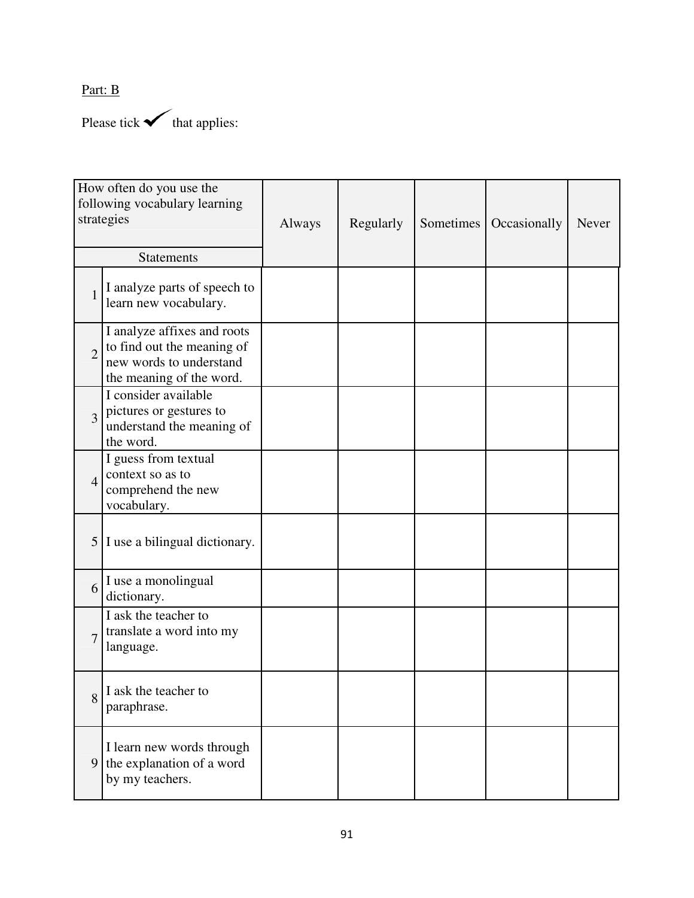Part: B

Please tick  $\checkmark$  that applies:

| How often do you use the<br>following vocabulary learning<br>strategies |                                                                                                                  | Always | Regularly | Sometimes | Occasionally | Never |
|-------------------------------------------------------------------------|------------------------------------------------------------------------------------------------------------------|--------|-----------|-----------|--------------|-------|
|                                                                         | <b>Statements</b>                                                                                                |        |           |           |              |       |
| 1                                                                       | I analyze parts of speech to<br>learn new vocabulary.                                                            |        |           |           |              |       |
| $\overline{2}$                                                          | I analyze affixes and roots<br>to find out the meaning of<br>new words to understand<br>the meaning of the word. |        |           |           |              |       |
| $\overline{3}$                                                          | I consider available<br>pictures or gestures to<br>understand the meaning of<br>the word.                        |        |           |           |              |       |
| $\overline{4}$                                                          | I guess from textual<br>context so as to<br>comprehend the new<br>vocabulary.                                    |        |           |           |              |       |
|                                                                         | $5 \mid I$ use a bilingual dictionary.                                                                           |        |           |           |              |       |
| 6                                                                       | I use a monolingual<br>dictionary.                                                                               |        |           |           |              |       |
| $\overline{7}$                                                          | I ask the teacher to<br>translate a word into my<br>language.                                                    |        |           |           |              |       |
| 8                                                                       | I ask the teacher to<br>paraphrase.                                                                              |        |           |           |              |       |
| 9 <sup>1</sup>                                                          | I learn new words through<br>the explanation of a word<br>by my teachers.                                        |        |           |           |              |       |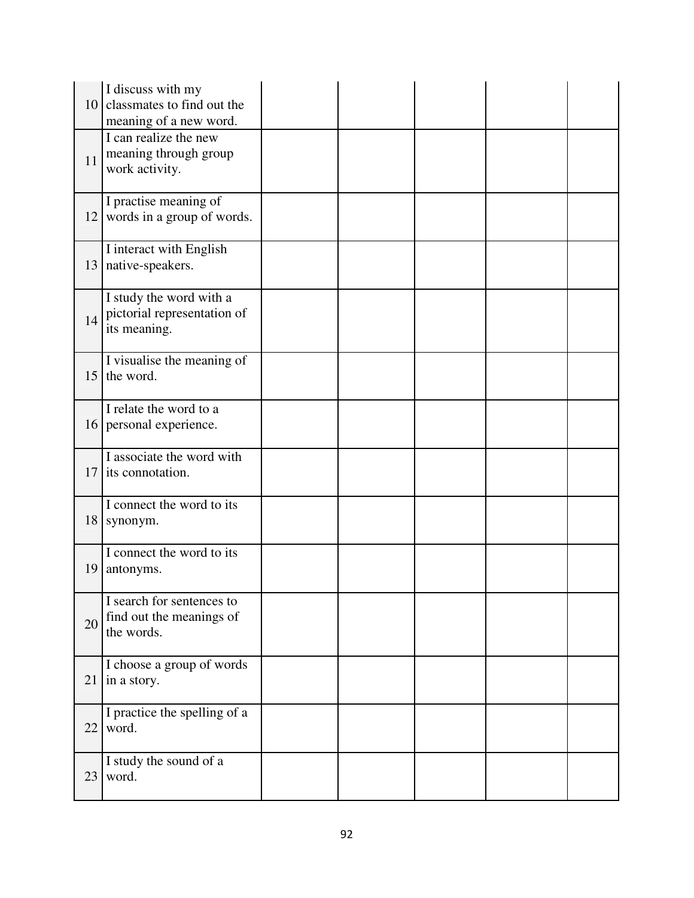| 10 | I discuss with my<br>classmates to find out the<br>meaning of a new word. |  |  |  |
|----|---------------------------------------------------------------------------|--|--|--|
| 11 | I can realize the new<br>meaning through group<br>work activity.          |  |  |  |
| 12 | I practise meaning of<br>words in a group of words.                       |  |  |  |
| 13 | I interact with English<br>native-speakers.                               |  |  |  |
| 14 | I study the word with a<br>pictorial representation of<br>its meaning.    |  |  |  |
| 15 | I visualise the meaning of<br>the word.                                   |  |  |  |
|    | I relate the word to a<br>16 personal experience.                         |  |  |  |
| 17 | I associate the word with<br>its connotation.                             |  |  |  |
| 18 | I connect the word to its<br>synonym.                                     |  |  |  |
| 19 | I connect the word to its<br>antonyms.                                    |  |  |  |
| 20 | I search for sentences to<br>find out the meanings of<br>the words.       |  |  |  |
| 21 | I choose a group of words<br>in a story.                                  |  |  |  |
| 22 | I practice the spelling of a<br>word.                                     |  |  |  |
| 23 | I study the sound of a<br>word.                                           |  |  |  |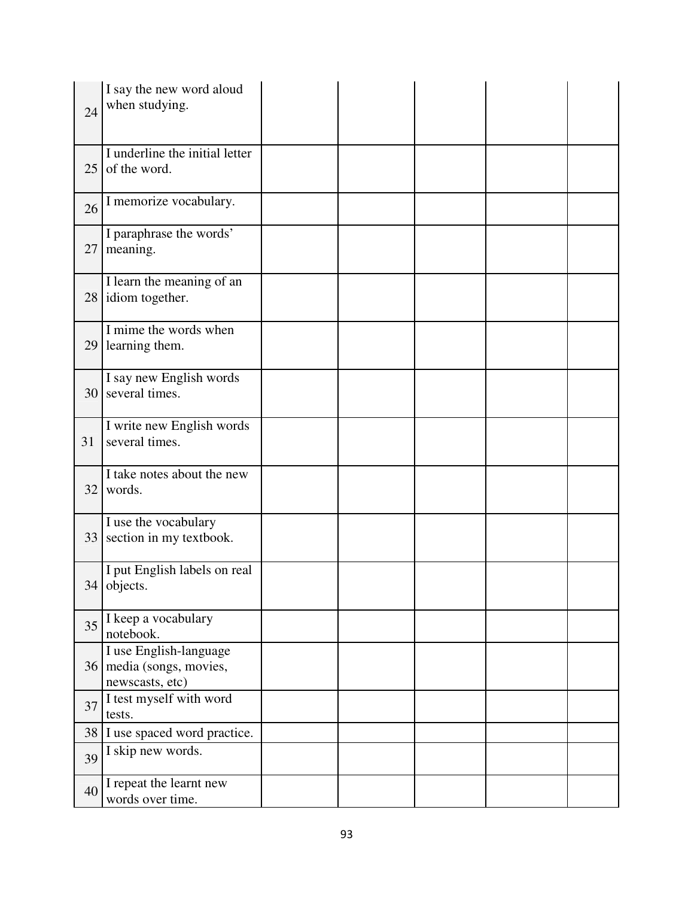| 24 | I say the new word aloud<br>when studying.                            |  |  |  |
|----|-----------------------------------------------------------------------|--|--|--|
| 25 | I underline the initial letter<br>of the word.                        |  |  |  |
| 26 | I memorize vocabulary.                                                |  |  |  |
| 27 | I paraphrase the words'<br>meaning.                                   |  |  |  |
| 28 | I learn the meaning of an<br>idiom together.                          |  |  |  |
| 29 | I mime the words when<br>learning them.                               |  |  |  |
| 30 | I say new English words<br>several times.                             |  |  |  |
| 31 | I write new English words<br>several times.                           |  |  |  |
| 32 | I take notes about the new<br>words.                                  |  |  |  |
| 33 | I use the vocabulary<br>section in my textbook.                       |  |  |  |
|    | I put English labels on real<br>34 objects.                           |  |  |  |
| 35 | I keep a vocabulary<br>notebook.                                      |  |  |  |
|    | I use English-language<br>36 media (songs, movies,<br>newscasts, etc) |  |  |  |
| 37 | I test myself with word<br>tests.                                     |  |  |  |
| 38 | I use spaced word practice.                                           |  |  |  |
| 39 | I skip new words.                                                     |  |  |  |
| 40 | I repeat the learnt new<br>words over time.                           |  |  |  |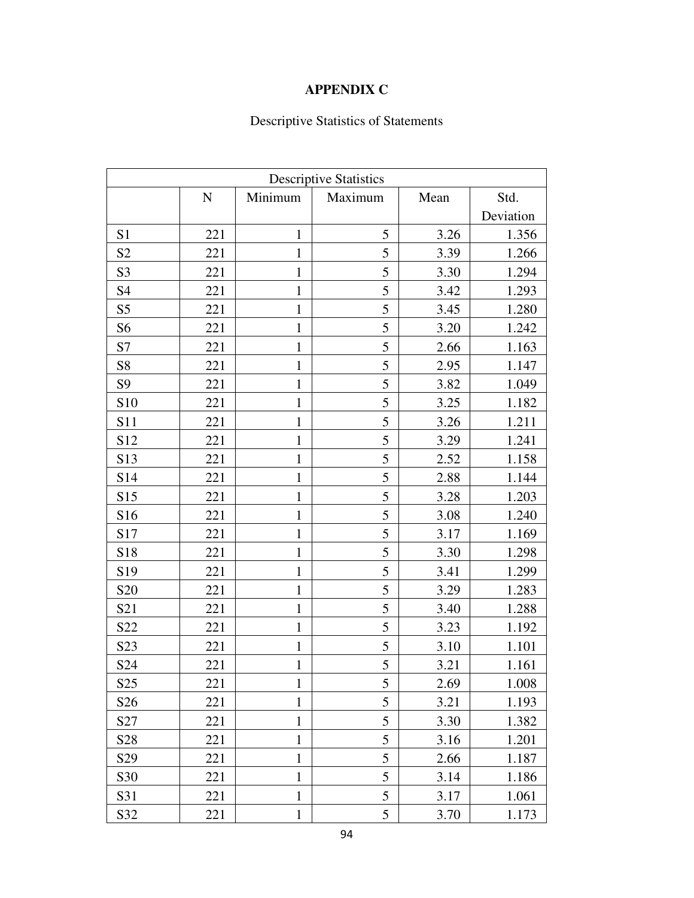## **APPENDIX C**

# Descriptive Statistics of Statements

| <b>Descriptive Statistics</b> |           |              |         |      |           |  |  |
|-------------------------------|-----------|--------------|---------|------|-----------|--|--|
|                               | ${\bf N}$ | Minimum      | Maximum | Mean | Std.      |  |  |
|                               |           |              |         |      | Deviation |  |  |
| S1                            | 221       | $\mathbf{1}$ | 5       | 3.26 | 1.356     |  |  |
| S <sub>2</sub>                | 221       | $\mathbf{1}$ | 5       | 3.39 | 1.266     |  |  |
| S <sub>3</sub>                | 221       | $\mathbf{1}$ | 5       | 3.30 | 1.294     |  |  |
| S <sub>4</sub>                | 221       | $\mathbf{1}$ | 5       | 3.42 | 1.293     |  |  |
| S <sub>5</sub>                | 221       | $\mathbf{1}$ | 5       | 3.45 | 1.280     |  |  |
| S <sub>6</sub>                | 221       | $\mathbf{1}$ | 5       | 3.20 | 1.242     |  |  |
| S7                            | 221       | $\mathbf{1}$ | 5       | 2.66 | 1.163     |  |  |
| S <sub>8</sub>                | 221       | $\mathbf{1}$ | 5       | 2.95 | 1.147     |  |  |
| S <sub>9</sub>                | 221       | 1            | 5       | 3.82 | 1.049     |  |  |
| S <sub>10</sub>               | 221       | $\mathbf{1}$ | 5       | 3.25 | 1.182     |  |  |
| S11                           | 221       | $\mathbf{1}$ | 5       | 3.26 | 1.211     |  |  |
| S12                           | 221       | $\mathbf{1}$ | 5       | 3.29 | 1.241     |  |  |
| S <sub>13</sub>               | 221       | $\mathbf{1}$ | 5       | 2.52 | 1.158     |  |  |
| S14                           | 221       | $\mathbf{1}$ | 5       | 2.88 | 1.144     |  |  |
| S15                           | 221       | $\mathbf{1}$ | 5       | 3.28 | 1.203     |  |  |
| S16                           | 221       | $\mathbf{1}$ | 5       | 3.08 | 1.240     |  |  |
| S17                           | 221       | $\mathbf{1}$ | 5       | 3.17 | 1.169     |  |  |
| S18                           | 221       | $\mathbf{1}$ | 5       | 3.30 | 1.298     |  |  |
| S19                           | 221       | $\mathbf{1}$ | 5       | 3.41 | 1.299     |  |  |
| S <sub>20</sub>               | 221       | $\mathbf{1}$ | 5       | 3.29 | 1.283     |  |  |
| S21                           | 221       | $\mathbf{1}$ | 5       | 3.40 | 1.288     |  |  |
| S22                           | 221       | $\mathbf{1}$ | 5       | 3.23 | 1.192     |  |  |
| S <sub>2</sub> 3              | 221       | $\mathbf{1}$ | 5       | 3.10 | 1.101     |  |  |
| S24                           | 221       | $\mathbf{1}$ | 5       | 3.21 | 1.161     |  |  |
| S <sub>25</sub>               | 221       | 1            | 5       | 2.69 | 1.008     |  |  |
| S <sub>26</sub>               | 221       | $\mathbf{1}$ | 5       | 3.21 | 1.193     |  |  |
| S27                           | 221       | $\mathbf{1}$ | 5       | 3.30 | 1.382     |  |  |
| S <sub>28</sub>               | 221       | $\mathbf{1}$ | 5       | 3.16 | 1.201     |  |  |
| S <sub>29</sub>               | 221       | $\mathbf{1}$ | 5       | 2.66 | 1.187     |  |  |
| S30                           | 221       | $\mathbf{1}$ | 5       | 3.14 | 1.186     |  |  |
| S31                           | 221       | $\mathbf{1}$ | 5       | 3.17 | 1.061     |  |  |
| S32                           | 221       | $\mathbf{1}$ | 5       | 3.70 | 1.173     |  |  |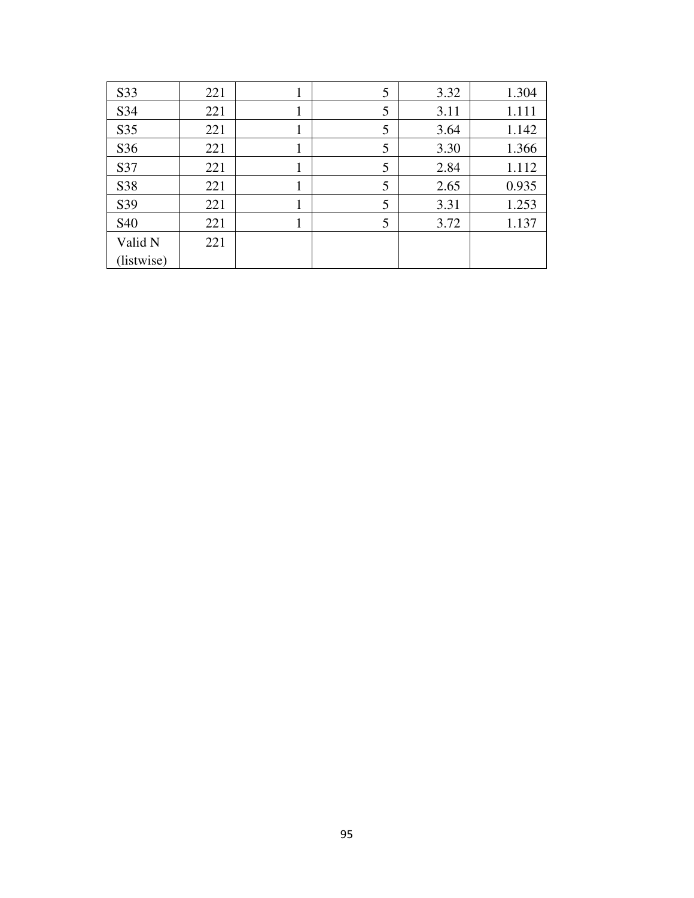| S33        | 221 | 1 | 5 | 3.32 | 1.304 |
|------------|-----|---|---|------|-------|
| S34        | 221 |   | 5 | 3.11 | 1.111 |
| S35        | 221 |   | 5 | 3.64 | 1.142 |
| S36        | 221 |   | 5 | 3.30 | 1.366 |
| S37        | 221 |   | 5 | 2.84 | 1.112 |
| S38        | 221 |   | 5 | 2.65 | 0.935 |
| S39        | 221 |   | 5 | 3.31 | 1.253 |
| S40        | 221 |   | 5 | 3.72 | 1.137 |
| Valid N    | 221 |   |   |      |       |
| (listwise) |     |   |   |      |       |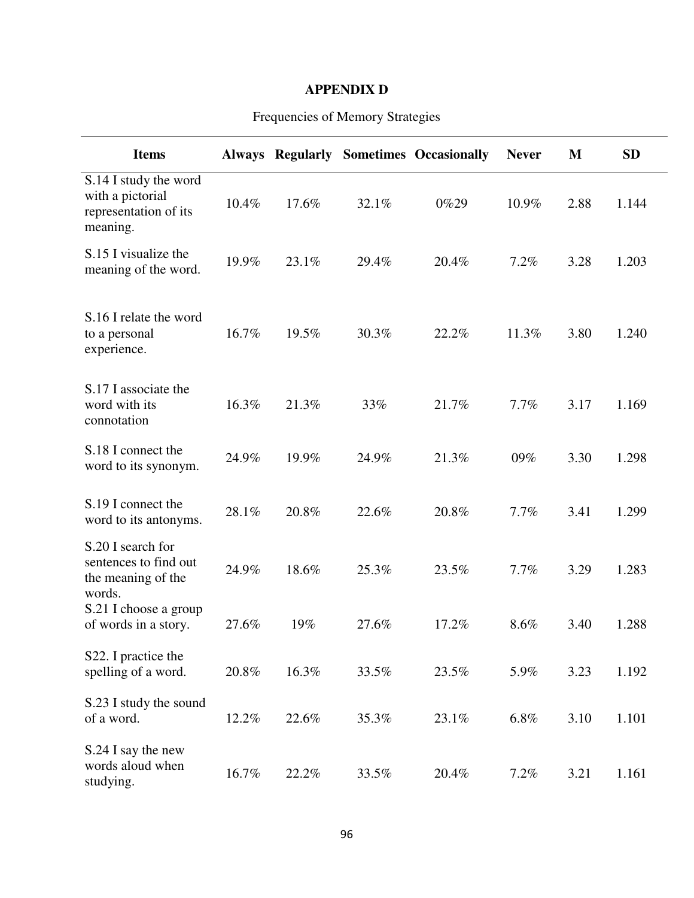## **APPENDIX D**

| <b>Items</b>                                                                   |       | <b>Always Regularly</b> |       | <b>Sometimes Occasionally</b> | <b>Never</b> | M    | <b>SD</b> |  |
|--------------------------------------------------------------------------------|-------|-------------------------|-------|-------------------------------|--------------|------|-----------|--|
| S.14 I study the word<br>with a pictorial<br>representation of its<br>meaning. | 10.4% | 17.6%                   | 32.1% | 0%29                          | 10.9%        | 2.88 | 1.144     |  |
| S.15 I visualize the<br>meaning of the word.                                   | 19.9% | 23.1%                   | 29.4% | 20.4%                         | 7.2%         | 3.28 | 1.203     |  |
| S.16 I relate the word<br>to a personal<br>experience.                         | 16.7% | 19.5%                   | 30.3% | 22.2%                         | 11.3%        | 3.80 | 1.240     |  |
| S.17 I associate the<br>word with its<br>connotation                           | 16.3% | 21.3%                   | 33%   | 21.7%                         | 7.7%         | 3.17 | 1.169     |  |
| S.18 I connect the<br>word to its synonym.                                     | 24.9% | 19.9%                   | 24.9% | 21.3%                         | 09%          | 3.30 | 1.298     |  |
| S.19 I connect the<br>word to its antonyms.                                    | 28.1% | 20.8%                   | 22.6% | 20.8%                         | 7.7%         | 3.41 | 1.299     |  |
| S.20 I search for<br>sentences to find out<br>the meaning of the<br>words.     | 24.9% | 18.6%                   | 25.3% | 23.5%                         | 7.7%         | 3.29 | 1.283     |  |
| S.21 I choose a group<br>of words in a story.                                  | 27.6% | 19%                     | 27.6% | 17.2%                         | 8.6%         | 3.40 | 1.288     |  |
| S22. I practice the<br>spelling of a word.                                     | 20.8% | 16.3%                   | 33.5% | 23.5%                         | 5.9%         | 3.23 | 1.192     |  |
| S.23 I study the sound<br>of a word.                                           | 12.2% | 22.6%                   | 35.3% | 23.1%                         | 6.8%         | 3.10 | 1.101     |  |
| S.24 I say the new<br>words aloud when<br>studying.                            | 16.7% | 22.2%                   | 33.5% | 20.4%                         | 7.2%         | 3.21 | 1.161     |  |

## Frequencies of Memory Strategies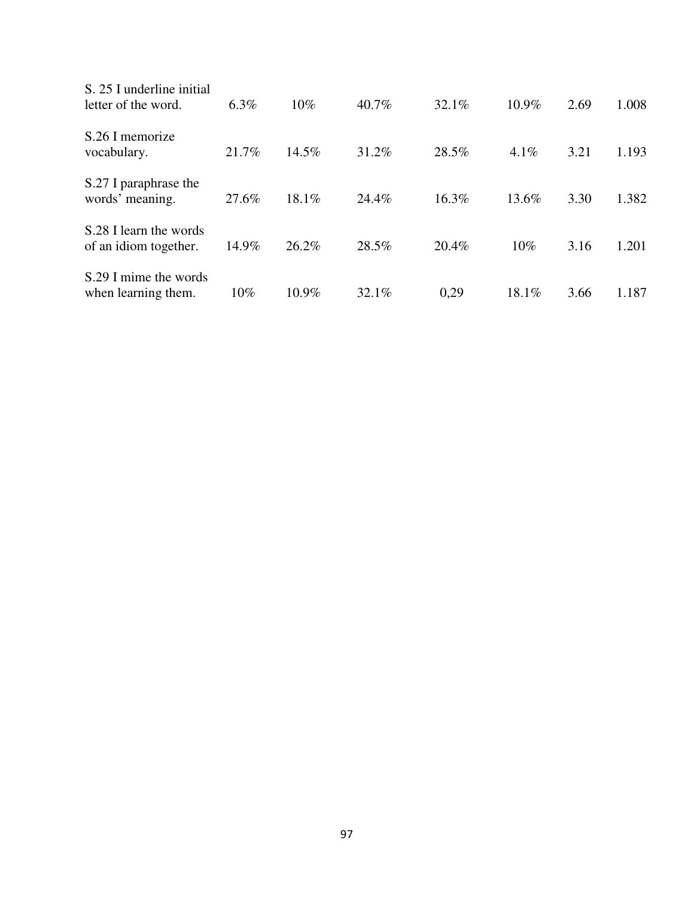| S. 25 I underline initial<br>letter of the word. | $6.3\%$ | $10\%$   | 40.7% | 32.1% | 10.9%    | 2.69 | 1.008 |
|--------------------------------------------------|---------|----------|-------|-------|----------|------|-------|
| S.26 I memorize<br>vocabulary.                   | 21.7%   | $14.5\%$ | 31.2% | 28.5% | $4.1\%$  | 3.21 | 1.193 |
| S.27 I paraphrase the<br>words' meaning.         | 27.6%   | 18.1%    | 24.4% | 16.3% | 13.6%    | 3.30 | 1.382 |
| S.28 I learn the words<br>of an idiom together.  | 14.9%   | 26.2%    | 28.5% | 20.4% | $10\%$   | 3.16 | 1.201 |
| S.29 I mime the words<br>when learning them.     | $10\%$  | $10.9\%$ | 32.1% | 0.29  | $18.1\%$ | 3.66 | 1.187 |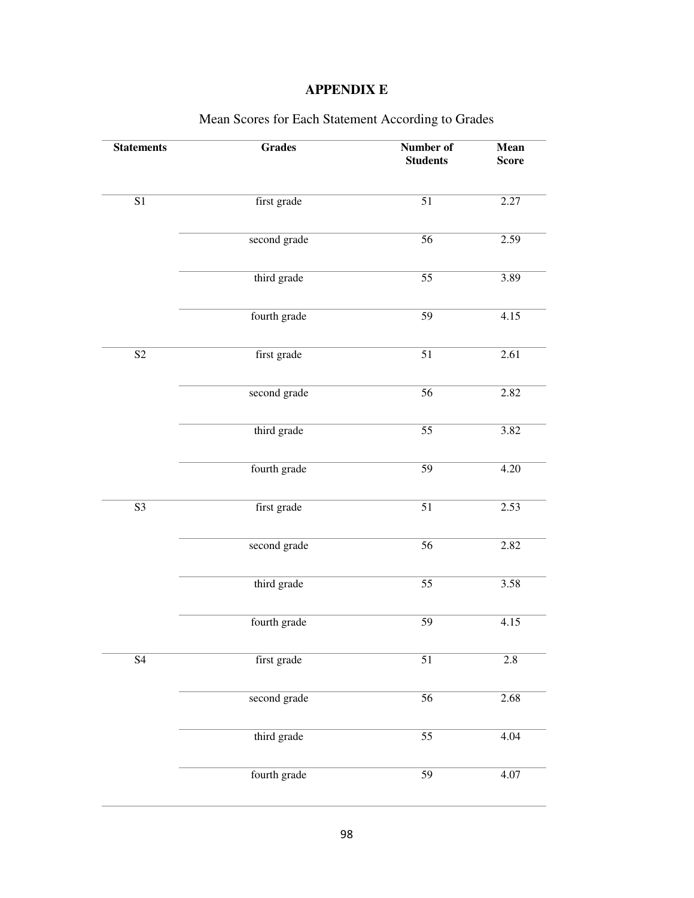## **APPENDIX E**

| <b>Statements</b> | <b>Grades</b> | Number of<br><b>Students</b> | Mean<br><b>Score</b> |
|-------------------|---------------|------------------------------|----------------------|
|                   |               |                              |                      |
| $\overline{S1}$   | first grade   | $\overline{51}$              | 2.27                 |
|                   | second grade  | $\overline{56}$              | 2.59                 |
|                   | third grade   | $\overline{55}$              | 3.89                 |
|                   | fourth grade  | $\overline{59}$              | 4.15                 |
| $\overline{S2}$   | first grade   | $\overline{51}$              | 2.61                 |
|                   | second grade  | $\overline{56}$              | 2.82                 |
|                   | third grade   | $\overline{55}$              | 3.82                 |
|                   | fourth grade  | 59                           | 4.20                 |
| $\overline{S3}$   | first grade   | $\overline{51}$              | 2.53                 |
|                   | second grade  | $\overline{56}$              | 2.82                 |
|                   | third grade   | $\overline{55}$              | 3.58                 |
|                   | fourth grade  | $\overline{59}$              | 4.15                 |
| <b>S4</b>         | first grade   | $\overline{51}$              | $2.8\,$              |
|                   | second grade  | $\overline{56}$              | 2.68                 |
|                   | third grade   | $\overline{55}$              | 4.04                 |
|                   | fourth grade  | 59                           | 4.07                 |

## Mean Scores for Each Statement According to Grades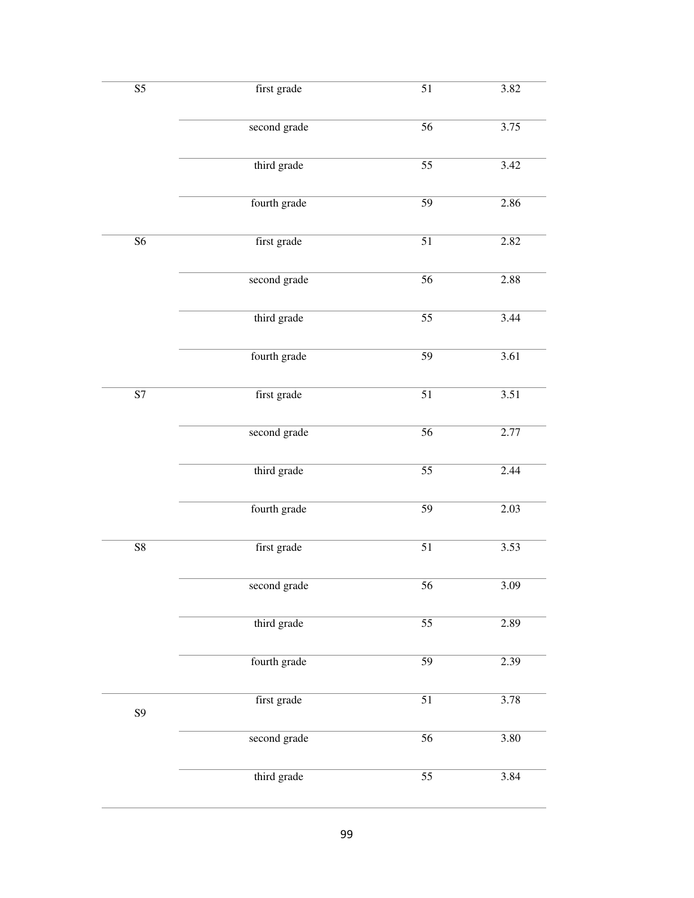| $\overline{S5}$ | first grade  | $\overline{51}$ | 3.82 |
|-----------------|--------------|-----------------|------|
|                 | second grade | $\overline{56}$ | 3.75 |
|                 | third grade  | $\overline{55}$ | 3.42 |
|                 | fourth grade | $\overline{59}$ | 2.86 |
| $\overline{S6}$ | first grade  | $\overline{51}$ | 2.82 |
|                 | second grade | $\overline{56}$ | 2.88 |
|                 | third grade  | $\overline{55}$ | 3.44 |
|                 | fourth grade | $\overline{59}$ | 3.61 |
| $\overline{S7}$ | first grade  | $\overline{51}$ | 3.51 |
|                 | second grade | $\overline{56}$ | 2.77 |
|                 | third grade  | $\overline{55}$ | 2.44 |
|                 | fourth grade | $\overline{59}$ | 2.03 |
| $\overline{S8}$ | first grade  | $\overline{51}$ | 3.53 |
|                 | second grade | 56              | 3.09 |
|                 | third grade  | $\overline{55}$ | 2.89 |
|                 | fourth grade | $\overline{59}$ | 2.39 |
| <b>S9</b>       | first grade  | $\overline{51}$ | 3.78 |
|                 | second grade | $\overline{56}$ | 3.80 |
|                 | third grade  | $\overline{55}$ | 3.84 |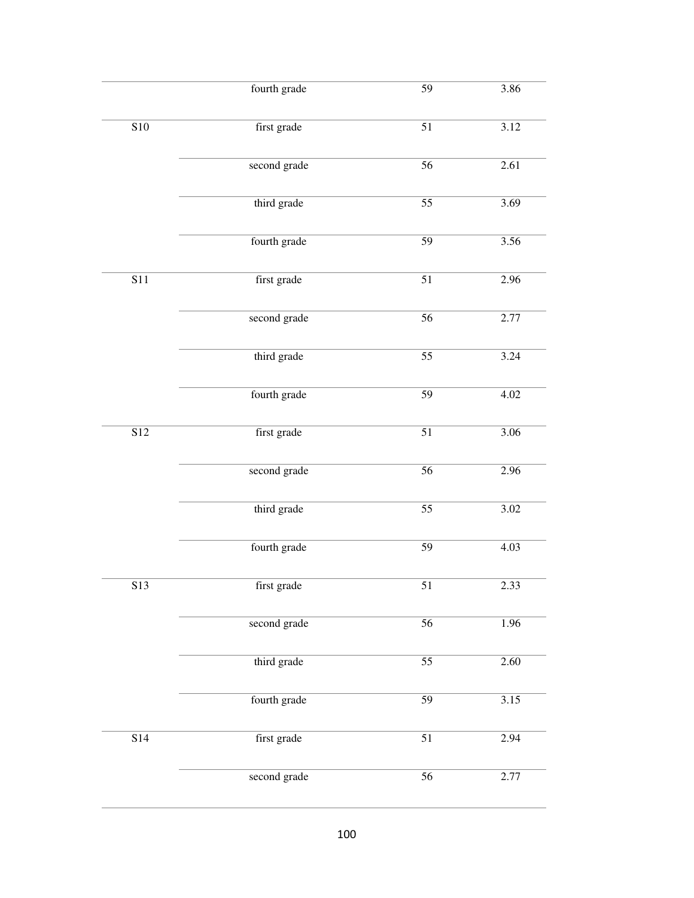|                  | fourth grade | $\overline{59}$ | 3.86 |
|------------------|--------------|-----------------|------|
| S10              | first grade  | $\overline{51}$ | 3.12 |
|                  | second grade | $\overline{56}$ | 2.61 |
|                  | third grade  | $\overline{55}$ | 3.69 |
|                  | fourth grade | $\overline{59}$ | 3.56 |
| $\overline{S11}$ | first grade  | $\overline{51}$ | 2.96 |
|                  | second grade | $\overline{56}$ | 2.77 |
|                  | third grade  | $\overline{55}$ | 3.24 |
|                  | fourth grade | $\overline{59}$ | 4.02 |
| $\overline{S12}$ | first grade  | $\overline{51}$ | 3.06 |
|                  | second grade | $\overline{56}$ | 2.96 |
|                  | third grade  | $\overline{55}$ | 3.02 |
|                  | fourth grade | $\overline{59}$ | 4.03 |
| S13              | first grade  | 51              | 2.33 |
|                  | second grade | $\overline{56}$ | 1.96 |
|                  | third grade  | $\overline{55}$ | 2.60 |
|                  | fourth grade | $\overline{59}$ | 3.15 |
| S14              | first grade  | $\overline{51}$ | 2.94 |
|                  | second grade | $\overline{56}$ | 2.77 |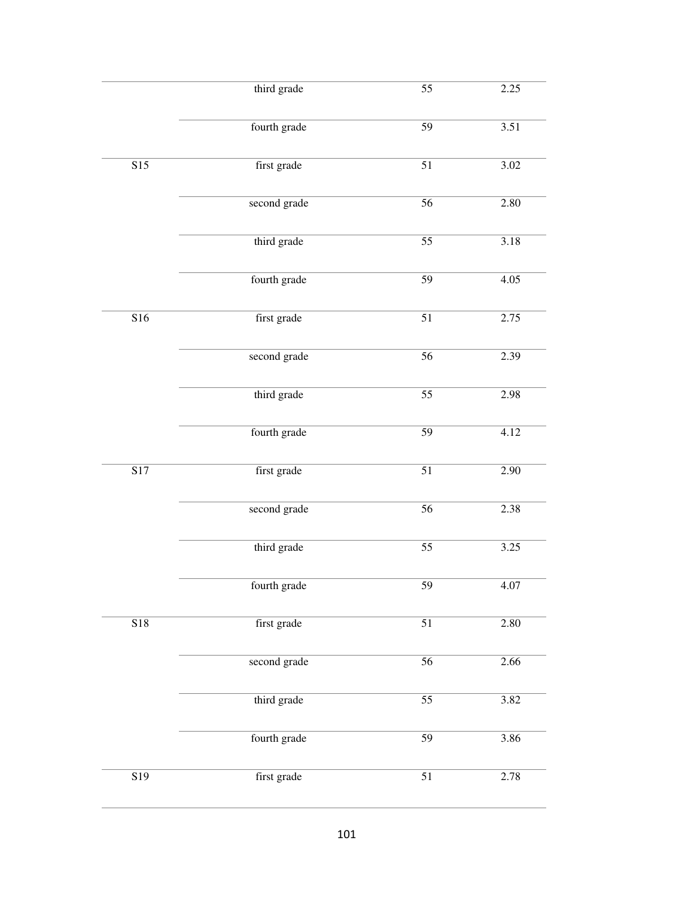|                  | third grade  | $\overline{55}$ | 2.25 |
|------------------|--------------|-----------------|------|
|                  | fourth grade | $\overline{59}$ | 3.51 |
|                  |              |                 |      |
| $\overline{S15}$ | first grade  | $\overline{51}$ | 3.02 |
|                  | second grade | 56              | 2.80 |
|                  | third grade  | $\overline{55}$ | 3.18 |
|                  | fourth grade | $\overline{59}$ | 4.05 |
| $\overline{S16}$ | first grade  | $\overline{51}$ | 2.75 |
|                  | second grade | $\overline{56}$ | 2.39 |
|                  | third grade  | $\overline{55}$ | 2.98 |
|                  | fourth grade | $\overline{59}$ | 4.12 |
| $\overline{S17}$ | first grade  | $\overline{51}$ | 2.90 |
|                  | second grade | $\overline{56}$ | 2.38 |
|                  | third grade  | $\overline{55}$ | 3.25 |
|                  | fourth grade | 59              | 4.07 |
| $\overline{S18}$ | first grade  | $\overline{51}$ | 2.80 |
|                  | second grade | $\overline{56}$ | 2.66 |
|                  | third grade  | $\overline{55}$ | 3.82 |
|                  | fourth grade | $\overline{59}$ | 3.86 |
| $\overline{S19}$ | first grade  | $\overline{51}$ | 2.78 |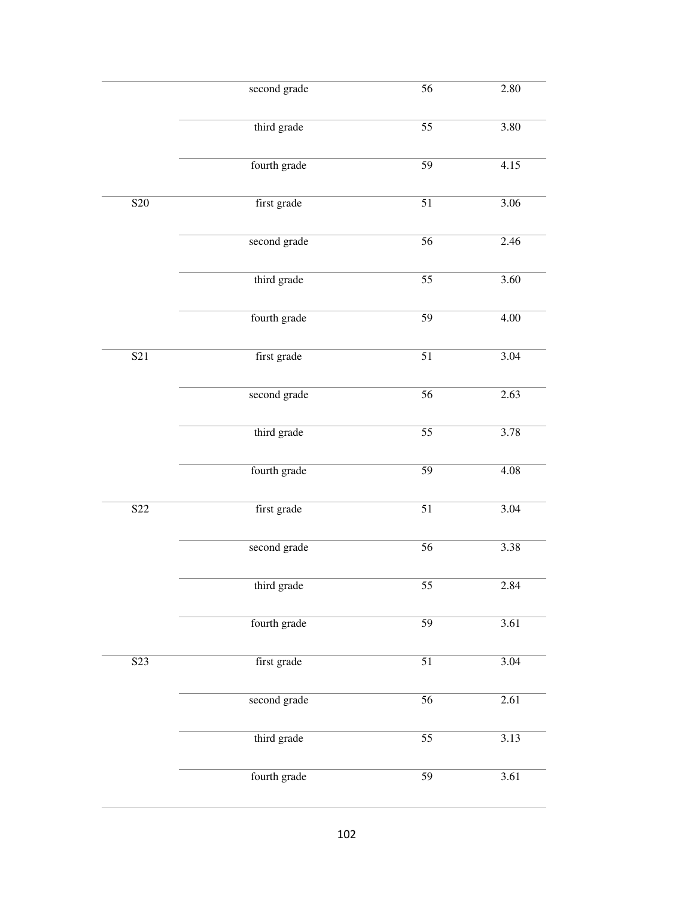|                  | second grade | $\overline{56}$ | 2.80 |
|------------------|--------------|-----------------|------|
|                  | third grade  | $\overline{55}$ | 3.80 |
|                  | fourth grade | $\overline{59}$ | 4.15 |
| <b>S20</b>       | first grade  | $\overline{51}$ | 3.06 |
|                  | second grade | $\overline{56}$ | 2.46 |
|                  | third grade  | $\overline{55}$ | 3.60 |
|                  | fourth grade | $\overline{59}$ | 4.00 |
| $\overline{S21}$ | first grade  | $\overline{51}$ | 3.04 |
|                  | second grade | $\overline{56}$ | 2.63 |
|                  | third grade  | $\overline{55}$ | 3.78 |
|                  | fourth grade | $\overline{59}$ | 4.08 |
| S <sub>22</sub>  | first grade  | $\overline{51}$ | 3.04 |
|                  | second grade | $\overline{56}$ | 3.38 |
|                  | third grade  | 55              | 2.84 |
|                  | fourth grade | $\overline{59}$ | 3.61 |
| $\overline{S23}$ | first grade  | $\overline{51}$ | 3.04 |
|                  | second grade | $\overline{56}$ | 2.61 |
|                  | third grade  | $\overline{55}$ | 3.13 |
|                  | fourth grade | $\overline{59}$ | 3.61 |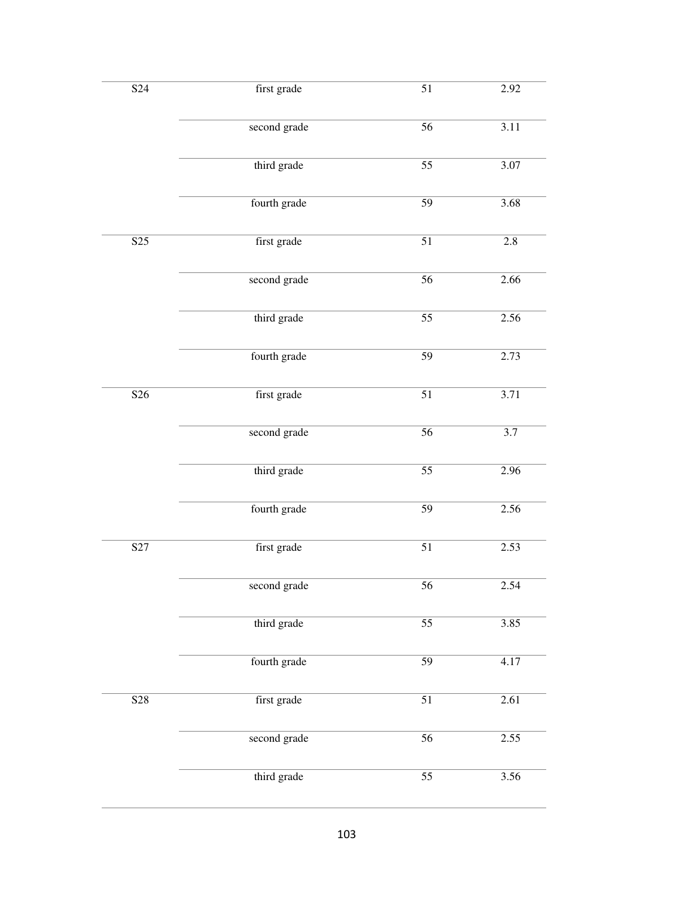| S <sub>24</sub>  | first grade  | $\overline{51}$ | 2.92             |
|------------------|--------------|-----------------|------------------|
|                  | second grade | $\overline{56}$ | 3.11             |
|                  | third grade  | $\overline{55}$ | 3.07             |
|                  | fourth grade | $\overline{59}$ | 3.68             |
| $\overline{S25}$ | first grade  | $\overline{51}$ | $\overline{2.8}$ |
|                  | second grade | $\overline{56}$ | 2.66             |
|                  | third grade  | $\overline{55}$ | 2.56             |
|                  | fourth grade | $\overline{59}$ | 2.73             |
| $\overline{S26}$ | first grade  | $\overline{51}$ | 3.71             |
|                  | second grade | $\overline{56}$ | $\overline{3.7}$ |
|                  | third grade  | $\overline{55}$ | 2.96             |
|                  | fourth grade | $\overline{59}$ | 2.56             |
| S <sub>27</sub>  | first grade  | $\overline{51}$ | 2.53             |
|                  | second grade | 56              | 2.54             |
|                  | third grade  | $\overline{55}$ | 3.85             |
|                  | fourth grade | $\overline{59}$ | 4.17             |
| S28              | first grade  | $\overline{51}$ | 2.61             |
|                  | second grade | $\overline{56}$ | 2.55             |
|                  | third grade  | $\overline{55}$ | 3.56             |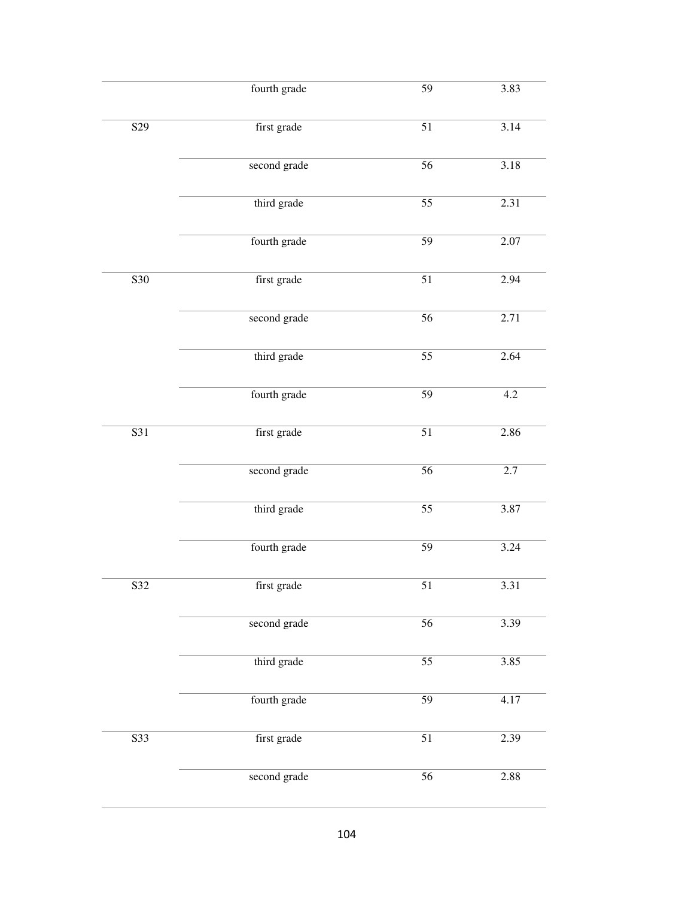|                  | fourth grade | $\overline{59}$ | 3.83             |
|------------------|--------------|-----------------|------------------|
| S <sub>29</sub>  | first grade  | $\overline{51}$ | 3.14             |
|                  | second grade | $\overline{56}$ | 3.18             |
|                  | third grade  | $\overline{55}$ | 2.31             |
|                  | fourth grade | $\overline{59}$ | 2.07             |
| $\overline{S30}$ | first grade  | $\overline{51}$ | 2.94             |
|                  | second grade | $\overline{56}$ | 2.71             |
|                  | third grade  | $\overline{55}$ | 2.64             |
|                  | fourth grade | $\overline{59}$ | 4.2              |
| $\overline{S31}$ | first grade  | $\overline{51}$ | 2.86             |
|                  | second grade | $\overline{56}$ | $\overline{2.7}$ |
|                  | third grade  | $\overline{55}$ | 3.87             |
|                  | fourth grade | $\overline{59}$ | 3.24             |
| S32              | first grade  | 51              | 3.31             |
|                  | second grade | $\overline{56}$ | 3.39             |
|                  | third grade  | $\overline{55}$ | 3.85             |
|                  | fourth grade | $\overline{59}$ | 4.17             |
| $\overline{S33}$ | first grade  | $\overline{51}$ | 2.39             |
|                  | second grade | $\overline{56}$ | 2.88             |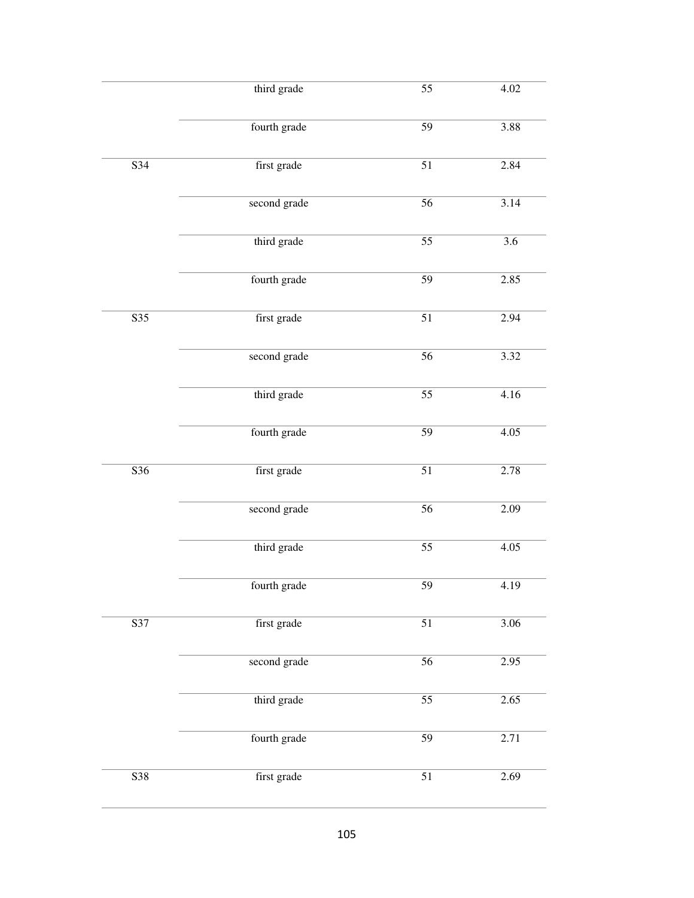|                  | third grade  | $\overline{55}$ | 4.02             |
|------------------|--------------|-----------------|------------------|
|                  | fourth grade | $\overline{59}$ | 3.88             |
| S34              | first grade  | $\overline{51}$ | 2.84             |
|                  | second grade | 56              | 3.14             |
|                  | third grade  | $\overline{55}$ | $\overline{3.6}$ |
|                  | fourth grade | $\overline{59}$ | 2.85             |
| $\overline{S35}$ | first grade  | $\overline{51}$ | 2.94             |
|                  | second grade | $\overline{56}$ | 3.32             |
|                  | third grade  | $\overline{55}$ | 4.16             |
|                  | fourth grade | $\overline{59}$ | 4.05             |
| $\overline{S36}$ | first grade  | $\overline{51}$ | 2.78             |
|                  | second grade | $\overline{56}$ | 2.09             |
|                  | third grade  | $\overline{55}$ | 4.05             |
|                  | fourth grade | 59              | 4.19             |
| $\overline{S37}$ | first grade  | $\overline{51}$ | 3.06             |
|                  | second grade | $\overline{56}$ | 2.95             |
|                  | third grade  | $\overline{55}$ | 2.65             |
|                  | fourth grade | $\overline{59}$ | 2.71             |
| $\overline{S38}$ | first grade  | $\overline{51}$ | 2.69             |